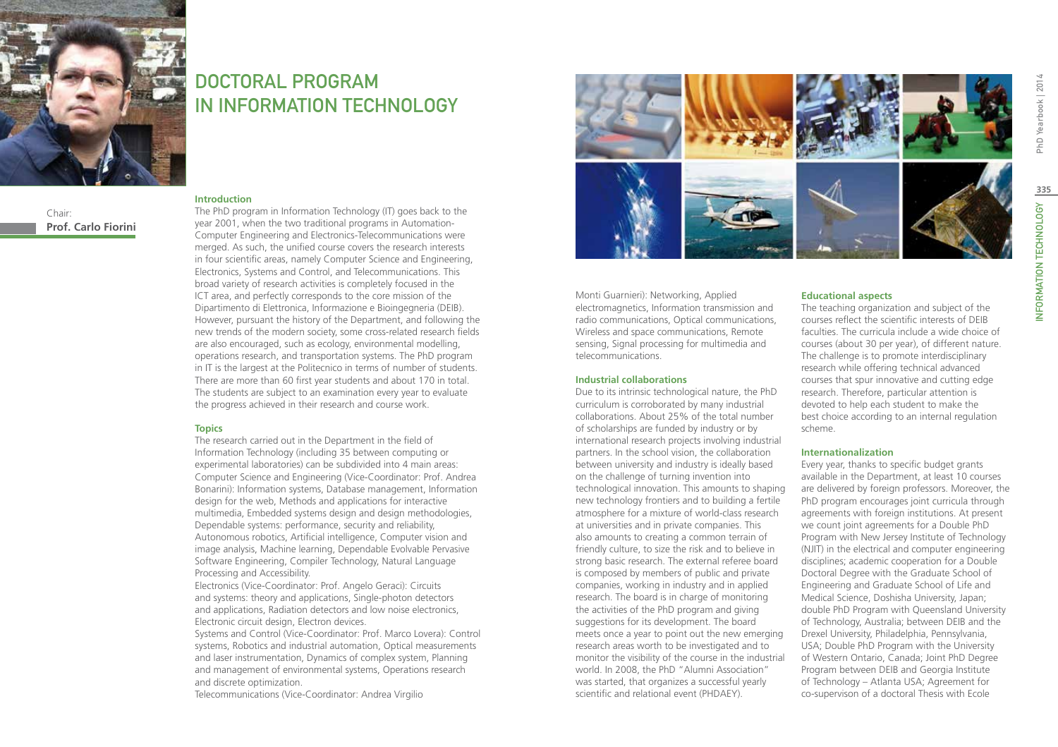

Chair: **Prof. Carlo Fiorini**

## DOCTORAL PROGRAM IN Information Technology

#### **Introduction**

The PhD program in Information Technology (IT) goes back to the year 2001, when the two traditional programs in Automation-Computer Engineering and Electronics-Telecommunications were merged. As such, the unified course covers the research interests in four scientific areas, namely Computer Science and Engineering, Electronics, Systems and Control, and Telecommunications. This broad variety of research activities is completely focused in the ICT area, and perfectly corresponds to the core mission of the Dipartimento di Elettronica, Informazione e Bioingegneria (DEIB). However, pursuant the history of the Department, and following the new trends of the modern society, some cross-related research fields are also encouraged, such as ecology, environmental modelling, operations research, and transportation systems. The PhD program in IT is the largest at the Politecnico in terms of number of students. There are more than 60 first year students and about 170 in total. The students are subject to an examination every year to evaluate the progress achieved in their research and course work.

#### **Topics**

The research carried out in the Department in the field of Information Technology (including 35 between computing or experimental laboratories) can be subdivided into 4 main areas: Computer Science and Engineering (Vice-Coordinator: Prof. Andrea Bonarini): Information systems, Database management, Information design for the web, Methods and applications for interactive multimedia, Embedded systems design and design methodologies, Dependable systems: performance, security and reliability, Autonomous robotics, Artificial intelligence, Computer vision and image analysis, Machine learning, Dependable Evolvable Pervasive Software Engineering, Compiler Technology, Natural Language Processing and Accessibility.

Electronics (Vice-Coordinator: Prof. Angelo Geraci): Circuits and systems: theory and applications, Single-photon detectors and applications, Radiation detectors and low noise electronics, Electronic circuit design, Electron devices.

Systems and Control (Vice-Coordinator: Prof. Marco Lovera): Control systems, Robotics and industrial automation, Optical measurements and laser instrumentation, Dynamics of complex system, Planning and management of environmental systems, Operations research and discrete optimization.

Telecommunications (Vice-Coordinator: Andrea Virgilio



Monti Guarnieri): Networking, Applied electromagnetics, Information transmission and radio communications, Optical communications, Wireless and space communications, Remote sensing, Signal processing for multimedia and telecommunications.

#### **Industrial collaborations**

Due to its intrinsic technological nature, the PhD curriculum is corroborated by many industrial collaborations. About 25% of the total number of scholarships are funded by industry or by international research projects involving industrial partners. In the school vision, the collaboration between university and industry is ideally based on the challenge of turning invention into technological innovation. This amounts to shaping new technology frontiers and to building a fertile atmosphere for a mixture of world-class research at universities and in private companies. This also amounts to creating a common terrain of friendly culture, to size the risk and to believe in strong basic research. The external referee board is composed by members of public and private companies, working in industry and in applied research. The board is in charge of monitoring the activities of the PhD program and giving suggestions for its development. The board meets once a year to point out the new emerging research areas worth to be investigated and to monitor the visibility of the course in the industrial world. In 2008, the PhD "Alumni Association" was started, that organizes a successful yearly scientific and relational event (PHDAEY).

#### **Educational aspects**

The teaching organization and subject of the courses reflect the scientific interests of DEIB faculties. The curricula include a wide choice of courses (about 30 per year), of different nature. The challenge is to promote interdisciplinary research while offering technical advanced courses that spur innovative and cutting edge research. Therefore, particular attention is devoted to help each student to make the best choice according to an internal regulation scheme.

#### **Internationalization**

Every year, thanks to specific budget grants available in the Department, at least 10 courses are delivered by foreign professors. Moreover, the PhD program encourages joint curricula through agreements with foreign institutions. At present we count joint agreements for a Double PhD Program with New Jersey Institute of Technology (NJIT) in the electrical and computer engineering disciplines; academic cooperation for a Double Doctoral Degree with the Graduate School of Engineering and Graduate School of Life and Medical Science, Doshisha University, Japan; double PhD Program with Queensland University of Technology, Australia; between DEIB and the Drexel University, Philadelphia, Pennsylvania, USA; Double PhD Program with the University of Western Ontario, Canada; Joint PhD Degree Program between DEIB and Georgia Institute of Technology – Atlanta USA; Agreement for co-supervison of a doctoral Thesis with Ecole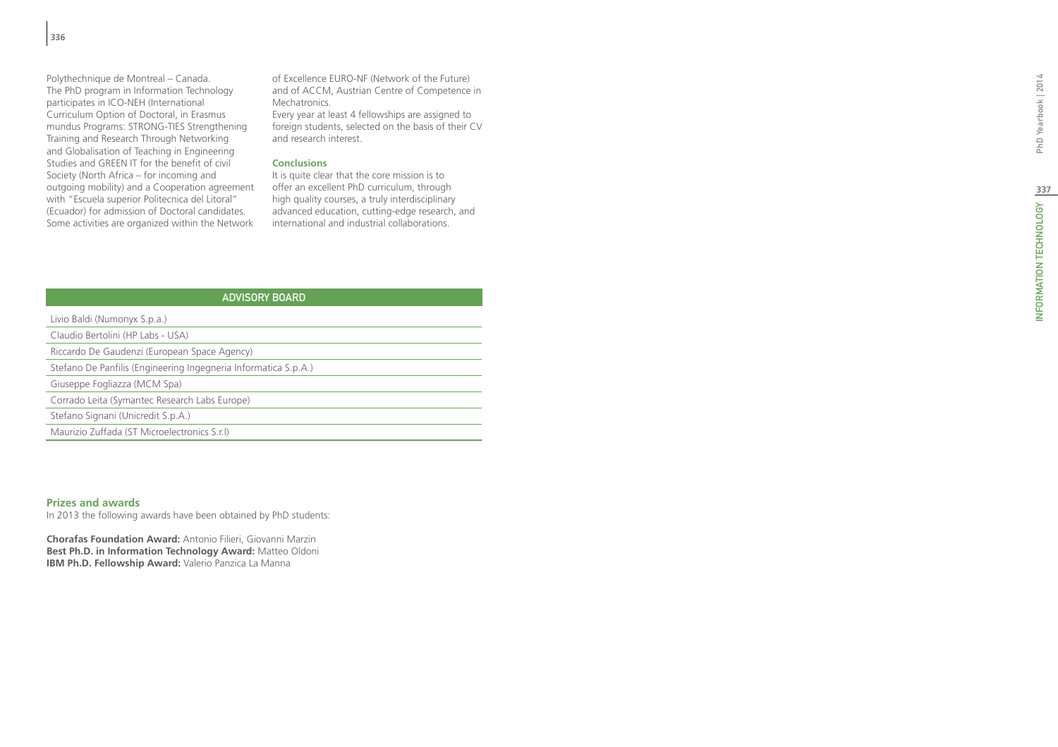Polythechnique de Montreal – Canada. The PhD program in Information Technology participates in ICO-NEH (International Curriculum Option of Doctoral, in Erasmus mundus Programs: STRONG-TIES Strengthening Training and Research Through Networking and Globalisation of Teaching in Engineering Studies and GREEN IT for the benefit of civil Society (North Africa – for incoming and outgoing mobility) and a Cooperation agreement with "Escuela superior Politecnica del Litoral" (Ecuador) for admission of Doctoral candidates. Some activities are organized within the Network of Excellence EURO-NF (Network of the Future) and of ACCM, Austrian Centre of Competence in Mechatronics.

Every year at least 4 fellowships are assigned to foreign students, selected on the basis of their CV and research interest.

#### **Conclusions**

It is quite clear that the core mission is to offer an excellent PhD curriculum, through high quality courses, a truly interdisciplinary advanced education, cutting-edge research, and international and industrial collaborations.

| <b>ADVISORY BOARD</b>                                                                                                                                                                                 |  |  |
|-------------------------------------------------------------------------------------------------------------------------------------------------------------------------------------------------------|--|--|
| Livio Baldi (Numonyx S.p.a.)                                                                                                                                                                          |  |  |
| Claudio Bertolini (HP Labs - USA)                                                                                                                                                                     |  |  |
| Riccardo De Gaudenzi (European Space Agency)                                                                                                                                                          |  |  |
| Stefano De Panfilis (Engineering Ingegneria Informatica S.p.A.)                                                                                                                                       |  |  |
| Giuseppe Fogliazza (MCM Spa)                                                                                                                                                                          |  |  |
| Corrado Leita (Symantec Research Labs Europe)                                                                                                                                                         |  |  |
| Stefano Signani (Unicredit S.p.A.)                                                                                                                                                                    |  |  |
| Maurizio Zuffada (ST Microelectronics S.r.l)                                                                                                                                                          |  |  |
|                                                                                                                                                                                                       |  |  |
|                                                                                                                                                                                                       |  |  |
|                                                                                                                                                                                                       |  |  |
| <b>Prizes and awards</b><br>In 2013 the following awards have been obtained by PhD students:                                                                                                          |  |  |
| <b>Chorafas Foundation Award: Antonio Filieri, Giovanni Marzin</b><br><b>Best Ph.D. in Information Technology Award:</b> Matteo Oldoni<br><b>IBM Ph.D. Fellowship Award:</b> Valerio Panzica La Manna |  |  |

#### **Prizes and awards**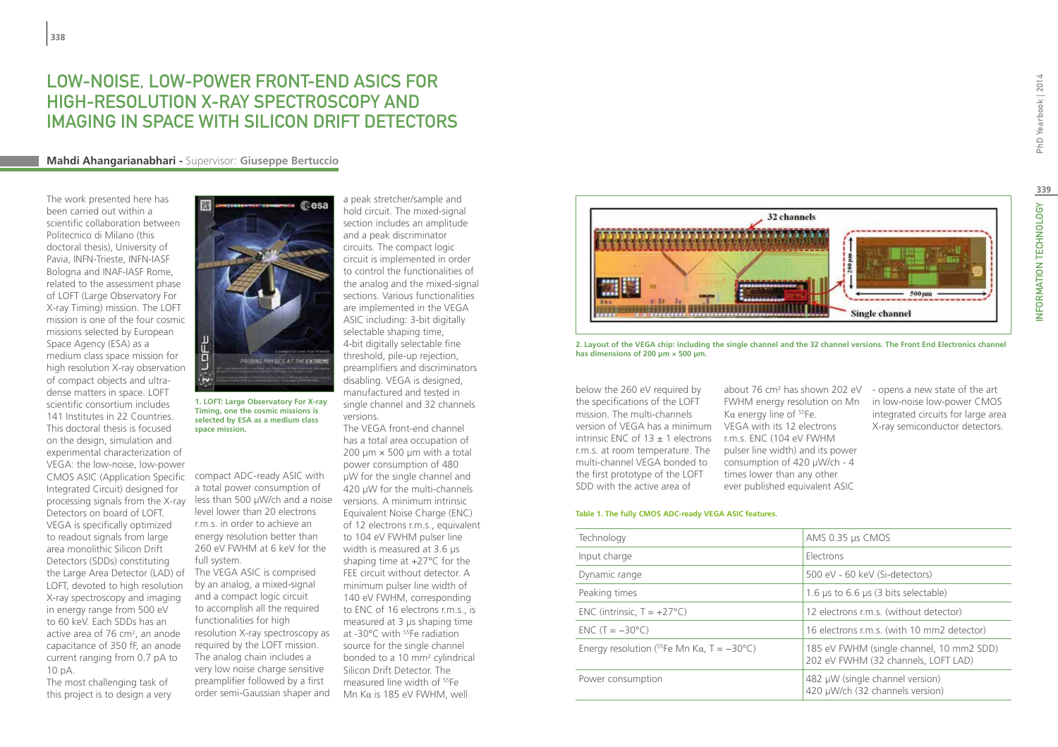## LOW-NOISE, LOW-POWER FRONT-END ASICS FOR HIGH-RESOLUTION X-RAY SPECTROSCOPY AND IMAGING IN SPACE WITH SILICON DRIFT DETECTORS

#### **Mahdi Ahangarianabhari -** Supervisor: **Giuseppe Bertuccio**

The work presented here has been carried out within a scientific collaboration between Politecnico di Milano (this doctoral thesis), University of Pavia, INFN-Trieste, INFN-IASF Bologna and INAF-IASF Rome, related to the assessment phase of LOFT (Large Observatory For X-ray Timing) mission. The LOFT mission is one of the four cosmic missions selected by European Space Agency (ESA) as a medium class space mission for high resolution X-ray observation of compact objects and ultradense matters in space. LOFT scientific consortium includes 141 Institutes in 22 Countries This doctoral thesis is focused on the design, simulation and experimental characterization of VEGA: the low-noise, low-power CMOS ASIC (Application Specific Integrated Circuit) designed for processing signals from the X-ray Detectors on board of LOFT. VEGA is specifically optimized to readout signals from large area monolithic Silicon Drift Detectors (SDDs) constituting the Large Area Detector (LAD) of LOFT, devoted to high resolution X-ray spectroscopy and imaging in energy range from 500 eV to 60 keV. Each SDDs has an active area of 76 cm<sup>2</sup>, an anode capacitance of 350 fF, an anode current ranging from 0.7 pA to 10 pA.

The most challenging task of this project is to design a very



**1. LOFT: Large Observatory For X-ray Timing, one the cosmic missions is selected by ESA as a medium class space mission.**

compact ADC-ready ASIC with a total power consumption of less than 500 µW/ch and a noise level lower than 20 electrons r.m.s. in order to achieve an energy resolution better than 260 eV FWHM at 6 keV for the full system.

The VEGA ASIC is comprised by an analog, a mixed-signal and a compact logic circuit to accomplish all the required functionalities for high resolution X-ray spectroscopy as required by the LOFT mission. The analog chain includes a very low noise charge sensitive preamplifier followed by a first order semi-Gaussian shaper and a peak stretcher/sample and hold circuit. The mixed-signal section includes an amplitude and a peak discriminator circuits. The compact logic circuit is implemented in order to control the functionalities of the analog and the mixed-signal sections. Various functionalities are implemented in the VEGA ASIC including: 3-bit digitally selectable shaping time, 4-bit digitally selectable fine threshold, pile-up rejection, preamplifiers and discriminators disabling. VEGA is designed, manufactured and tested in single channel and 32 channels versions.

The VEGA front-end channel has a total area occupation of 200  $\mu$ m  $\times$  500  $\mu$ m with a total power consumption of 480 µW for the single channel and 420 µW for the multi-channels versions. A minimum intrinsic Equivalent Noise Charge (ENC) of 12 electrons r.m.s., equivalent to 104 eV FWHM pulser line width is measured at 3.6 µs shaping time at +27°C for the FEE circuit without detector. A minimum pulser line width of 140 eV FWHM, corresponding to ENC of 16 electrons r.m.s., is measured at 3 µs shaping time at -30°C with <sup>55</sup>Fe radiation source for the single channel bonded to a 10 mm<sup>2</sup> cylindrical Silicon Drift Detector. The measured line width of 55Fe Mn Kα is 185 eV FWHM, well



**2. Layout of the VEGA chip: including the single channel and the 32 channel versions. The Front End Electronics channel has dimensions of 200 µm × 500 µm.**

below the 260 eV required by the specifications of the LOFT mission. The multi-channels version of VEGA has a minimum VEGA with its 12 electrons intrinsic ENC of  $13 \pm 1$  electrons r.m.s. ENC (104 eV FWHM r.m.s. at room temperature. The multi-channel VEGA bonded to the first prototype of the LOFT SDD with the active area of

about 76 cm2 has shown 202 eV FWHM energy resolution on Mn Kα energy line of  $55Fe$ . pulser line width) and its power consumption of 420 µW/ch - 4 times lower than any other ever published equivalent ASIC

#### - opens a new state of the art in low-noise low-power CMOS integrated circuits for large area X-ray semiconductor detectors.

#### **Table 1. The fully CMOS ADC-ready VEGA ASIC features.**

| Technology                                                | AMS 0.35 µs CMOS                                                                |
|-----------------------------------------------------------|---------------------------------------------------------------------------------|
| Input charge                                              | Electrons                                                                       |
| Dynamic range                                             | 500 eV - 60 keV (Si-detectors)                                                  |
| Peaking times                                             | 1.6 $\mu$ s to 6.6 $\mu$ s (3 bits selectable)                                  |
| ENC (intrinsic, $T = +27^{\circ}C$ )                      | 12 electrons r.m.s. (without detector)                                          |
| $ENC(T = -30°C)$                                          | 16 electrons r.m.s. (with 10 mm2 detector)                                      |
| Energy resolution ( $^{55}$ Fe Mn K $\alpha$ , T = -30°C) | 185 eV FWHM (single channel, 10 mm2 SDD)<br>202 eV FWHM (32 channels, LOFT LAD) |
| Power consumption                                         | 482 µW (single channel version)<br>420 µW/ch (32 channels version)              |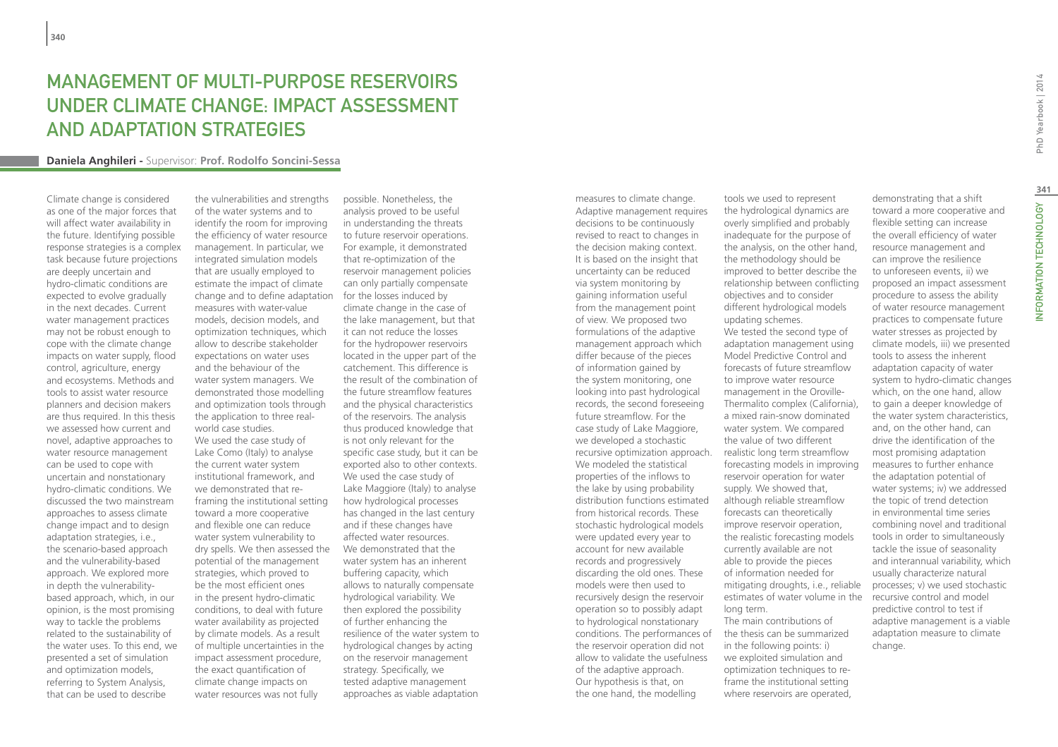## Management of multi-purpose reservoirs under climate change: impact assessment and adaptation strategies

#### **Daniela Anghileri -** Supervisor: **Prof. Rodolfo Soncini-Sessa**

Climate change is considered as one of the major forces that will affect water availability in the future. Identifying possible response strategies is a complex task because future projections are deeply uncertain and hydro-climatic conditions are expected to evolve gradually in the next decades. Current water management practices may not be robust enough to cope with the climate change impacts on water supply, flood control, agriculture, energy and ecosystems. Methods and tools to assist water resource planners and decision makers are thus required. In this thesis we assessed how current and novel, adaptive approaches to water resource management can be used to cope with uncertain and nonstationary hydro-climatic conditions. We discussed the two mainstream approaches to assess climate change impact and to design adaptation strategies, i.e., the scenario-based approach and the vulnerability-based approach. We explored more in depth the vulnerabilitybased approach, which, in our opinion, is the most promising way to tackle the problems related to the sustainability of the water uses. To this end, we presented a set of simulation and optimization models, referring to System Analysis, that can be used to describe

the vulnerabilities and strengths of the water systems and to identify the room for improving the efficiency of water resource management. In particular, we integrated simulation models that are usually employed to estimate the impact of climate change and to define adaptation measures with water-value models, decision models, and optimization techniques, which allow to describe stakeholder expectations on water uses and the behaviour of the water system managers. We demonstrated those modelling and optimization tools through the application to three realworld case studies. We used the case study of Lake Como (Italy) to analyse the current water system institutional framework, and we demonstrated that reframing the institutional setting toward a more cooperative and flexible one can reduce water system vulnerability to dry spells. We then assessed the potential of the management strategies, which proved to be the most efficient ones in the present hydro-climatic conditions, to deal with future water availability as projected by climate models. As a result of multiple uncertainties in the impact assessment procedure, the exact quantification of climate change impacts on water resources was not fully

possible. Nonetheless, the analysis proved to be useful in understanding the threats to future reservoir operations. For example, it demonstrated that re-optimization of the reservoir management policies can only partially compensate for the losses induced by climate change in the case of the lake management, but that it can not reduce the losses for the hydropower reservoirs located in the upper part of the catchement. This difference is the result of the combination of the future streamflow features and the physical characteristics of the reservoirs. The analysis thus produced knowledge that is not only relevant for the specific case study, but it can be exported also to other contexts. We used the case study of Lake Maggiore (Italy) to analyse how hydrological processes has changed in the last century and if these changes have affected water resources. We demonstrated that the water system has an inherent buffering capacity, which allows to naturally compensate hydrological variability. We then explored the possibility of further enhancing the resilience of the water system to hydrological changes by acting on the reservoir management strategy. Specifically, we tested adaptive management approaches as viable adaptation

measures to climate change. Adaptive management requires decisions to be continuously revised to react to changes in the decision making context. It is based on the insight that uncertainty can be reduced via system monitoring by gaining information useful from the management point of view. We proposed two formulations of the adaptive management approach which differ because of the pieces of information gained by the system monitoring, one looking into past hydrological records, the second foreseeing future streamflow. For the case study of Lake Maggiore, we developed a stochastic recursive optimization approach. realistic long term streamflow We modeled the statistical properties of the inflows to the lake by using probability distribution functions estimated from historical records. These stochastic hydrological models were updated every year to account for new available records and progressively discarding the old ones. These models were then used to recursively design the reservoir operation so to possibly adapt to hydrological nonstationary conditions. The performances of the reservoir operation did not allow to validate the usefulness of the adaptive approach. Our hypothesis is that, on the one hand, the modelling

tools we used to represent the hydrological dynamics are overly simplified and probably inadequate for the purpose of the analysis, on the other hand, the methodology should be improved to better describe the relationship between conflicting objectives and to consider different hydrological models updating schemes. We tested the second type of adaptation management using Model Predictive Control and forecasts of future streamflow to improve water resource management in the Oroville-Thermalito complex (California), a mixed rain-snow dominated water system. We compared the value of two different forecasting models in improving reservoir operation for water supply. We showed that, although reliable streamflow forecasts can theoretically improve reservoir operation, the realistic forecasting models currently available are not able to provide the pieces of information needed for mitigating droughts, i.e., reliable estimates of water volume in the long term. The main contributions of the thesis can be summarized in the following points: i) we exploited simulation and optimization techniques to re-

frame the institutional setting where reservoirs are operated,

demonstrating that a shift toward a more cooperative and flexible setting can increase the overall efficiency of water resource management and can improve the resilience to unforeseen events, ii) we proposed an impact assessment procedure to assess the ability of water resource management practices to compensate future water stresses as projected by climate models, iii) we presented tools to assess the inherent adaptation capacity of water system to hydro-climatic changes which, on the one hand, allow to gain a deeper knowledge of the water system characteristics, and, on the other hand, can drive the identification of the most promising adaptation measures to further enhance the adaptation potential of water systems; iv) we addressed the topic of trend detection in environmental time series combining novel and traditional tools in order to simultaneously tackle the issue of seasonality and interannual variability, which usually characterize natural processes; v) we used stochastic recursive control and model predictive control to test if adaptive management is a viable adaptation measure to climate change.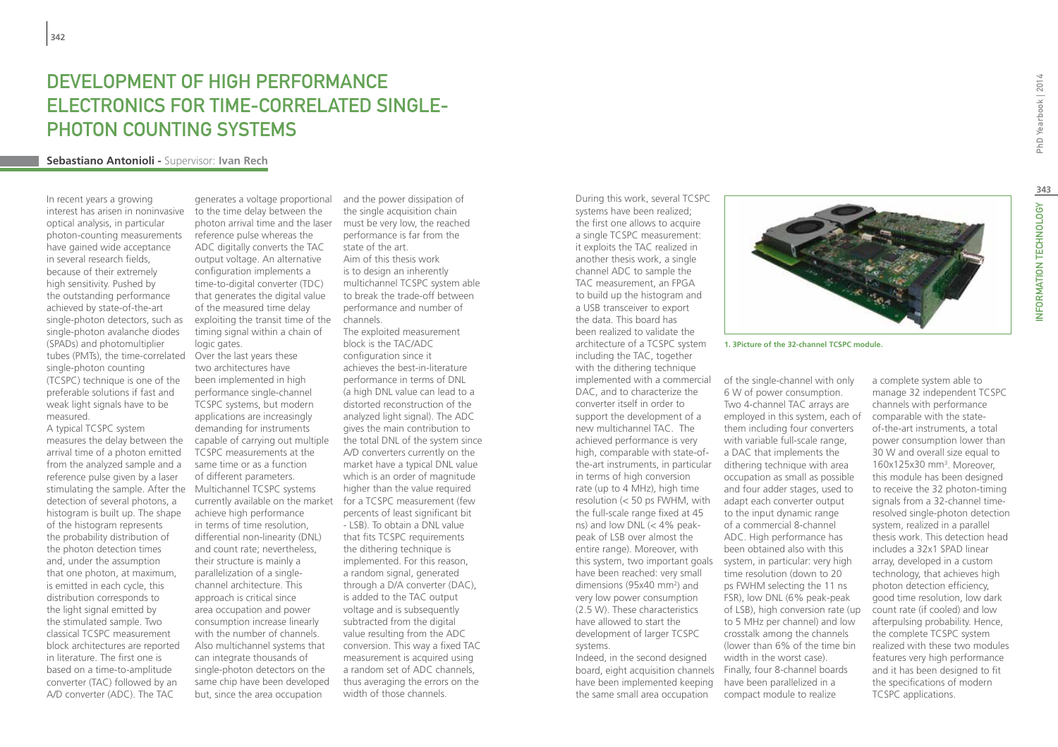## DEVELOPMENT OF HIGH PERFORMANCE Electronics for Time-Correlated Single-PHOTON COUNTING SYSTEMS

#### **Sebastiano Antonioli -** Supervisor: **Ivan Rech**

In recent years a growing interest has arisen in noninvasive optical analysis, in particular photon-counting measurements have gained wide acceptance in several research fields, because of their extremely high sensitivity. Pushed by the outstanding performance achieved by state-of-the-art single-photon detectors, such as single-photon avalanche diodes (SPADs) and photomultiplier tubes (PMTs), the time-correlated single-photon counting (TCSPC) technique is one of the preferable solutions if fast and weak light signals have to be measured.

A typical TCSPC system measures the delay between the arrival time of a photon emitted from the analyzed sample and a reference pulse given by a laser stimulating the sample. After the Multichannel TCSPC systems detection of several photons, a histogram is built up. The shape of the histogram represents the probability distribution of the photon detection times and, under the assumption that one photon, at maximum, is emitted in each cycle, this distribution corresponds to the light signal emitted by the stimulated sample. Two classical TCSPC measurement block architectures are reported in literature. The first one is based on a time-to-amplitude converter (TAC) followed by an A/D converter (ADC). The TAC

generates a voltage proportional to the time delay between the photon arrival time and the laser reference pulse whereas the ADC digitally converts the TAC output voltage. An alternative configuration implements a time-to-digital converter (TDC) that generates the digital value of the measured time delay exploiting the transit time of the timing signal within a chain of logic gates. Over the last years these two architectures have been implemented in high performance single-channel TCSPC systems, but modern applications are increasingly demanding for instruments capable of carrying out multiple TCSPC measurements at the same time or as a function of different parameters. achieve high performance in terms of time resolution, differential non-linearity (DNL) and count rate; nevertheless, their structure is mainly a parallelization of a singlechannel architecture. This approach is critical since area occupation and power consumption increase linearly with the number of channels. Also multichannel systems that can integrate thousands of single-photon detectors on the same chip have been developed but, since the area occupation

and the power dissipation of the single acquisition chain must be very low, the reached performance is far from the state of the art. Aim of this thesis work is to design an inherently multichannel TCSPC system able to break the trade-off between performance and number of channels.

currently available on the market for a TCSPC measurement (few The exploited measurement block is the TAC/ADC configuration since it achieves the best-in-literature performance in terms of DNL (a high DNL value can lead to a distorted reconstruction of the analyzed light signal). The ADC gives the main contribution to the total DNL of the system since A/D converters currently on the market have a typical DNL value which is an order of magnitude higher than the value required percents of least significant bit - LSB). To obtain a DNL value that fits TCSPC requirements the dithering technique is implemented. For this reason, a random signal, generated through a D/A converter (DAC), is added to the TAC output voltage and is subsequently subtracted from the digital value resulting from the ADC conversion. This way a fixed TAC measurement is acquired using a random set of ADC channels, thus averaging the errors on the width of those channels.

systems have been realized; the first one allows to acquire a single TCSPC measurement: it exploits the TAC realized in another thesis work, a single channel ADC to sample the TAC measurement, an FPGA to build up the histogram and a USB transceiver to export the data. This board has been realized to validate the architecture of a TCSPC system including the TAC, together with the dithering technique implemented with a commercial DAC, and to characterize the converter itself in order to support the development of a new multichannel TAC. The achieved performance is very high, comparable with state-ofthe-art instruments, in particular dithering technique with area in terms of high conversion rate (up to 4 MHz), high time resolution (< 50 ps FWHM, with the full-scale range fixed at 45 ns) and low DNL  $\left( < 4\% \right)$  peakpeak of LSB over almost the entire range). Moreover, with this system, two important goals have been reached: very small dimensions (95x40 mm2 ) and very low power consumption (2.5 W). These characteristics have allowed to start the development of larger TCSPC systems. Indeed, in the second designed

During this work, several TCSPC

board, eight acquisition channels Finally, four 8-channel boards have been implemented keeping the same small area occupation

**1. 3Picture of the 32-channel TCSPC module.**

of the single-channel with only 6 W of power consumption. Two 4-channel TAC arrays are employed in this system, each of them including four converters with variable full-scale range, a DAC that implements the occupation as small as possible and four adder stages, used to adapt each converter output to the input dynamic range of a commercial 8-channel ADC. High performance has been obtained also with this system, in particular: very high time resolution (down to 20 ps FWHM selecting the 11 ns FSR), low DNL (6% peak-peak of LSB), high conversion rate (up to 5 MHz per channel) and low crosstalk among the channels (lower than 6% of the time bin width in the worst case). have been parallelized in a compact module to realize

a complete system able to manage 32 independent TCSPC channels with performance comparable with the stateof-the-art instruments, a total power consumption lower than 30 W and overall size equal to 160x125x30 mm3 . Moreover, this module has been designed to receive the 32 photon-timing signals from a 32-channel timeresolved single-photon detection system, realized in a parallel thesis work. This detection head includes a 32x1 SPAD linear array, developed in a custom technology, that achieves high photon detection efficiency, good time resolution, low dark count rate (if cooled) and low afterpulsing probability. Hence, the complete TCSPC system realized with these two modules features very high performance and it has been designed to fit the specifications of modern TCSPC applications.



**343**

NFORMATION TECHNOLOGY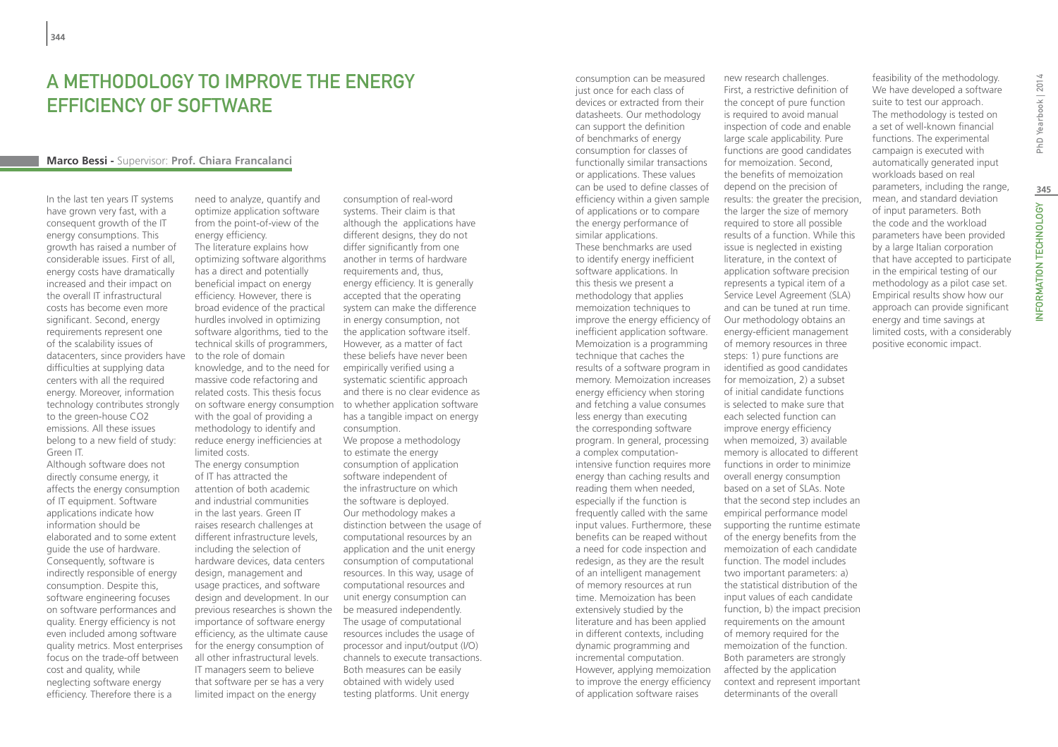## A METHODOLOGY TO IMPROVE THE ENERGY EFFICIENCY OF SOFTWARE

#### **Marco Bessi -** Supervisor: **Prof. Chiara Francalanci**

In the last ten years IT systems have grown very fast, with a consequent growth of the IT energy consumptions. This growth has raised a number of considerable issues. First of all, energy costs have dramatically increased and their impact on the overall IT infrastructural costs has become even more significant. Second, energy requirements represent one of the scalability issues of datacenters, since providers have difficulties at supplying data centers with all the required energy. Moreover, information technology contributes strongly to the green-house CO2 emissions. All these issues belong to a new field of study: Green IT.

Although software does not directly consume energy, it affects the energy consumption of IT equipment. Software applications indicate how information should be elaborated and to some extent guide the use of hardware. Consequently, software is indirectly responsible of energy consumption. Despite this, software engineering focuses on software performances and quality. Energy efficiency is not even included among software quality metrics. Most enterprises focus on the trade-off between cost and quality, while neglecting software energy efficiency. Therefore there is a

need to analyze, quantify and optimize application software from the point-of-view of the energy efficiency.

The literature explains how optimizing software algorithms has a direct and potentially beneficial impact on energy efficiency. However, there is broad evidence of the practical hurdles involved in optimizing software algorithms, tied to the technical skills of programmers, to the role of domain knowledge, and to the need for massive code refactoring and related costs. This thesis focus on software energy consumption to whether application software with the goal of providing a methodology to identify and reduce energy inefficiencies at limited costs.

The energy consumption of IT has attracted the attention of both academic and industrial communities in the last years. Green IT raises research challenges at different infrastructure levels, including the selection of hardware devices, data centers design, management and usage practices, and software design and development. In our previous researches is shown the importance of software energy efficiency, as the ultimate cause for the energy consumption of all other infrastructural levels. IT managers seem to believe that software per se has a very limited impact on the energy

consumption of real-word systems. Their claim is that although the applications have different designs, they do not differ significantly from one another in terms of hardware requirements and, thus, energy efficiency. It is generally accepted that the operating system can make the difference in energy consumption, not the application software itself. However, as a matter of fact these beliefs have never been empirically verified using a systematic scientific approach and there is no clear evidence as has a tangible impact on energy consumption. We propose a methodology

to estimate the energy consumption of application software independent of the infrastructure on which the software is deployed. Our methodology makes a distinction between the usage of computational resources by an application and the unit energy consumption of computational resources. In this way, usage of computational resources and unit energy consumption can be measured independently. The usage of computational resources includes the usage of processor and input/output (I/O) channels to execute transactions. Both measures can be easily obtained with widely used testing platforms. Unit energy

consumption can be measured just once for each class of devices or extracted from their datasheets. Our methodology can support the definition of benchmarks of energy consumption for classes of functionally similar transactions or applications. These values can be used to define classes of efficiency within a given sample of applications or to compare the energy performance of similar applications. These benchmarks are used to identify energy inefficient software applications. In this thesis we present a methodology that applies memoization techniques to improve the energy efficiency of inefficient application software. Memoization is a programming technique that caches the results of a software program in memory. Memoization increases energy efficiency when storing and fetching a value consumes less energy than executing the corresponding software program. In general, processing a complex computationintensive function requires more energy than caching results and reading them when needed, especially if the function is frequently called with the same input values. Furthermore, these benefits can be reaped without a need for code inspection and redesign, as they are the result of an intelligent management of memory resources at run time. Memoization has been extensively studied by the literature and has been applied in different contexts, including dynamic programming and incremental computation. However, applying memoization to improve the energy efficiency of application software raises

new research challenges. First, a restrictive definition of the concept of pure function is required to avoid manual inspection of code and enable large scale applicability. Pure functions are good candidates for memoization. Second, the benefits of memoization depend on the precision of results: the greater the precision, the larger the size of memory required to store all possible results of a function. While this issue is neglected in existing literature, in the context of application software precision represents a typical item of a Service Level Agreement (SLA) and can be tuned at run time. Our methodology obtains an energy-efficient management of memory resources in three steps: 1) pure functions are identified as good candidates for memoization, 2) a subset of initial candidate functions is selected to make sure that each selected function can improve energy efficiency when memoized, 3) available memory is allocated to different functions in order to minimize overall energy consumption based on a set of SLAs. Note that the second step includes an empirical performance model supporting the runtime estimate of the energy benefits from the memoization of each candidate function. The model includes two important parameters: a) the statistical distribution of the input values of each candidate function, b) the impact precision requirements on the amount of memory required for the memoization of the function. Both parameters are strongly affected by the application context and represent important determinants of the overall

feasibility of the methodology. We have developed a software suite to test our approach. The methodology is tested on a set of well-known financial functions. The experimental campaign is executed with automatically generated input workloads based on real parameters, including the range, mean, and standard deviation of input parameters. Both the code and the workload parameters have been provided by a large Italian corporation that have accepted to participate in the empirical testing of our methodology as a pilot case set. Empirical results show how our approach can provide significant energy and time savings at limited costs, with a considerably positive economic impact.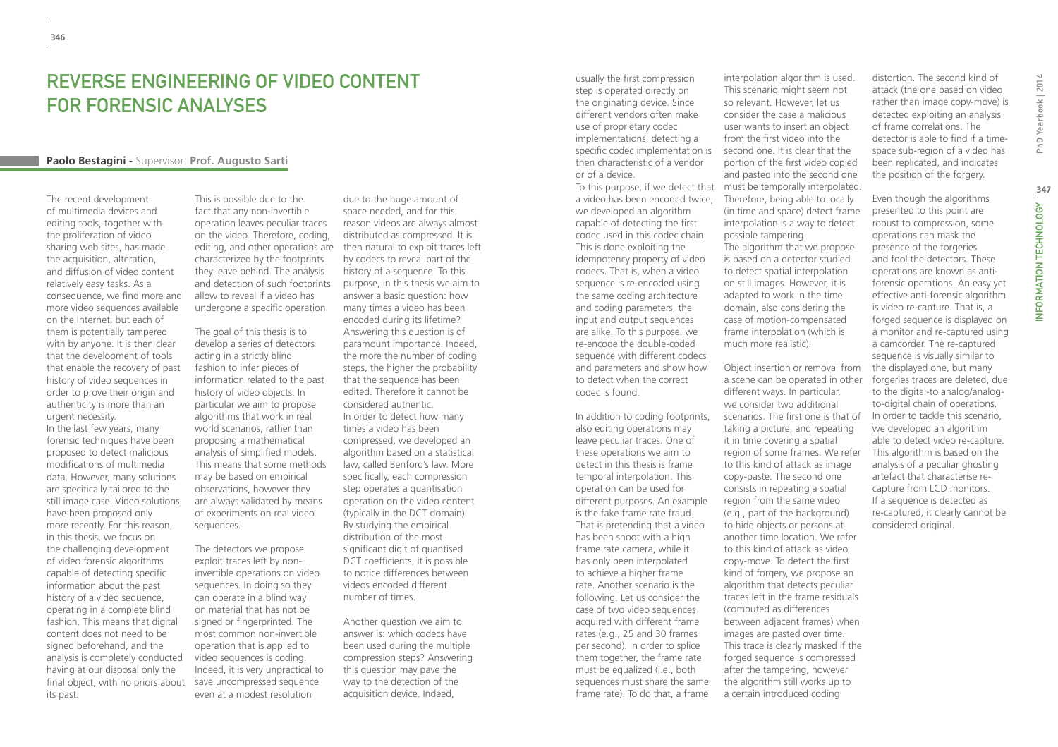## Reverse engineering of video content for forensic analyses

#### **Paolo Bestagini -** Supervisor: **Prof. Augusto Sarti**

The recent development of multimedia devices and editing tools, together with the proliferation of video sharing web sites, has made the acquisition, alteration, and diffusion of video content relatively easy tasks. As a consequence, we find more and more video sequences available on the Internet, but each of them is potentially tampered with by anyone. It is then clear that the development of tools that enable the recovery of past history of video sequences in order to prove their origin and authenticity is more than an urgent necessity.

In the last few years, many forensic techniques have been proposed to detect malicious modifications of multimedia data. However, many solutions are specifically tailored to the still image case. Video solutions have been proposed only more recently. For this reason, in this thesis, we focus on the challenging development of video forensic algorithms capable of detecting specific information about the past history of a video sequence, operating in a complete blind fashion. This means that digital content does not need to be signed beforehand, and the analysis is completely conducted having at our disposal only the final object, with no priors about its past.

This is possible due to the fact that any non-invertible operation leaves peculiar traces on the video. Therefore, coding, editing, and other operations are then natural to exploit traces left characterized by the footprints they leave behind. The analysis and detection of such footprints allow to reveal if a video has undergone a specific operation.

The goal of this thesis is to develop a series of detectors acting in a strictly blind fashion to infer pieces of information related to the past history of video objects. In particular we aim to propose algorithms that work in real world scenarios, rather than proposing a mathematical analysis of simplified models. This means that some methods may be based on empirical observations, however they are always validated by means of experiments on real video sequences.

The detectors we propose exploit traces left by noninvertible operations on video sequences. In doing so they can operate in a blind way on material that has not be signed or fingerprinted. The most common non-invertible operation that is applied to video sequences is coding. Indeed, it is very unpractical to save uncompressed sequence even at a modest resolution

due to the huge amount of space needed, and for this reason videos are always almost distributed as compressed. It is by codecs to reveal part of the history of a sequence. To this purpose, in this thesis we aim to answer a basic question: how many times a video has been encoded during its lifetime? Answering this question is of paramount importance. Indeed, the more the number of coding steps, the higher the probability that the sequence has been edited. Therefore it cannot be considered authentic. In order to detect how many times a video has been compressed, we developed an algorithm based on a statistical law, called Benford's law. More specifically, each compression step operates a quantisation operation on the video content (typically in the DCT domain). By studying the empirical distribution of the most significant digit of quantised DCT coefficients, it is possible to notice differences between videos encoded different number of times.

Another question we aim to answer is: which codecs have been used during the multiple compression steps? Answering this question may pave the way to the detection of the acquisition device. Indeed,

usually the first compression step is operated directly on the originating device. Since different vendors often make use of proprietary codec implementations, detecting a specific codec implementation is then characteristic of a vendor or of a device.

a video has been encoded twice, we developed an algorithm capable of detecting the first codec used in this codec chain. This is done exploiting the idempotency property of video codecs. That is, when a video sequence is re-encoded using the same coding architecture and coding parameters, the input and output sequences are alike. To this purpose, we re-encode the double-coded sequence with different codecs and parameters and show how to detect when the correct codec is found.

In addition to coding footprints, also editing operations may leave peculiar traces. One of these operations we aim to detect in this thesis is frame temporal interpolation. This operation can be used for different purposes. An example is the fake frame rate fraud. That is pretending that a video has been shoot with a high frame rate camera, while it has only been interpolated to achieve a higher frame rate. Another scenario is the following. Let us consider the case of two video sequences acquired with different frame rates (e.g., 25 and 30 frames per second). In order to splice them together, the frame rate must be equalized (i.e., both sequences must share the same frame rate). To do that, a frame

To this purpose, if we detect that must be temporally interpolated. interpolation algorithm is used. This scenario might seem not so relevant. However, let us consider the case a malicious user wants to insert an object from the first video into the second one. It is clear that the portion of the first video copied and pasted into the second one Therefore, being able to locally (in time and space) detect frame interpolation is a way to detect possible tampering. The algorithm that we propose is based on a detector studied to detect spatial interpolation on still images. However, it is adapted to work in the time domain, also considering the case of motion-compensated frame interpolation (which is much more realistic).

> Object insertion or removal from a scene can be operated in other different ways. In particular, we consider two additional scenarios. The first one is that of taking a picture, and repeating it in time covering a spatial region of some frames. We refer to this kind of attack as image copy-paste. The second one consists in repeating a spatial region from the same video (e.g., part of the background) to hide objects or persons at another time location. We refer to this kind of attack as video copy-move. To detect the first kind of forgery, we propose an algorithm that detects peculiar traces left in the frame residuals (computed as differences between adjacent frames) when images are pasted over time. This trace is clearly masked if the forged sequence is compressed after the tampering, however the algorithm still works up to a certain introduced coding

distortion. The second kind of attack (the one based on video rather than image copy-move) is detected exploiting an analysis of frame correlations. The detector is able to find if a timespace sub-region of a video has been replicated, and indicates the position of the forgery.

Even though the algorithms presented to this point are robust to compression, some operations can mask the presence of the forgeries and fool the detectors. These operations are known as antiforensic operations. An easy yet effective anti-forensic algorithm is video re-capture. That is, a forged sequence is displayed on a monitor and re-captured using a camcorder. The re-captured sequence is visually similar to the displayed one, but many forgeries traces are deleted, due to the digital-to analog/analogto-digital chain of operations. In order to tackle this scenario, we developed an algorithm able to detect video re-capture. This algorithm is based on the analysis of a peculiar ghosting artefact that characterise recapture from LCD monitors. If a sequence is detected as re-captured, it clearly cannot be considered original.

**347**

INFORMATION TECHNOLOGY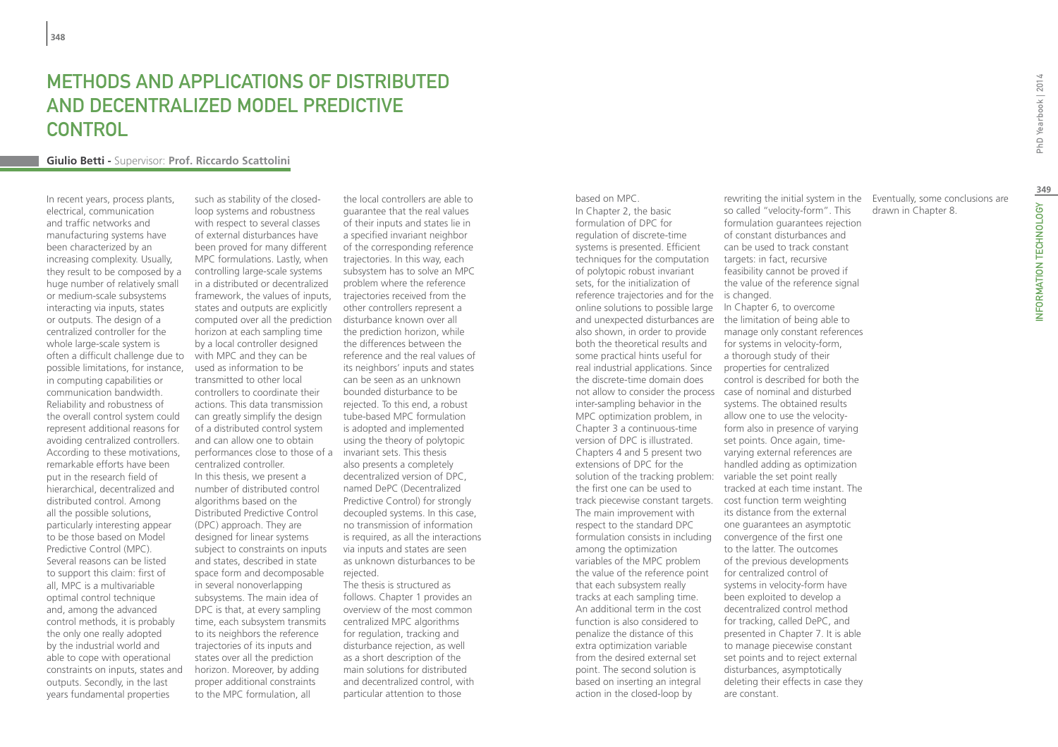## Methods and applications of distributed and decentralized Model Predictive CONTROL

#### **Giulio Betti -** Supervisor: **Prof. Riccardo Scattolini**

In recent years, process plants, electrical, communication and traffic networks and manufacturing systems have been characterized by an increasing complexity. Usually, they result to be composed by a huge number of relatively small or medium-scale subsystems interacting via inputs, states or outputs. The design of a centralized controller for the whole large-scale system is often a difficult challenge due to possible limitations, for instance, in computing capabilities or communication bandwidth. Reliability and robustness of the overall control system could represent additional reasons for avoiding centralized controllers. According to these motivations, remarkable efforts have been put in the research field of hierarchical, decentralized and distributed control. Among all the possible solutions, particularly interesting appear to be those based on Model Predictive Control (MPC). Several reasons can be listed to support this claim: first of all, MPC is a multivariable optimal control technique and, among the advanced control methods, it is probably the only one really adopted by the industrial world and able to cope with operational constraints on inputs, states and outputs. Secondly, in the last years fundamental properties

such as stability of the closedloop systems and robustness with respect to several classes of external disturbances have been proved for many different MPC formulations. Lastly, when controlling large-scale systems in a distributed or decentralized framework, the values of inputs, states and outputs are explicitly computed over all the prediction horizon at each sampling time by a local controller designed with MPC and they can be used as information to be transmitted to other local controllers to coordinate their actions. This data transmission can greatly simplify the design of a distributed control system and can allow one to obtain performances close to those of a invariant sets. This thesis centralized controller. In this thesis, we present a number of distributed control algorithms based on the Distributed Predictive Control (DPC) approach. They are designed for linear systems subject to constraints on inputs and states, described in state space form and decomposable in several nonoverlapping subsystems. The main idea of DPC is that, at every sampling time, each subsystem transmits to its neighbors the reference trajectories of its inputs and states over all the prediction horizon. Moreover, by adding proper additional constraints to the MPC formulation, all

the local controllers are able to guarantee that the real values of their inputs and states lie in a specified invariant neighbor of the corresponding reference trajectories. In this way, each subsystem has to solve an MPC problem where the reference trajectories received from the other controllers represent a disturbance known over all the prediction horizon, while the differences between the reference and the real values of its neighbors' inputs and states can be seen as an unknown bounded disturbance to be rejected. To this end, a robust tube-based MPC formulation is adopted and implemented using the theory of polytopic also presents a completely decentralized version of DPC, named DePC (Decentralized Predictive Control) for strongly decoupled systems. In this case, no transmission of information is required, as all the interactions via inputs and states are seen as unknown disturbances to be rejected. The thesis is structured as

follows. Chapter 1 provides an overview of the most common centralized MPC algorithms for regulation, tracking and disturbance rejection, as well as a short description of the main solutions for distributed and decentralized control, with particular attention to those

based on MPC. In Chapter 2, the basic formulation of DPC for regulation of discrete-time systems is presented. Efficient techniques for the computation of polytopic robust invariant sets, for the initialization of reference trajectories and for the is changed. online solutions to possible large and unexpected disturbances are the limitation of being able to also shown, in order to provide both the theoretical results and some practical hints useful for real industrial applications. Since properties for centralized the discrete-time domain does not allow to consider the process case of nominal and disturbed inter-sampling behavior in the MPC optimization problem, in Chapter 3 a continuous-time version of DPC is illustrated. Chapters 4 and 5 present two extensions of DPC for the solution of the tracking problem: variable the set point really the first one can be used to track piecewise constant targets. cost function term weighting The main improvement with respect to the standard DPC formulation consists in including convergence of the first one among the optimization variables of the MPC problem the value of the reference point that each subsystem really tracks at each sampling time. An additional term in the cost function is also considered to penalize the distance of this extra optimization variable from the desired external set point. The second solution is based on inserting an integral action in the closed-loop by

rewriting the initial system in the so called "velocity-form". This formulation guarantees rejection of constant disturbances and can be used to track constant targets: in fact, recursive feasibility cannot be proved if the value of the reference signal In Chapter 6, to overcome manage only constant references for systems in velocity-form, a thorough study of their control is described for both the systems. The obtained results allow one to use the velocityform also in presence of varying set points. Once again, timevarying external references are handled adding as optimization tracked at each time instant. The its distance from the external one guarantees an asymptotic to the latter. The outcomes of the previous developments for centralized control of systems in velocity-form have been exploited to develop a decentralized control method for tracking, called DePC, and presented in Chapter 7. It is able to manage piecewise constant set points and to reject external disturbances, asymptotically deleting their effects in case they

are constant.

Eventually, some conclusions are drawn in Chapter 8.

INFORMATION TECHNOLOGY PhD Yearbook | 2014 NFORMATION TECHNOLOGY

**349**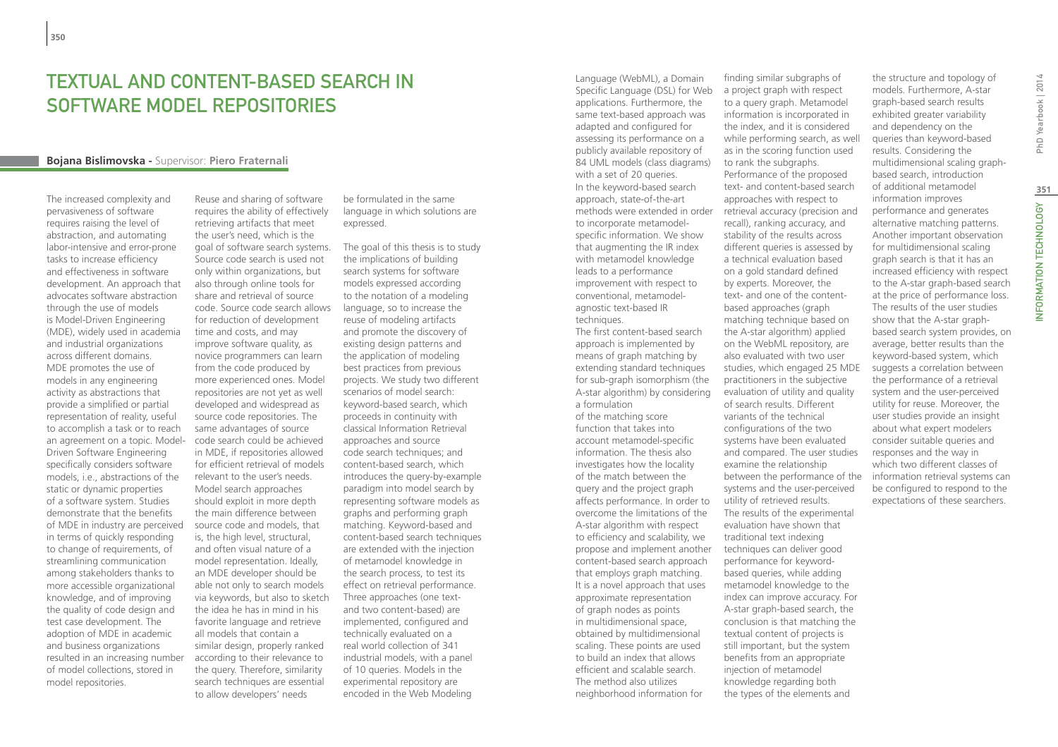## Textual and Content-Based Search in Software Model Repositories

#### **Bojana Bislimovska -** Supervisor: **Piero Fraternali**

The increased complexity and pervasiveness of software requires raising the level of abstraction, and automating labor-intensive and error-prone tasks to increase efficiency and effectiveness in software development. An approach that advocates software abstraction through the use of models is Model-Driven Engineering (MDE), widely used in academia and industrial organizations across different domains. MDE promotes the use of models in any engineering activity as abstractions that provide a simplified or partial representation of reality, useful to accomplish a task or to reach an agreement on a topic. Model-Driven Software Engineering specifically considers software models, i.e., abstractions of the static or dynamic properties of a software system. Studies demonstrate that the benefits of MDE in industry are perceived in terms of quickly responding to change of requirements, of streamlining communication among stakeholders thanks to more accessible organizational knowledge, and of improving the quality of code design and test case development. The adoption of MDE in academic and business organizations resulted in an increasing number of model collections, stored in model repositories.

Reuse and sharing of software requires the ability of effectively retrieving artifacts that meet the user's need, which is the goal of software search systems. Source code search is used not only within organizations, but also through online tools for share and retrieval of source code. Source code search allows for reduction of development time and costs, and may improve software quality, as novice programmers can learn from the code produced by more experienced ones. Model repositories are not yet as well developed and widespread as source code repositories. The same advantages of source code search could be achieved in MDE, if repositories allowed for efficient retrieval of models relevant to the user's needs. Model search approaches should exploit in more depth the main difference between source code and models, that is, the high level, structural, and often visual nature of a model representation. Ideally, an MDE developer should be able not only to search models via keywords, but also to sketch the idea he has in mind in his favorite language and retrieve all models that contain a similar design, properly ranked according to their relevance to the query. Therefore, similarity search techniques are essential to allow developers' needs

be formulated in the same language in which solutions are expressed.

The goal of this thesis is to study the implications of building search systems for software models expressed according to the notation of a modeling language, so to increase the reuse of modeling artifacts and promote the discovery of existing design patterns and the application of modeling best practices from previous projects. We study two different scenarios of model search: keyword-based search, which proceeds in continuity with classical Information Retrieval approaches and source code search techniques; and content-based search, which introduces the query-by-example paradigm into model search by representing software models as graphs and performing graph matching. Keyword-based and content-based search techniques are extended with the injection of metamodel knowledge in the search process, to test its effect on retrieval performance. Three approaches (one textand two content-based) are implemented, configured and technically evaluated on a real world collection of 341 industrial models, with a panel of 10 queries. Models in the experimental repository are encoded in the Web Modeling

Language (WebML), a Domain Specific Language (DSL) for Web applications. Furthermore, the same text-based approach was adapted and configured for assessing its performance on a publicly available repository of 84 UML models (class diagrams) with a set of 20 queries. In the keyword-based search approach, state-of-the-art methods were extended in order to incorporate metamodelspecific information. We show that augmenting the IR index with metamodel knowledge leads to a performance improvement with respect to conventional, metamodelagnostic text-based IR techniques. The first content-based search approach is implemented by means of graph matching by extending standard techniques for sub-graph isomorphism (the A-star algorithm) by considering a formulation of the matching score function that takes into account metamodel-specific information. The thesis also investigates how the locality of the match between the query and the project graph affects performance. In order to overcome the limitations of the A-star algorithm with respect to efficiency and scalability, we propose and implement another content-based search approach that employs graph matching.

It is a novel approach that uses approximate representation of graph nodes as points in multidimensional space, obtained by multidimensional scaling. These points are used to build an index that allows efficient and scalable search. The method also utilizes neighborhood information for

a project graph with respect to a query graph. Metamodel information is incorporated in the index, and it is considered while performing search, as well as in the scoring function used to rank the subgraphs. Performance of the proposed text- and content-based search approaches with respect to retrieval accuracy (precision and recall), ranking accuracy, and stability of the results across different queries is assessed by a technical evaluation based on a gold standard defined by experts. Moreover, the text- and one of the contentbased approaches (graph matching technique based on the A-star algorithm) applied on the WebML repository, are also evaluated with two user studies, which engaged 25 MDE practitioners in the subjective evaluation of utility and quality of search results. Different variants of the technical configurations of the two systems have been evaluated and compared. The user studies examine the relationship between the performance of the systems and the user-perceived utility of retrieved results. The results of the experimental evaluation have shown that traditional text indexing techniques can deliver good performance for keywordbased queries, while adding metamodel knowledge to the index can improve accuracy. For A-star graph-based search, the conclusion is that matching the textual content of projects is still important, but the system benefits from an appropriate injection of metamodel knowledge regarding both the types of the elements and

finding similar subgraphs of

the structure and topology of models. Furthermore, A-star graph-based search results exhibited greater variability and dependency on the queries than keyword-based results. Considering the multidimensional scaling graphbased search, introduction of additional metamodel information improves performance and generates alternative matching patterns. Another important observation for multidimensional scaling graph search is that it has an increased efficiency with respect to the A-star graph-based search at the price of performance loss. The results of the user studies show that the A-star graphbased search system provides, on average, better results than the keyword-based system, which suggests a correlation between the performance of a retrieval system and the user-perceived utility for reuse. Moreover, the user studies provide an insight about what expert modelers consider suitable queries and responses and the way in which two different classes of information retrieval systems can be configured to respond to the expectations of these searchers.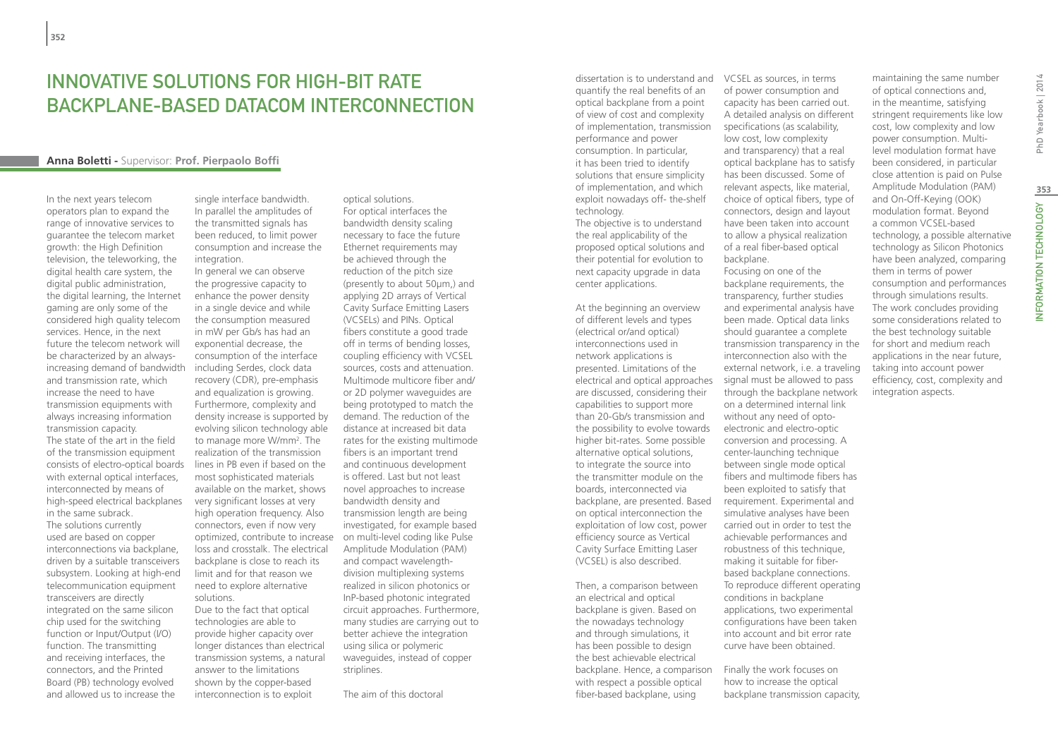## INNOVATIVE SOLUTIONS FOR HIGH-BIT RATE backplane-based datacom interconnection

#### **Anna Boletti -** Supervisor: **Prof. Pierpaolo Boffi**

In the next years telecom operators plan to expand the range of innovative services to guarantee the telecom market growth: the High Definition television, the teleworking, the digital health care system, the digital public administration, the digital learning, the Internet gaming are only some of the considered high quality telecom services. Hence, in the next future the telecom network will be characterized by an alwaysincreasing demand of bandwidth and transmission rate, which increase the need to have transmission equipments with always increasing information transmission capacity. The state of the art in the field of the transmission equipment consists of electro-optical boards with external optical interfaces, interconnected by means of high-speed electrical backplanes in the same subrack. The solutions currently used are based on copper interconnections via backplane, driven by a suitable transceivers subsystem. Looking at high-end telecommunication equipment transceivers are directly integrated on the same silicon chip used for the switching function or Input/Output (I/O) function. The transmitting and receiving interfaces, the connectors, and the Printed Board (PB) technology evolved and allowed us to increase the

single interface bandwidth. In parallel the amplitudes of the transmitted signals has been reduced, to limit power consumption and increase the integration.

In general we can observe the progressive capacity to enhance the power density in a single device and while the consumption measured in mW per Gb/s has had an exponential decrease, the consumption of the interface including Serdes, clock data recovery (CDR), pre-emphasis and equalization is growing. Furthermore, complexity and density increase is supported by evolving silicon technology able to manage more W/mm2 . The realization of the transmission lines in PB even if based on the most sophisticated materials available on the market, shows very significant losses at very high operation frequency. Also connectors, even if now very optimized, contribute to increase loss and crosstalk. The electrical backplane is close to reach its limit and for that reason we need to explore alternative solutions.

Due to the fact that optical technologies are able to provide higher capacity over longer distances than electrical transmission systems, a natural answer to the limitations shown by the copper-based interconnection is to exploit

optical solutions. For optical interfaces the bandwidth density scaling necessary to face the future Ethernet requirements may be achieved through the reduction of the pitch size (presently to about 50μm,) and applying 2D arrays of Vertical Cavity Surface Emitting Lasers (VCSELs) and PINs. Optical fibers constitute a good trade off in terms of bending losses, coupling efficiency with VCSEL sources, costs and attenuation. Multimode multicore fiber and/ or 2D polymer waveguides are being prototyped to match the demand. The reduction of the distance at increased bit data rates for the existing multimode fibers is an important trend and continuous development is offered. Last but not least novel approaches to increase bandwidth density and transmission length are being investigated, for example based on multi-level coding like Pulse Amplitude Modulation (PAM) and compact wavelengthdivision multiplexing systems realized in silicon photonics or InP-based photonic integrated circuit approaches. Furthermore, many studies are carrying out to better achieve the integration using silica or polymeric waveguides, instead of copper striplines.

The aim of this doctoral

quantify the real benefits of an optical backplane from a point of view of cost and complexity of implementation, transmission performance and power consumption. In particular, it has been tried to identify solutions that ensure simplicity of implementation, and which exploit nowadays off- the-shelf technology.

The objective is to understand the real applicability of the proposed optical solutions and their potential for evolution to next capacity upgrade in data center applications.

At the beginning an overview of different levels and types (electrical or/and optical) interconnections used in network applications is presented. Limitations of the electrical and optical approaches are discussed, considering their capabilities to support more than 20-Gb/s transmission and the possibility to evolve towards higher bit-rates. Some possible alternative optical solutions, to integrate the source into the transmitter module on the boards, interconnected via backplane, are presented. Based on optical interconnection the exploitation of low cost, power efficiency source as Vertical Cavity Surface Emitting Laser (VCSEL) is also described.

Then, a comparison between an electrical and optical backplane is given. Based on the nowadays technology and through simulations, it has been possible to design the best achievable electrical backplane. Hence, a comparison with respect a possible optical fiber-based backplane, using

dissertation is to understand and VCSEL as sources, in terms of power consumption and capacity has been carried out. A detailed analysis on different specifications (as scalability, low cost, low complexity and transparency) that a real optical backplane has to satisfy has been discussed. Some of relevant aspects, like material, choice of optical fibers, type of connectors, design and layout have been taken into account to allow a physical realization of a real fiber-based optical backplane. Focusing on one of the

> backplane requirements, the transparency, further studies and experimental analysis have been made. Optical data links should guarantee a complete transmission transparency in the interconnection also with the external network, i.e. a traveling signal must be allowed to pass through the backplane network on a determined internal link without any need of optoelectronic and electro-optic conversion and processing. A center-launching technique between single mode optical fibers and multimode fibers has been exploited to satisfy that requirement. Experimental and simulative analyses have been carried out in order to test the achievable performances and robustness of this technique, making it suitable for fiberbased backplane connections. To reproduce different operating conditions in backplane applications, two experimental configurations have been taken into account and bit error rate curve have been obtained.

Finally the work focuses on how to increase the optical backplane transmission capacity,

maintaining the same number of optical connections and, in the meantime, satisfying stringent requirements like low cost, low complexity and low power consumption. Multilevel modulation format have been considered, in particular close attention is paid on Pulse Amplitude Modulation (PAM) and On-Off-Keying (OOK) modulation format. Beyond a common VCSEL-based technology, a possible alternative technology as Silicon Photonics have been analyzed, comparing them in terms of power consumption and performances through simulations results. The work concludes providing some considerations related to the best technology suitable for short and medium reach applications in the near future, taking into account power efficiency, cost, complexity and integration aspects.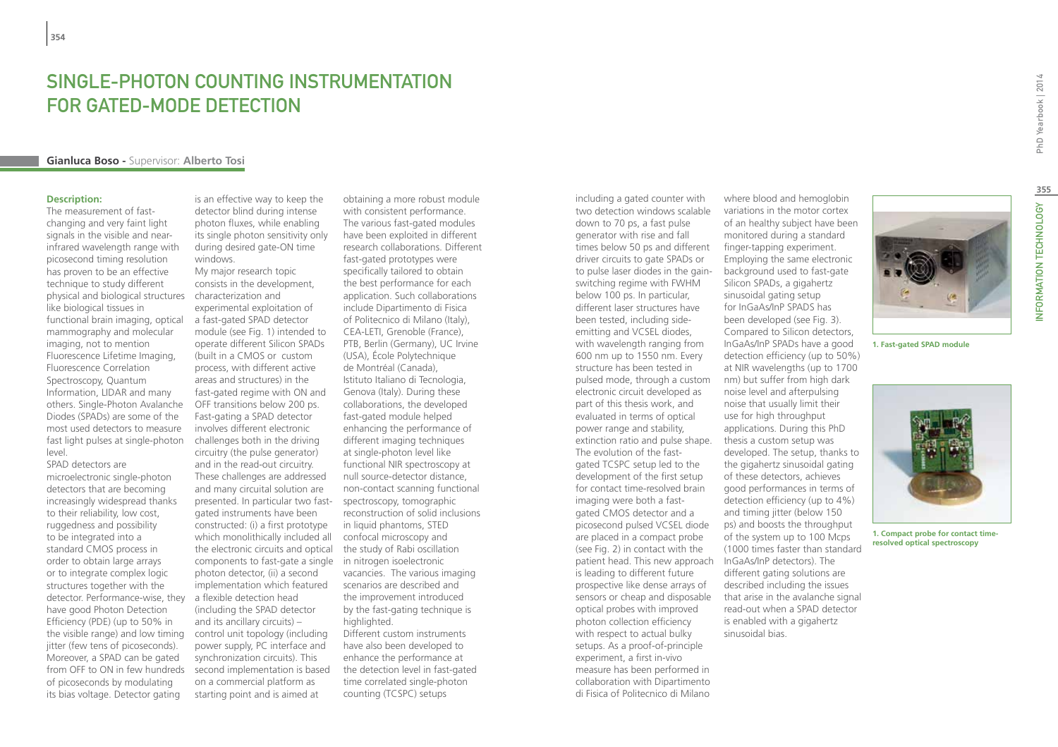## SINGLE-PHOTON COUNTING INSTRUMENTATION FOR GATED-MODE DETECTION

#### **Gianluca Boso -** Supervisor: **Alberto Tosi**

#### **Description:**

The measurement of fastchanging and very faint light signals in the visible and nearinfrared wavelength range with picosecond timing resolution has proven to be an effective technique to study different physical and biological structures like biological tissues in functional brain imaging, optical mammography and molecular imaging, not to mention Fluorescence Lifetime Imaging, Fluorescence Correlation Spectroscopy, Quantum Information, LIDAR and many others. Single-Photon Avalanche Diodes (SPADs) are some of the most used detectors to measure fast light pulses at single-photon level.

SPAD detectors are microelectronic single-photon detectors that are becoming increasingly widespread thanks to their reliability, low cost, ruggedness and possibility to be integrated into a standard CMOS process in order to obtain large arrays or to integrate complex logic structures together with the detector. Performance-wise, they have good Photon Detection Efficiency (PDE) (up to 50% in the visible range) and low timing jitter (few tens of picoseconds). Moreover, a SPAD can be gated from OFF to ON in few hundreds of picoseconds by modulating its bias voltage. Detector gating

is an effective way to keep the detector blind during intense photon fluxes, while enabling its single photon sensitivity only during desired gate-ON time windows.

My major research topic consists in the development, characterization and experimental exploitation of a fast-gated SPAD detector module (see Fig. 1) intended to operate different Silicon SPADs (built in a CMOS or custom process, with different active areas and structures) in the fast-gated regime with ON and OFF transitions below 200 ps. Fast-gating a SPAD detector involves different electronic challenges both in the driving circuitry (the pulse generator) and in the read-out circuitry. These challenges are addressed and many circuital solution are presented. In particular two fastgated instruments have been constructed: (i) a first prototype which monolithically included all the electronic circuits and optical components to fast-gate a single in nitrogen isoelectronic photon detector, (ii) a second implementation which featured a flexible detection head (including the SPAD detector and its ancillary circuits) – control unit topology (including power supply, PC interface and synchronization circuits). This second implementation is based on a commercial platform as starting point and is aimed at

obtaining a more robust module with consistent performance. The various fast-gated modules have been exploited in different research collaborations. Different fast-gated prototypes were specifically tailored to obtain the best performance for each application. Such collaborations include Dipartimento di Fisica of Politecnico di Milano (Italy), CEA-LETI, Grenoble (France), PTB, Berlin (Germany), UC Irvine (USA), École Polytechnique de Montréal (Canada), Istituto Italiano di Tecnologia, Genova (Italy). During these collaborations, the developed fast-gated module helped enhancing the performance of different imaging techniques at single-photon level like functional NIR spectroscopy at null source-detector distance, non-contact scanning functional spectroscopy, tomographic reconstruction of solid inclusions in liquid phantoms, STED confocal microscopy and the study of Rabi oscillation vacancies. The various imaging scenarios are described and the improvement introduced by the fast-gating technique is highlighted. Different custom instruments have also been developed to enhance the performance at the detection level in fast-gated

time correlated single-photon counting (TCSPC) setups

including a gated counter with two detection windows scalable down to 70 ps, a fast pulse generator with rise and fall times below 50 ps and different driver circuits to gate SPADs or to pulse laser diodes in the gainswitching regime with FWHM below 100 ps. In particular, different laser structures have been tested, including sideemitting and VCSEL diodes, with wavelength ranging from 600 nm up to 1550 nm. Every structure has been tested in pulsed mode, through a custom electronic circuit developed as part of this thesis work, and evaluated in terms of optical power range and stability, extinction ratio and pulse shape. The evolution of the fastgated TCSPC setup led to the development of the first setup for contact time-resolved brain imaging were both a fastgated CMOS detector and a picosecond pulsed VCSEL diode are placed in a compact probe (see Fig. 2) in contact with the patient head. This new approach InGaAs/InP detectors). The is leading to different future prospective like dense arrays of sensors or cheap and disposable optical probes with improved photon collection efficiency with respect to actual bulky setups. As a proof-of-principle experiment, a first in-vivo measure has been performed in collaboration with Dipartimento di Fisica of Politecnico di Milano

where blood and hemoglobin variations in the motor cortex of an healthy subject have been monitored during a standard finger-tapping experiment. Employing the same electronic background used to fast-gate Silicon SPADs, a gigahertz sinusoidal gating setup for InGaAs/InP SPADS has been developed (see Fig. 3). Compared to Silicon detectors, InGaAs/InP SPADs have a good detection efficiency (up to 50%) at NIR wavelengths (up to 1700 nm) but suffer from high dark noise level and afterpulsing noise that usually limit their use for high throughput applications. During this PhD thesis a custom setup was developed. The setup, thanks to the gigahertz sinusoidal gating of these detectors, achieves good performances in terms of detection efficiency (up to 4%) and timing jitter (below 150 ps) and boosts the throughput of the system up to 100 Mcps (1000 times faster than standard different gating solutions are described including the issues that arise in the avalanche signal read-out when a SPAD detector is enabled with a gigahertz sinusoidal bias.

PhD Yearbook | 2014



**1. Compact probe for contact timeresolved optical spectroscopy**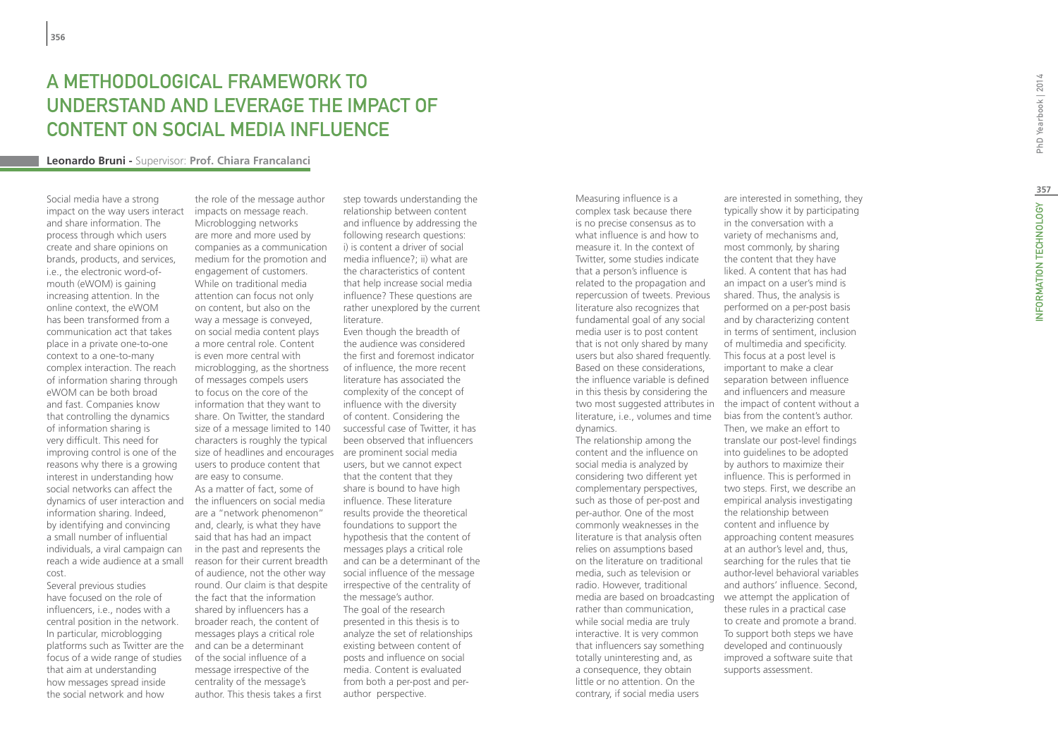# A Methodological Framework to Understand and Leverage the Impact of Content on Social Media Influence

#### **Leonardo Bruni -** Supervisor: **Prof. Chiara Francalanci**

Social media have a strong impact on the way users interact and share information. The process through which users create and share opinions on brands, products, and services, i.e., the electronic word-ofmouth (eWOM) is gaining increasing attention. In the online context, the eWOM has been transformed from a communication act that takes place in a private one-to-one context to a one-to-many complex interaction. The reach of information sharing through eWOM can be both broad and fast. Companies know that controlling the dynamics of information sharing is very difficult. This need for improving control is one of the reasons why there is a growing interest in understanding how social networks can affect the dynamics of user interaction and information sharing. Indeed, by identifying and convincing a small number of influential individuals, a viral campaign can reach a wide audience at a small cost.

Several previous studies have focused on the role of influencers, i.e., nodes with a central position in the network. In particular, microblogging platforms such as Twitter are the focus of a wide range of studies that aim at understanding how messages spread inside the social network and how

the role of the message author impacts on message reach. Microblogging networks are more and more used by companies as a communication medium for the promotion and engagement of customers. While on traditional media attention can focus not only on content, but also on the way a message is conveyed, on social media content plays a more central role. Content is even more central with microblogging, as the shortness of messages compels users to focus on the core of the information that they want to share. On Twitter, the standard size of a message limited to 140 characters is roughly the typical size of headlines and encourages are prominent social media users to produce content that are easy to consume. As a matter of fact, some of the influencers on social media are a "network phenomenon" and, clearly, is what they have said that has had an impact in the past and represents the reason for their current breadth of audience, not the other way round. Our claim is that despite the fact that the information shared by influencers has a broader reach, the content of messages plays a critical role and can be a determinant of the social influence of a message irrespective of the centrality of the message's author. This thesis takes a first

step towards understanding the relationship between content and influence by addressing the following research questions: i) is content a driver of social media influence?; ii) what are the characteristics of content that help increase social media influence? These questions are rather unexplored by the current literature.

Even though the breadth of the audience was considered the first and foremost indicator of influence, the more recent literature has associated the complexity of the concept of influence with the diversity of content. Considering the successful case of Twitter, it has been observed that influencers users, but we cannot expect that the content that they share is bound to have high influence. These literature results provide the theoretical foundations to support the hypothesis that the content of messages plays a critical role and can be a determinant of the social influence of the message irrespective of the centrality of the message's author. The goal of the research presented in this thesis is to analyze the set of relationships existing between content of posts and influence on social media. Content is evaluated from both a per-post and perauthor perspective.

Measuring influence is a complex task because there is no precise consensus as to what influence is and how to measure it. In the context of Twitter, some studies indicate that a person's influence is related to the propagation and repercussion of tweets. Previous literature also recognizes that fundamental goal of any social media user is to post content that is not only shared by many users but also shared frequently. Based on these considerations, the influence variable is defined in this thesis by considering the two most suggested attributes in literature, i.e., volumes and time dynamics.

The relationship among the content and the influence on social media is analyzed by considering two different yet complementary perspectives, such as those of per-post and per-author. One of the most commonly weaknesses in the literature is that analysis often relies on assumptions based on the literature on traditional media, such as television or radio. However, traditional media are based on broadcasting rather than communication, while social media are truly interactive. It is very common that influencers say something totally uninteresting and, as a consequence, they obtain little or no attention. On the contrary, if social media users

are interested in something, they typically show it by participating in the conversation with a variety of mechanisms and, most commonly, by sharing the content that they have liked. A content that has had an impact on a user's mind is shared. Thus, the analysis is performed on a per-post basis and by characterizing content in terms of sentiment, inclusion of multimedia and specificity. This focus at a post level is important to make a clear separation between influence and influencers and measure the impact of content without a bias from the content's author. Then, we make an effort to translate our post-level findings into guidelines to be adopted by authors to maximize their influence. This is performed in two steps. First, we describe an empirical analysis investigating the relationship between content and influence by approaching content measures at an author's level and, thus, searching for the rules that tie author-level behavioral variables and authors' influence. Second, we attempt the application of these rules in a practical case to create and promote a brand. To support both steps we have developed and continuously improved a software suite that

supports assessment.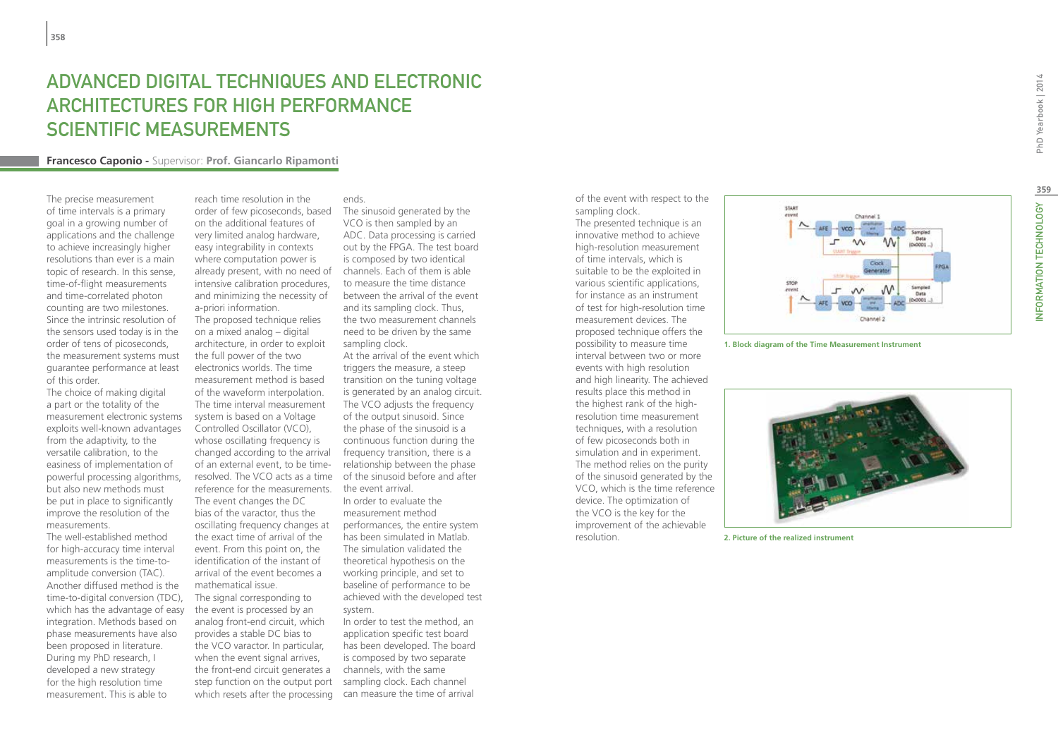## ADVANCED DIGITAL TECHNIQUES AND ELECTRONIC Architectures for High Performance Scientific Measurements

#### **Francesco Caponio -** Supervisor: **Prof. Giancarlo Ripamonti**

The precise measurement of time intervals is a primary goal in a growing number of applications and the challenge to achieve increasingly higher resolutions than ever is a main topic of research. In this sense, time-of-flight measurements and time-correlated photon counting are two milestones. Since the intrinsic resolution of the sensors used today is in the order of tens of picoseconds, the measurement systems must guarantee performance at least of this order.

The choice of making digital a part or the totality of the measurement electronic systems exploits well-known advantages from the adaptivity, to the versatile calibration, to the easiness of implementation of powerful processing algorithms, but also new methods must be put in place to significantly improve the resolution of the measurements.

The well-established method for high-accuracy time interval measurements is the time-toamplitude conversion (TAC). Another diffused method is the time-to-digital conversion (TDC), which has the advantage of easy integration. Methods based on phase measurements have also been proposed in literature. During my PhD research, I developed a new strategy for the high resolution time measurement. This is able to

reach time resolution in the on the additional features of very limited analog hardware, easy integrability in contexts where computation power is already present, with no need of intensive calibration procedures, and minimizing the necessity of

a-priori information. The proposed technique relies on a mixed analog – digital architecture, in order to exploit the full power of the two electronics worlds. The time measurement method is based of the waveform interpolation. The time interval measurement system is based on a Voltage Controlled Oscillator (VCO), whose oscillating frequency is changed according to the arrival of an external event, to be timereference for the measurements. the event arrival. The event changes the DC bias of the varactor, thus the oscillating frequency changes at the exact time of arrival of the event. From this point on, the identification of the instant of arrival of the event becomes a mathematical issue. The signal corresponding to the event is processed by an analog front-end circuit, which provides a stable DC bias to the VCO varactor. In particular, when the event signal arrives, the front-end circuit generates a

ends.

order of few picoseconds, based The sinusoid generated by the VCO is then sampled by an ADC. Data processing is carried out by the FPGA. The test board is composed by two identical channels. Each of them is able to measure the time distance between the arrival of the event and its sampling clock. Thus, the two measurement channels need to be driven by the same sampling clock.

resolved. The VCO acts as a time of the sinusoid before and after At the arrival of the event which triggers the measure, a steep transition on the tuning voltage is generated by an analog circuit. The VCO adjusts the frequency of the output sinusoid. Since the phase of the sinusoid is a continuous function during the frequency transition, there is a relationship between the phase

> In order to evaluate the measurement method performances, the entire system has been simulated in Matlab. The simulation validated the theoretical hypothesis on the working principle, and set to baseline of performance to be achieved with the developed test system.

step function on the output port sampling clock. Each channel which resets after the processing can measure the time of arrival In order to test the method, an application specific test board has been developed. The board is composed by two separate channels, with the same

of the event with respect to the sampling clock.

The presented technique is an innovative method to achieve high-resolution measurement of time intervals, which is suitable to be the exploited in various scientific applications, for instance as an instrument of test for high-resolution time measurement devices. The proposed technique offers the possibility to measure time interval between two or more events with high resolution and high linearity. The achieved results place this method in the highest rank of the highresolution time measurement techniques, with a resolution of few picoseconds both in simulation and in experiment. The method relies on the purity of the sinusoid generated by the VCO, which is the time reference device. The optimization of the VCO is the key for the improvement of the achievable resolution.



**1. Block diagram of the Time Measurement Instrument**



**2. Picture of the realized instrument**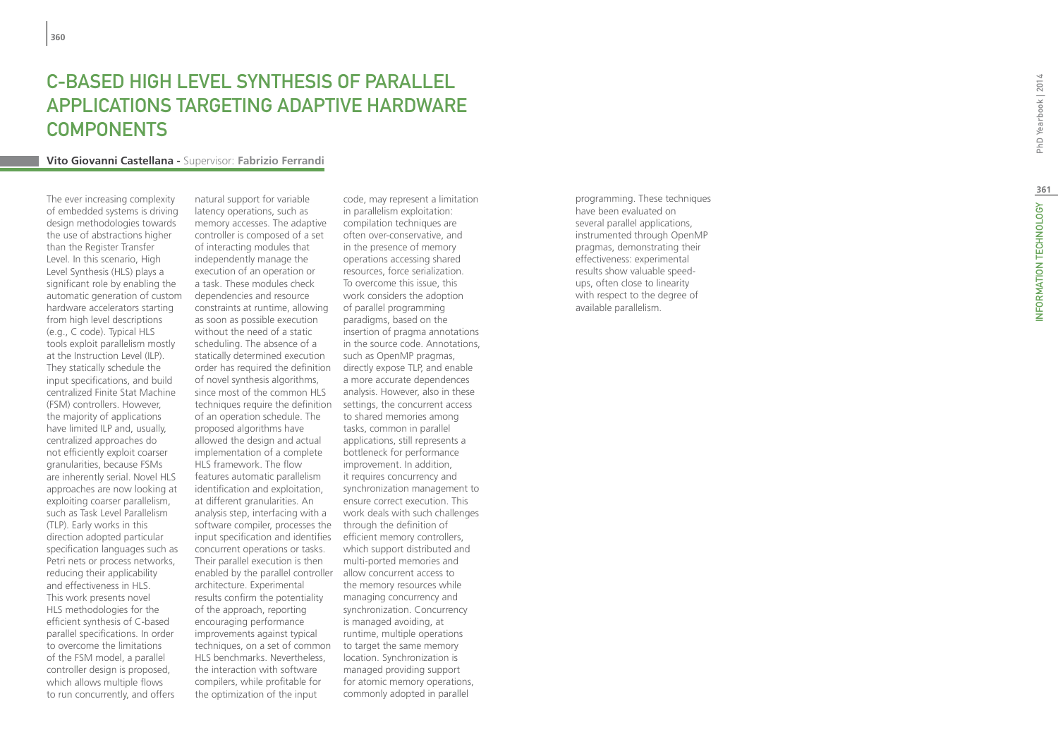## C-BASED HIG H LEVEL SYNTHES I S O F PARALL EL APPLICATIONS TARGETING ADAPTIVE HARDWARE **COMPONENTS**

#### **Vito Giovanni Castellana -** Supervisor: **Fabrizio Ferrandi**

The ever increasing complexity of embedded systems is driving design methodologies towards the use of abstractions higher than the Register Transfer Level. In this scenario, High Level Synthesis (HLS) plays a significant role by enabling the automatic generation of custom hardware accelerators starting from high level descriptions (e.g., C code). Typical HLS tools exploit parallelism mostly at the Instruction Level (ILP). They statically schedule the input specifications, and build centralized Finite Stat Machine (FSM) controllers. However, the majority of applications have limited ILP and, usually, centralized approaches do not efficiently exploit coarser granularities, because FSMs are inherently serial. Novel HLS approaches are now looking at exploiting coarser parallelism, such as Task Level Parallelism (TLP). Early works in this direction adopted particular specification languages such as Petri nets or process networks, reducing their applicability and effectiveness in HLS. This work presents novel HLS methodologies for the efficient synthesis of C-based parallel specifications. In order to overcome the limitations of the FSM model, a parallel controller design is proposed, which allows multiple flows to run concurrently, and offers

natural support for variable latency operations, such as memory accesses. The adaptive controller is composed of a set of interacting modules that independently manage the execution of an operation or a task. These modules check dependencies and resource constraints at runtime, allowing as soon as possible execution without the need of a static scheduling. The absence of a statically determined execution order has required the definition of novel synthesis algorithms, since most of the common HLS techniques require the definition of an operation schedule. The proposed algorithms have allowed the design and actual implementation of a complete HLS framework. The flow features automatic parallelism identification and exploitation, at different granularities. An analysis step, interfacing with a software compiler, processes the input specification and identifies concurrent operations or tasks. Their parallel execution is then enabled by the parallel controller allow concurrent access to architecture. Experimental results confirm the potentiality of the approach, reporting encouraging performance improvements against typical techniques, on a set of common HLS benchmarks. Nevertheless, the interaction with software compilers, while profitable for the optimization of the input

code, may represent a limitation in parallelism exploitation: compilation techniques are often over-conservative, and in the presence of memory operations accessing shared resources, force serialization. To overcome this issue, this work considers the adoption of parallel programming paradigms, based on the insertion of pragma annotations in the source code. Annotations, such as OpenMP pragmas, directly expose TLP, and enable a more accurate dependences analysis. However, also in these settings, the concurrent access to shared memories among tasks, common in parallel applications, still represents a bottleneck for performance improvement. In addition, it requires concurrency and synchronization management to ensure correct execution. This work deals with such challenges through the definition of efficient memory controllers, which support distributed and multi-ported memories and the memory resources while managing concurrency and synchronization. Concurrency is managed avoiding, at runtime, multiple operations to target the same memory location. Synchronization is managed providing support for atomic memory operations, commonly adopted in parallel

programming. These techniques have been evaluated on several parallel applications, instrumented through OpenMP pragmas, demonstrating their effectiveness: experimental results show valuable speedups, often close to linearity with respect to the degree of available parallelism.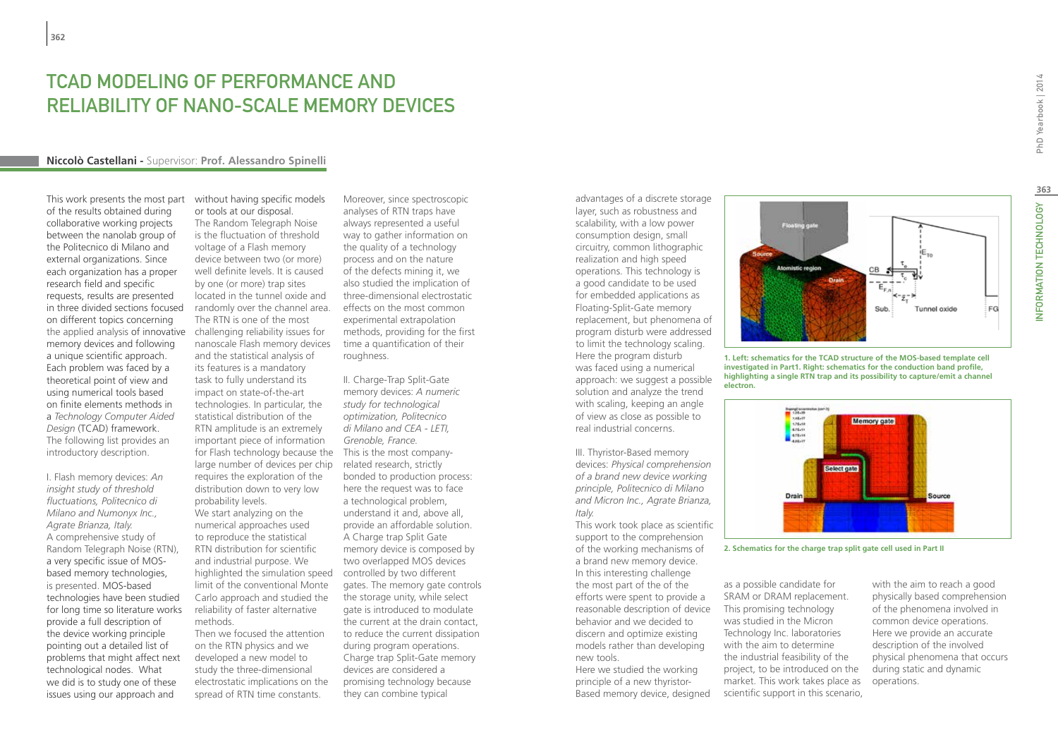## TCAD Modeling of Performance and Reliability of Nano-Scale Memory Devices

#### **Niccolò Castellani -** Supervisor: **Prof. Alessandro Spinelli**

This work presents the most part of the results obtained during collaborative working projects between the nanolab group of the Politecnico di Milano and external organizations. Since each organization has a proper research field and specific requests, results are presented in three divided sections focused on different topics concerning the applied analysis of innovative memory devices and following a unique scientific approach. Each problem was faced by a theoretical point of view and using numerical tools based on finite elements methods in a *Technology Computer Aided Design* (TCAD) framework. The following list provides an introductory description.

I. Flash memory devices: *An insight study of threshold fluctuations, Politecnico di Milano and Numonyx Inc., Agrate Brianza, Italy.* A comprehensive study of Random Telegraph Noise (RTN), a very specific issue of MOSbased memory technologies, is presented. MOS-based technologies have been studied for long time so literature works provide a full description of the device working principle pointing out a detailed list of problems that might affect next technological nodes. What we did is to study one of these issues using our approach and

without having specific models or tools at our disposal. The Random Telegraph Noise is the fluctuation of threshold voltage of a Flash memory device between two (or more) well definite levels. It is caused by one (or more) trap sites located in the tunnel oxide and randomly over the channel area. The RTN is one of the most challenging reliability issues for nanoscale Flash memory devices and the statistical analysis of its features is a mandatory task to fully understand its impact on state-of-the-art technologies. In particular, the statistical distribution of the RTN amplitude is an extremely important piece of information for Flash technology because the This is the most companylarge number of devices per chip related research, strictly requires the exploration of the distribution down to very low probability levels.

We start analyzing on the numerical approaches used to reproduce the statistical RTN distribution for scientific and industrial purpose. We highlighted the simulation speed limit of the conventional Monte Carlo approach and studied the reliability of faster alternative methods.

Then we focused the attention on the RTN physics and we developed a new model to study the three-dimensional electrostatic implications on the spread of RTN time constants.

Moreover, since spectroscopic analyses of RTN traps have always represented a useful way to gather information on the quality of a technology process and on the nature of the defects mining it, we also studied the implication of three-dimensional electrostatic effects on the most common experimental extrapolation methods, providing for the first time a quantification of their roughness.

II. Charge-Trap Split-Gate memory devices: *A numeric study for technological optimization, Politecnico di Milano and CEA - LETI, Grenoble, France.* bonded to production process: here the request was to face a technological problem, understand it and, above all, provide an affordable solution. A Charge trap Split Gate memory device is composed by two overlapped MOS devices controlled by two different gates. The memory gate controls the storage unity, while select gate is introduced to modulate the current at the drain contact, to reduce the current dissipation during program operations. Charge trap Split-Gate memory devices are considered a promising technology because they can combine typical

layer, such as robustness and scalability, with a low power consumption design, small circuitry, common lithographic realization and high speed operations. This technology is a good candidate to be used for embedded applications as Floating-Split-Gate memory replacement, but phenomena of program disturb were addressed to limit the technology scaling. Here the program disturb was faced using a numerical approach: we suggest a possible solution and analyze the trend with scaling, keeping an angle of view as close as possible to real industrial concerns.

advantages of a discrete storage

III. Thyristor-Based memory devices: *Physical comprehension of a brand new device working principle, Politecnico di Milano and Micron Inc., Agrate Brianza, Italy.*

This work took place as scientific support to the comprehension of the working mechanisms of a brand new memory device. In this interesting challenge the most part of the of the efforts were spent to provide a reasonable description of device behavior and we decided to discern and optimize existing models rather than developing new tools.

Here we studied the working principle of a new thyristor-Based memory device, designed

as a possible candidate for SRAM or DRAM replacement. This promising technology was studied in the Micron Technology Inc. laboratories with the aim to determine the industrial feasibility of the project, to be introduced on the market. This work takes place as scientific support in this scenario,

**Floating gate** 

with the aim to reach a good physically based comprehension of the phenomena involved in common device operations. Here we provide an accurate description of the involved physical phenomena that occurs during static and dynamic operations.



Sub.

Tunnel oxide



Figure 2. Schematics for the charge trap split gate cell used in Part II **2. Schematics for the charge trap split gate cell used in Part II**

FG

PhD Yearbook | 2014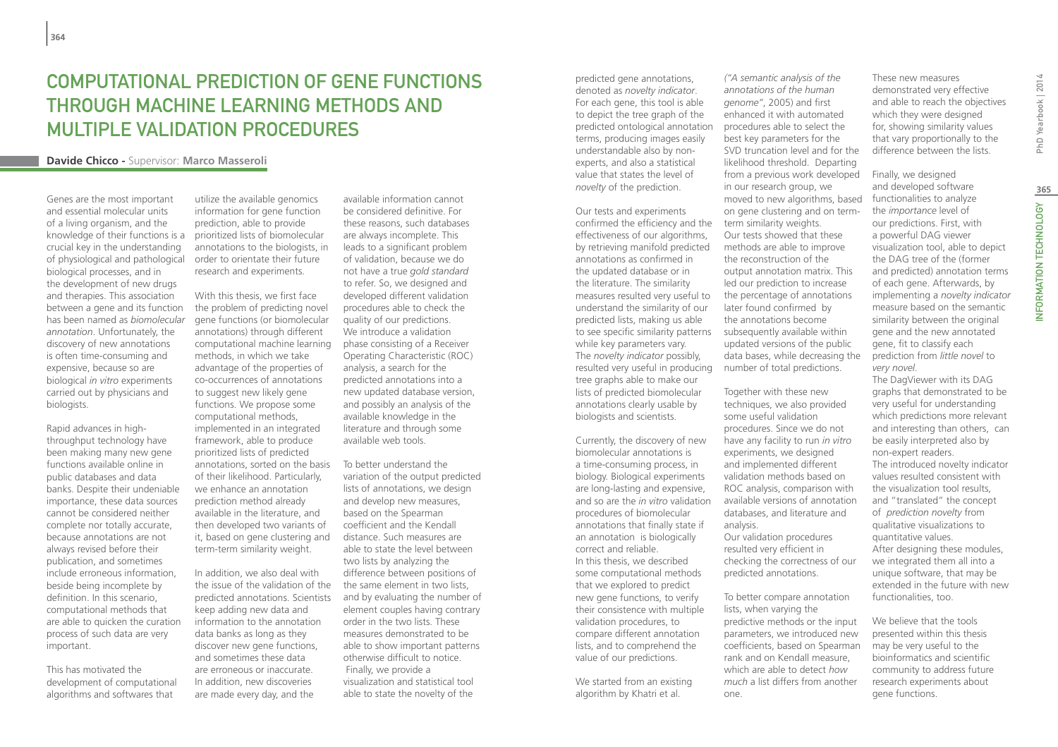## Computational Prediction of Gene Functions through Machine Learning methods and Multiple Validation Procedures

#### **Davide Chicco -** Supervisor: **Marco Masseroli**

Genes are the most important and essential molecular units of a living organism, and the crucial key in the understanding of physiological and pathological biological processes, and in the development of new drugs and therapies. This association between a gene and its function has been named as *biomolecular annotation*. Unfortunately, the discovery of new annotations is often time-consuming and expensive, because so are biological *in vitro* experiments carried out by physicians and biologists.

Rapid advances in highthroughput technology have been making many new gene functions available online in public databases and data banks. Despite their undeniable importance, these data sources cannot be considered neither complete nor totally accurate, because annotations are not always revised before their publication, and sometimes include erroneous information, beside being incomplete by definition. In this scenario, computational methods that are able to quicken the curation process of such data are very important.

This has motivated the development of computational algorithms and softwares that

knowledge of their functions is a prioritized lists of biomolecular utilize the available genomics information for gene function prediction, able to provide annotations to the biologists, in order to orientate their future research and experiments.

> With this thesis, we first face the problem of predicting novel gene functions (or biomolecular annotations) through different computational machine learning methods, in which we take advantage of the properties of co-occurrences of annotations to suggest new likely gene functions. We propose some computational methods, implemented in an integrated framework, able to produce prioritized lists of predicted annotations, sorted on the basis of their likelihood. Particularly, we enhance an annotation prediction method already available in the literature, and then developed two variants of it, based on gene clustering and term-term similarity weight.

In addition, we also deal with the issue of the validation of the predicted annotations. Scientists keep adding new data and information to the annotation data banks as long as they discover new gene functions, and sometimes these data are erroneous or inaccurate. In addition, new discoveries are made every day, and the

available information cannot be considered definitive. For these reasons, such databases are always incomplete. This leads to a significant problem of validation, because we do not have a true *gold standard* to refer. So, we designed and developed different validation procedures able to check the quality of our predictions. We introduce a validation phase consisting of a Receiver Operating Characteristic (ROC) analysis, a search for the predicted annotations into a new updated database version, and possibly an analysis of the available knowledge in the literature and through some available web tools.

To better understand the variation of the output predicted lists of annotations, we design and develop new measures, based on the Spearman coefficient and the Kendall distance. Such measures are able to state the level between two lists by analyzing the difference between positions of the same element in two lists, and by evaluating the number of element couples having contrary order in the two lists. These measures demonstrated to be able to show important patterns otherwise difficult to notice. Finally, we provide a visualization and statistical tool able to state the novelty of the

predicted gene annotations, denoted as *novelty indicator*. For each gene, this tool is able to depict the tree graph of the predicted ontological annotation terms, producing images easily understandable also by nonexperts, and also a statistical value that states the level of *novelty* of the prediction.

Our tests and experiments confirmed the efficiency and the effectiveness of our algorithms, by retrieving manifold predicted annotations as confirmed in the updated database or in the literature. The similarity measures resulted very useful to understand the similarity of our predicted lists, making us able to see specific similarity patterns subsequently available within while key parameters vary. The *novelty indicator* possibly, resulted very useful in producing tree graphs able to make our lists of predicted biomolecular annotations clearly usable by biologists and scientists.

Currently, the discovery of new biomolecular annotations is a time-consuming process, in biology. Biological experiments are long-lasting and expensive, and so are the *in vitro* validation procedures of biomolecular annotations that finally state if an annotation is biologically correct and reliable. In this thesis, we described some computational methods that we explored to predict new gene functions, to verify their consistence with multiple validation procedures, to compare different annotation lists, and to comprehend the value of our predictions.

We started from an existing algorithm by Khatri et al.

*("A semantic analysis of the annotations of the human genome"*, 2005) and first enhanced it with automated procedures able to select the best key parameters for the SVD truncation level and for the likelihood threshold. Departing from a previous work developed in our research group, we moved to new algorithms, based on gene clustering and on termterm similarity weights. Our tests showed that these methods are able to improve the reconstruction of the output annotation matrix. This led our prediction to increase the percentage of annotations later found confirmed by the annotations become updated versions of the public data bases, while decreasing the number of total predictions.

Together with these new techniques, we also provided some useful validation procedures. Since we do not have any facility to run *in vitro* experiments, we designed and implemented different validation methods based on ROC analysis, comparison with available versions of annotation databases, and literature and analysis. Our validation procedures

resulted very efficient in checking the correctness of our predicted annotations.

To better compare annotation lists, when varying the predictive methods or the input parameters, we introduced new coefficients, based on Spearman rank and on Kendall measure, which are able to detect *how much* a list differs from another one.

These new measures demonstrated very effective and able to reach the objectives which they were designed for, showing similarity values that vary proportionally to the difference between the lists.

Finally, we designed and developed software functionalities to analyze the *importance* level of our predictions. First, with a powerful DAG viewer visualization tool, able to depict the DAG tree of the (former and predicted) annotation terms of each gene. Afterwards, by implementing a *novelty indicator* measure based on the semantic similarity between the original gene and the new annotated gene, fit to classify each prediction from *little novel* to *very novel*.

The DagViewer with its DAG graphs that demonstrated to be very useful for understanding which predictions more relevant and interesting than others, can be easily interpreted also by non-expert readers. The introduced novelty indicator values resulted consistent with the visualization tool results, and "translated" the concept of *prediction novelty* from qualitative visualizations to quantitative values. After designing these modules, we integrated them all into a unique software, that may be extended in the future with new functionalities, too.

We believe that the tools presented within this thesis may be very useful to the bioinformatics and scientific community to address future research experiments about gene functions.

PhD Yearbook | 2014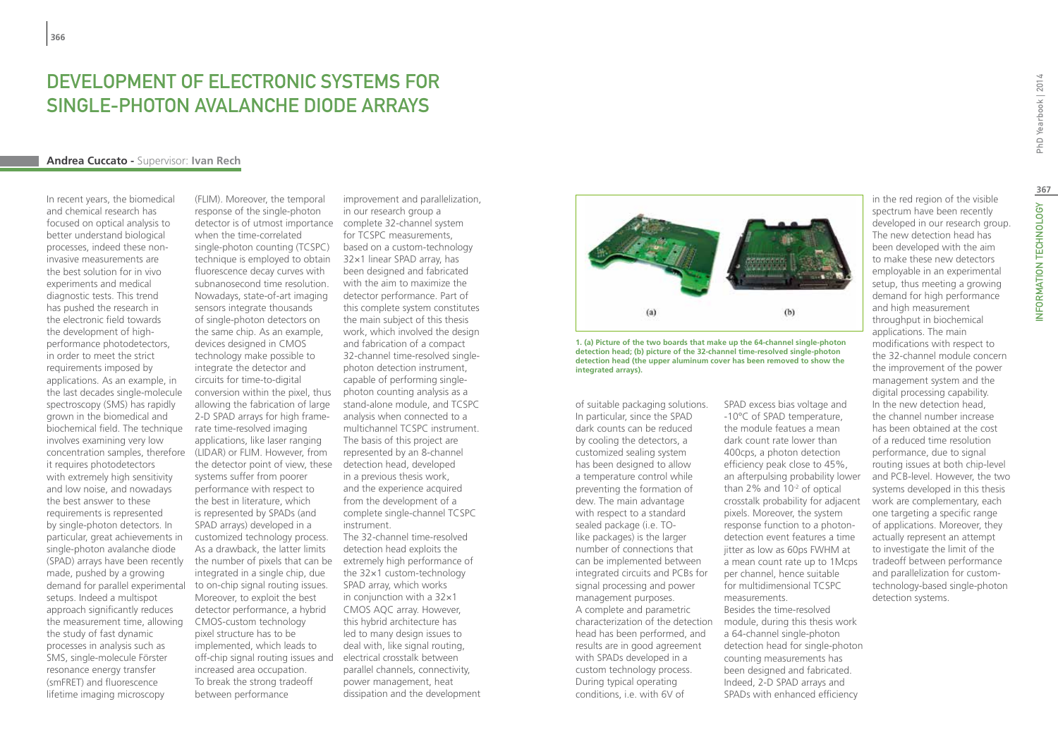## DEVELOPMENT OF ELECTRONIC SYSTEMS FOR Single-Photon Avalanche Diode Arrays

#### **Andrea Cuccato -** Supervisor: **Ivan Rech**

In recent years, the biomedical and chemical research has focused on optical analysis to better understand biological processes, indeed these noninvasive measurements are the best solution for in vivo experiments and medical diagnostic tests. This trend has pushed the research in the electronic field towards the development of highperformance photodetectors, in order to meet the strict requirements imposed by applications. As an example, in the last decades single-molecule spectroscopy (SMS) has rapidly grown in the biomedical and biochemical field. The technique involves examining very low it requires photodetectors with extremely high sensitivity and low noise, and nowadays the best answer to these requirements is represented by single-photon detectors. In particular, great achievements in single-photon avalanche diode (SPAD) arrays have been recently made, pushed by a growing demand for parallel experimental setups. Indeed a multispot approach significantly reduces the measurement time, allowing the study of fast dynamic processes in analysis such as SMS, single-molecule Förster resonance energy transfer (smFRET) and fluorescence lifetime imaging microscopy

concentration samples, therefore (LIDAR) or FLIM. However, from (FLIM). Moreover, the temporal response of the single-photon detector is of utmost importance complete 32-channel system when the time-correlated single-photon counting (TCSPC) technique is employed to obtain fluorescence decay curves with subnanosecond time resolution. Nowadays, state-of-art imaging sensors integrate thousands of single-photon detectors on the same chip. As an example, devices designed in CMOS technology make possible to integrate the detector and circuits for time-to-digital conversion within the pixel, thus allowing the fabrication of large 2-D SPAD arrays for high framerate time-resolved imaging applications, like laser ranging the detector point of view, these systems suffer from poorer performance with respect to the best in literature, which is represented by SPADs (and SPAD arrays) developed in a customized technology process. As a drawback, the latter limits the number of pixels that can be extremely high performance of integrated in a single chip, due to on-chip signal routing issues. Moreover, to exploit the best detector performance, a hybrid CMOS-custom technology pixel structure has to be implemented, which leads to off-chip signal routing issues and increased area occupation. To break the strong tradeoff between performance

improvement and parallelization, in our research group a for TCSPC measurements, based on a custom-technology 32×1 linear SPAD array, has been designed and fabricated with the aim to maximize the detector performance. Part of this complete system constitutes the main subject of this thesis work, which involved the design and fabrication of a compact 32-channel time-resolved singlephoton detection instrument, capable of performing singlephoton counting analysis as a stand-alone module, and TCSPC analysis when connected to a multichannel TCSPC instrument. The basis of this project are represented by an 8-channel detection head, developed in a previous thesis work, and the experience acquired from the development of a complete single-channel TCSPC instrument. The 32-channel time-resolved detection head exploits the

the 32×1 custom-technology SPAD array, which works in conjunction with a 32×1 CMOS AQC array. However, this hybrid architecture has led to many design issues to deal with, like signal routing. electrical crosstalk between parallel channels, connectivity, power management, heat dissipation and the development



**1. (a) Picture of the two boards that make up the 64-channel single-photon detection head; (b) picture of the 32-channel time-resolved single-photon detection head (the upper aluminum cover has been removed to show the integrated arrays).**

of suitable packaging solutions. In particular, since the SPAD dark counts can be reduced by cooling the detectors, a customized sealing system has been designed to allow a temperature control while preventing the formation of dew. The main advantage with respect to a standard sealed package (i.e. TOlike packages) is the larger number of connections that can be implemented between integrated circuits and PCBs for signal processing and power management purposes. A complete and parametric head has been performed, and results are in good agreement with SPADs developed in a custom technology process. During typical operating conditions, i.e. with 6V of

characterization of the detection module, during this thesis work SPAD excess bias voltage and -10°C of SPAD temperature, the module featues a mean dark count rate lower than 400cps, a photon detection efficiency peak close to 45%, an afterpulsing probability lower than 2% and 10-2 of optical crosstalk probability for adjacent pixels. Moreover, the system response function to a photondetection event features a time jitter as low as 60ps FWHM at a mean count rate up to 1Mcps per channel, hence suitable for multidimensional TCSPC measurements. Besides the time-resolved a 64-channel single-photon detection head for single-photon counting measurements has been designed and fabricated. Indeed, 2-D SPAD arrays and

SPADs with enhanced efficiency

spectrum have been recently developed in our research group. The new detection head has been developed with the aim to make these new detectors employable in an experimental setup, thus meeting a growing demand for high performance and high measurement throughput in biochemical applications. The main modifications with respect to the 32-channel module concern the improvement of the power management system and the digital processing capability. In the new detection head, the channel number increase has been obtained at the cost of a reduced time resolution performance, due to signal routing issues at both chip-level and PCB-level. However, the two systems developed in this thesis work are complementary, each one targeting a specific range of applications. Moreover, they actually represent an attempt to investigate the limit of the tradeoff between performance and parallelization for customtechnology-based single-photon detection systems.

in the red region of the visible

**367**

INFORMATION TECHNOLOGY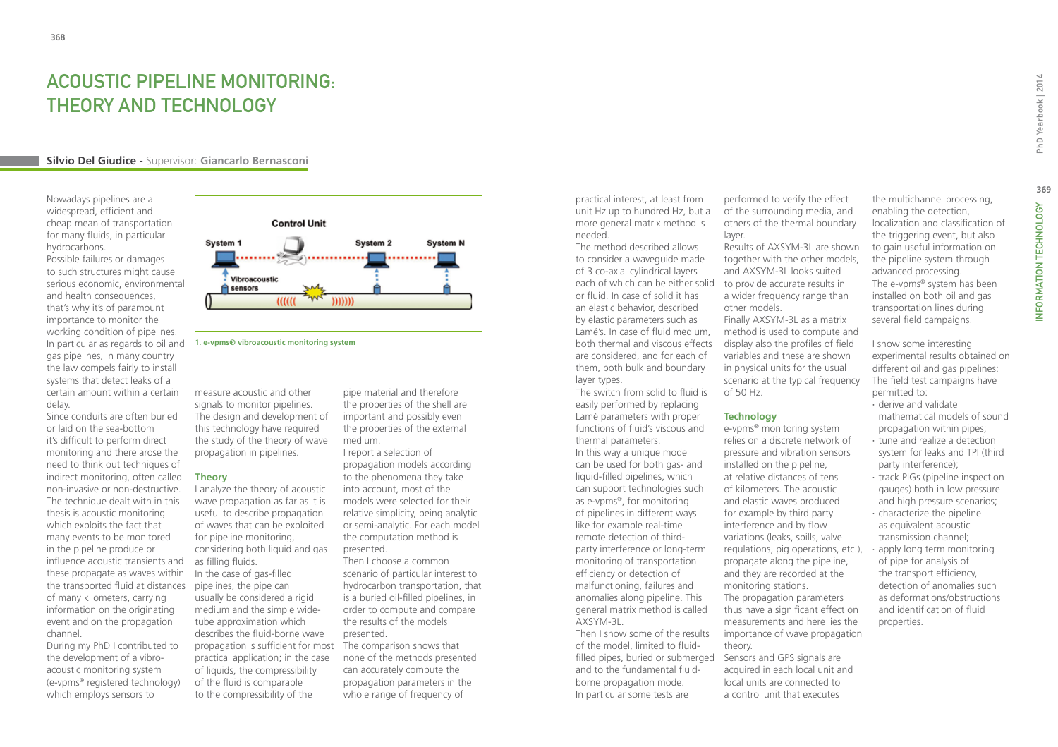## ACOUSTIC PIPELINE MONITORING: THEORY AND TECHNOLOGY

#### **Silvio Del Giudice -** Supervisor: **Giancarlo Bernasconi**

Nowadays pipelines are a widespread, efficient and cheap mean of transportation for many fluids, in particular hydrocarbons.

Possible failures or damages to such structures might cause serious economic, environmental and health consequences, that's why it's of paramount importance to monitor the working condition of pipelines. In particular as regards to oil and gas pipelines, in many country the law compels fairly to install systems that detect leaks of a certain amount within a certain delay.

Since conduits are often buried or laid on the sea-bottom it's difficult to perform direct monitoring and there arose the need to think out techniques of indirect monitoring, often called non-invasive or non-destructive. The technique dealt with in this thesis is acoustic monitoring which exploits the fact that many events to be monitored in the pipeline produce or influence acoustic transients and these propagate as waves within the transported fluid at distances of many kilometers, carrying information on the originating event and on the propagation channel.

During my PhD I contributed to the development of a vibroacoustic monitoring system (e-vpms® registered technology) which employs sensors to



**1. e-vpms® vibroacoustic monitoring system**

measure acoustic and other signals to monitor pipelines. The design and development of this technology have required the study of the theory of wave propagation in pipelines.

#### **Theory**

I analyze the theory of acoustic wave propagation as far as it is useful to describe propagation of waves that can be exploited for pipeline monitoring, considering both liquid and gas as filling fluids. In the case of gas-filled pipelines, the pipe can usually be considered a rigid medium and the simple widetube approximation which describes the fluid-borne wave propagation is sufficient for most The comparison shows that practical application; in the case of liquids, the compressibility of the fluid is comparable to the compressibility of the

pipe material and therefore the properties of the shell are important and possibly even the properties of the external medium.

I report a selection of propagation models according to the phenomena they take into account, most of the models were selected for their relative simplicity, being analytic or semi-analytic. For each model the computation method is presented.

Then I choose a common scenario of particular interest to hydrocarbon transportation, that is a buried oil-filled pipelines, in order to compute and compare the results of the models presented.

none of the methods presented can accurately compute the propagation parameters in the whole range of frequency of

practical interest, at least from unit Hz up to hundred Hz, but a more general matrix method is needed.

The method described allows to consider a waveguide made of 3 co-axial cylindrical layers each of which can be either solid to provide accurate results in or fluid. In case of solid it has an elastic behavior, described by elastic parameters such as Lamé's. In case of fluid medium, both thermal and viscous effects are considered, and for each of them, both bulk and boundary layer types.

The switch from solid to fluid is easily performed by replacing Lamé parameters with proper functions of fluid's viscous and thermal parameters. In this way a unique model can be used for both gas- and liquid-filled pipelines, which can support technologies such as e-vpms®, for monitoring of pipelines in different ways like for example real-time remote detection of thirdparty interference or long-term monitoring of transportation efficiency or detection of malfunctioning, failures and anomalies along pipeline. This general matrix method is called AXSYM-3L.

Then I show some of the results of the model, limited to fluidfilled pipes, buried or submerged Sensors and GPS signals are and to the fundamental fluidborne propagation mode. In particular some tests are

performed to verify the effect of the surrounding media, and others of the thermal boundary layer.

Results of AXSYM-3L are shown together with the other models, and AXSYM-3L looks suited a wider frequency range than other models. Finally AXSYM-3L as a matrix

method is used to compute and display also the profiles of field variables and these are shown in physical units for the usual scenario at the typical frequency of 50 Hz.

#### **Technology**

e-vpms® monitoring system relies on a discrete network of pressure and vibration sensors installed on the pipeline, at relative distances of tens of kilometers. The acoustic and elastic waves produced for example by third party interference and by flow variations (leaks, spills, valve regulations, pig operations, etc.), propagate along the pipeline, and they are recorded at the monitoring stations. The propagation parameters thus have a significant effect on measurements and here lies the importance of wave propagation theory.

acquired in each local unit and local units are connected to a control unit that executes

the multichannel processing, enabling the detection, localization and classification of the triggering event, but also to gain useful information on the pipeline system through advanced processing. The e-vpms® system has been installed on both oil and gas transportation lines during several field campaigns.

I show some interesting experimental results obtained on different oil and gas pipelines: The field test campaigns have permitted to:

- ∙ derive and validate mathematical models of sound
- propagation within pipes; ∙ tune and realize a detection system for leaks and TPI (third party interference);
- ∙ track PIGs (pipeline inspection gauges) both in low pressure and high pressure scenarios;
- ∙ characterize the pipeline as equivalent acoustic transmission channel;
- ∙ apply long term monitoring of pipe for analysis of the transport efficiency, detection of anomalies such as deformations/obstructions and identification of fluid properties.

PhD Yearbook | 2014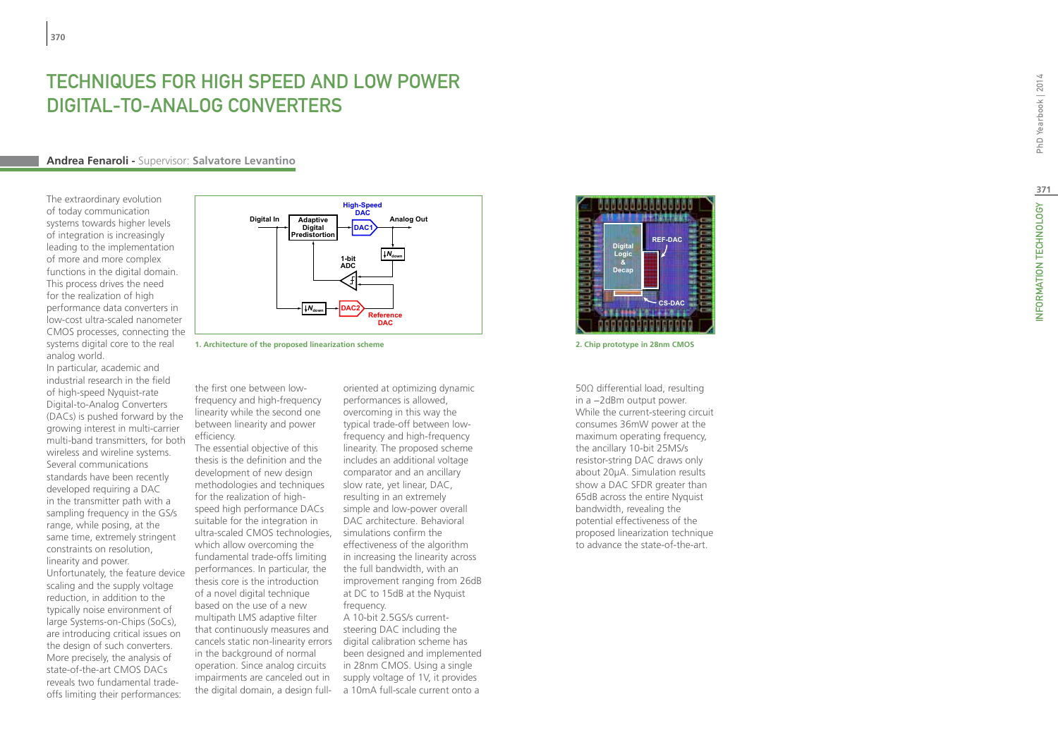## TECHNIQUES FOR HIGH SPEED AND LOW POWE DIGITAL-TO-ANALOG CONVERTERS

#### **Andrea Fenaroli -** Supervisor: **Salvatore Levantino**

The extraordinary evolution of today communication systems towards higher levels of integration is increasingly leading to the implementation of more and more complex functions in the digital domain. This process drives the need for the realization of high performance data converters in low-cost ultra-scaled nanometer CMOS processes, connecting the systems digital core to the real analog world.

In particular, academic and industrial research in the field of high-speed Nyquist-rate Digital-to-Analog Converters (DACs) is pushed forward by the growing interest in multi-carrier multi-band transmitters, for both wireless and wireline systems. Several communications standards have been recently developed requiring a DAC in the transmitter path with a sampling frequency in the GS/s range, while posing, at the same time, extremely stringent constraints on resolution, linearity and power.

Unfortunately, the feature device scaling and the supply voltage reduction, in addition to the typically noise environment of large Systems-on-Chips (SoCs), are introducing critical issues on the design of such converters. More precisely, the analysis of state-of-the-art CMOS DACs reveals two fundamental tradeoffs limiting their performances:



**1. Architecture of the proposed linearization scheme 2. Chip prototype in 28nm CMOS**

the first one between lowfrequency and high-frequency linearity while the second one between linearity and power efficiency.

The essential objective of this thesis is the definition and the development of new design methodologies and techniques for the realization of highspeed high performance DACs suitable for the integration in ultra-scaled CMOS technologies, simulations confirm the which allow overcoming the fundamental trade-offs limiting performances. In particular, the thesis core is the introduction of a novel digital technique based on the use of a new multipath LMS adaptive filter that continuously measures and cancels static non-linearity errors in the background of normal operation. Since analog circuits impairments are canceled out in the digital domain, a design full-

oriented at optimizing dynamic performances is allowed, overcoming in this way the typical trade-off between lowfrequency and high-frequency linearity. The proposed scheme includes an additional voltage comparator and an ancillary slow rate, yet linear, DAC, resulting in an extremely simple and low-power overall DAC architecture. Behavioral effectiveness of the algorithm in increasing the linearity across the full bandwidth, with an improvement ranging from 26dB at DC to 15dB at the Nyquist frequency. A 10-bit 2.5GS/s currentsteering DAC including the digital calibration scheme has

been designed and implemented in 28nm CMOS. Using a single supply voltage of 1V, it provides a 10mA full-scale current onto a



50Ω differential load, resulting in a −2dBm output power. While the current-steering circuit consumes 36mW power at the maximum operating frequency, the ancillary 10-bit 25MS/s resistor-string DAC draws only about 20μA. Simulation results show a DAC SFDR greater than 65dB across the entire Nyquist bandwidth, revealing the potential effectiveness of the proposed linearization technique to advance the state-of-the-art.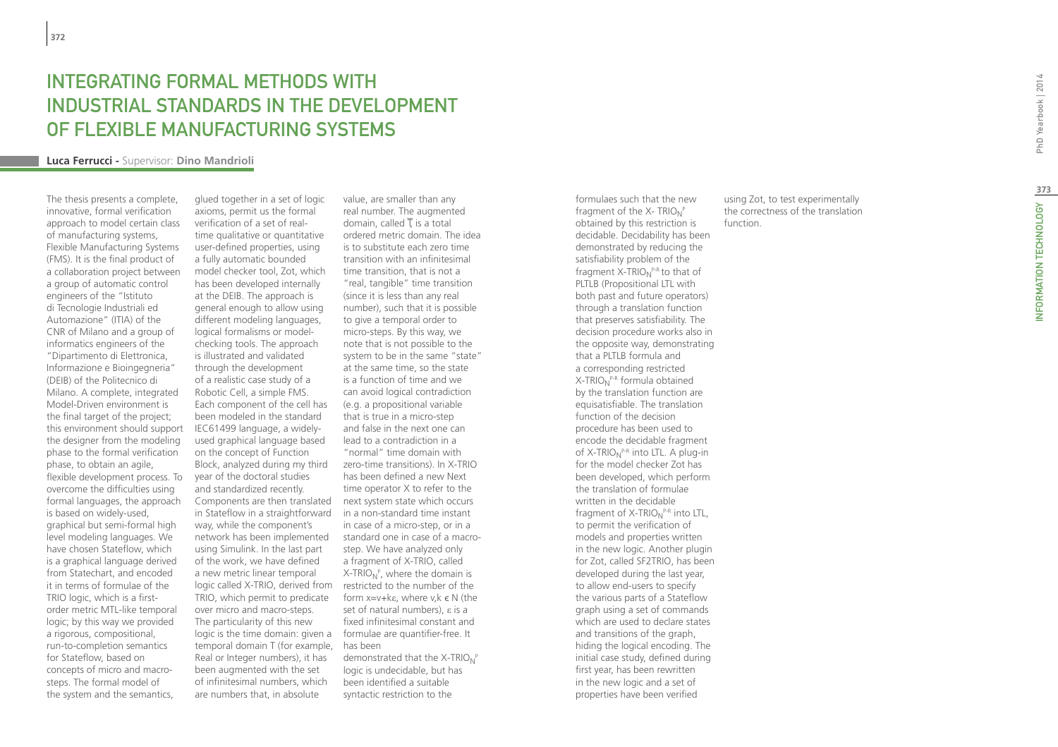## Integrating formal methods with industrial standards in the development of FLexible manufacturing systems

#### **Luca Ferrucci -** Supervisor: **Dino Mandrioli**

The thesis presents a complete, innovative, formal verification approach to model certain class of manufacturing systems, Flexible Manufacturing Systems (FMS). It is the final product of a collaboration project between a group of automatic control engineers of the "Istituto di Tecnologie Industriali ed Automazione" (ITIA) of the CNR of Milano and a group of informatics engineers of the "Dipartimento di Elettronica, Informazione e Bioingegneria" (DEIB) of the Politecnico di Milano. A complete, integrated Model-Driven environment is the final target of the project; this environment should support the designer from the modeling phase to the formal verification phase, to obtain an agile, flexible development process. To overcome the difficulties using formal languages, the approach is based on widely-used, graphical but semi-formal high level modeling languages. We have chosen Stateflow, which is a graphical language derived from Statechart, and encoded it in terms of formulae of the TRIO logic, which is a firstorder metric MTL-like temporal logic; by this way we provided a rigorous, compositional, run-to-completion semantics for Stateflow, based on concepts of micro and macrosteps. The formal model of the system and the semantics,

glued together in a set of logic axioms, permit us the formal verification of a set of realtime qualitative or quantitative user-defined properties, using a fully automatic bounded model checker tool, Zot, which has been developed internally at the DEIB. The approach is general enough to allow using different modeling languages, logical formalisms or modelchecking tools. The approach is illustrated and validated through the development of a realistic case study of a Robotic Cell, a simple FMS. Each component of the cell has been modeled in the standard IEC61499 language, a widelyused graphical language based on the concept of Function Block, analyzed during my third year of the doctoral studies and standardized recently. Components are then translated in Stateflow in a straightforward in a non-standard time instant way, while the component's network has been implemented using Simulink. In the last part of the work, we have defined a new metric linear temporal logic called X-TRIO, derived from restricted to the number of the TRIO, which permit to predicate over micro and macro-steps. The particularity of this new logic is the time domain: given a formulae are quantifier-free. It temporal domain T (for example, has been Real or Integer numbers), it has been augmented with the set of infinitesimal numbers, which are numbers that, in absolute

value, are smaller than any real number. The augmented domain, called  $\overline{T}$  is a total ordered metric domain. The idea is to substitute each zero time transition with an infinitesimal time transition, that is not a "real, tangible" time transition (since it is less than any real number), such that it is possible to give a temporal order to micro-steps. By this way, we note that is not possible to the system to be in the same "state" at the same time, so the state is a function of time and we can avoid logical contradiction (e.g. a propositional variable that is true in a micro-step and false in the next one can lead to a contradiction in a "normal" time domain with zero-time transitions). In X-TRIO has been defined a new Next time operator X to refer to the next system state which occurs in case of a micro-step, or in a standard one in case of a macrostep. We have analyzed only a fragment of X-TRIO, called X-TRIO<sub>N</sub><sup>P</sup>, where the domain is form x=v+kε, where v,k є N (the set of natural numbers), ε is a fixed infinitesimal constant and demonstrated that the X-TRIO<sub>N</sub><sup>P</sup>

logic is undecidable, but has been identified a suitable syntactic restriction to the

formulaes such that the new fragment of the X-  $\text{TRIO}_\text{N}^{\text{P}}$ obtained by this restriction is decidable. Decidability has been demonstrated by reducing the satisfiability problem of the fragment X-TRIO<sub>N</sub><sup>P-R</sup> to that of PLTLB (Propositional LTL with both past and future operators) through a translation function that preserves satisfiability. The decision procedure works also in the opposite way, demonstrating that a PLTLB formula and a corresponding restricted X-TRIO<sub>N</sub><sup>P-R</sup> formula obtained by the translation function are equisatisfiable. The translation function of the decision procedure has been used to encode the decidable fragment of X-TRIO<sub>N</sub>P-R into LTL. A plug-in for the model checker Zot has been developed, which perform the translation of formulae written in the decidable fragment of X-TRIO<sub>N</sub><sup>P-R</sup> into LTL, to permit the verification of models and properties written in the new logic. Another plugin for Zot, called SF2TRIO, has been developed during the last year, to allow end-users to specify the various parts of a Stateflow graph using a set of commands which are used to declare states and transitions of the graph, hiding the logical encoding. The initial case study, defined during first year, has been rewritten in the new logic and a set of properties have been verified

using Zot, to test experimentally the correctness of the translation function.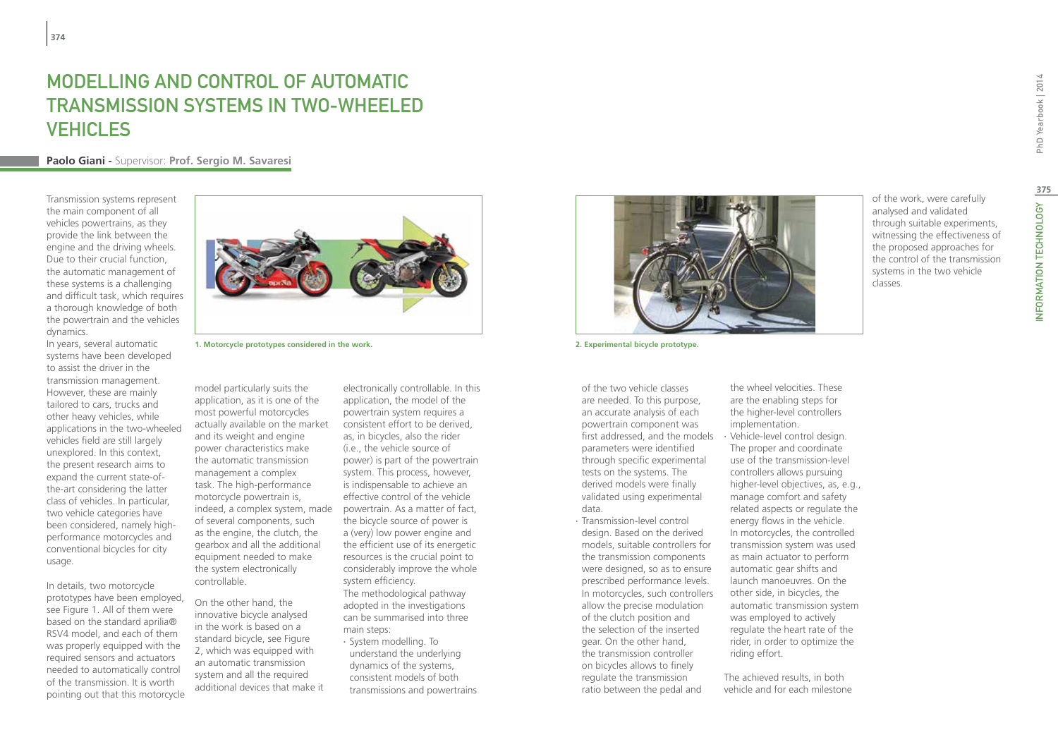# Modelling and Control of Automatic Transmission Systems in Two-Wheeled **VEHICLES**

### **Paolo Giani -** Supervisor: **Prof. Sergio M. Savaresi**

Transmission systems represent the main component of all vehicles powertrains, as they provide the link between the engine and the driving wheels. Due to their crucial function, the automatic management of these systems is a challenging and difficult task, which requires a thorough knowledge of both the powertrain and the vehicles dynamics.

In years, several automatic systems have been developed to assist the driver in the transmission management. However, these are mainly tailored to cars, trucks and other heavy vehicles, while applications in the two-wheeled vehicles field are still largely unexplored. In this context, the present research aims to expand the current state-ofthe-art considering the latter class of vehicles. In particular, two vehicle categories have been considered, namely highperformance motorcycles and conventional bicycles for city usage.

In details, two motorcycle prototypes have been employed, see Figure 1. All of them were based on the standard aprilia® RSV4 model, and each of them was properly equipped with the required sensors and actuators needed to automatically control of the transmission. It is worth pointing out that this motorcycle



**1. Motorcycle prototypes considered in the work. 2. Experimental bicycle prototype.**

model particularly suits the application, as it is one of the most powerful motorcycles actually available on the market and its weight and engine power characteristics make the automatic transmission management a complex task. The high-performance motorcycle powertrain is, indeed, a complex system, made of several components, such as the engine, the clutch, the gearbox and all the additional equipment needed to make the system electronically controllable.

On the other hand, the innovative bicycle analysed in the work is based on a standard bicycle, see Figure 2, which was equipped with an automatic transmission system and all the required additional devices that make it

electronically controllable. In this application, the model of the powertrain system requires a consistent effort to be derived, as, in bicycles, also the rider (i.e., the vehicle source of power) is part of the powertrain system. This process, however, is indispensable to achieve an effective control of the vehicle powertrain. As a matter of fact, the bicycle source of power is a (very) low power engine and the efficient use of its energetic resources is the crucial point to considerably improve the whole system efficiency. The methodological pathway

- adopted in the investigations can be summarised into three main steps:
- ∙ System modelling. To understand the underlying dynamics of the systems, consistent models of both transmissions and powertrains



of the two vehicle classes are needed. To this purpose, an accurate analysis of each powertrain component was first addressed, and the models parameters were identified through specific experimental tests on the systems. The derived models were finally validated using experimental data.

∙ Transmission-level control design. Based on the derived models, suitable controllers for the transmission components were designed, so as to ensure prescribed performance levels. In motorcycles, such controllers allow the precise modulation of the clutch position and the selection of the inserted gear. On the other hand, the transmission controller on bicycles allows to finely regulate the transmission ratio between the pedal and

are the enabling steps for the higher-level controllers implementation. ∙ Vehicle-level control design. The proper and coordinate use of the transmission-level controllers allows pursuing higher-level objectives, as, e.g., manage comfort and safety related aspects or regulate the energy flows in the vehicle. In motorcycles, the controlled transmission system was used as main actuator to perform automatic gear shifts and launch manoeuvres. On the other side, in bicycles, the automatic transmission system was employed to actively regulate the heart rate of the rider, in order to optimize the riding effort.

the wheel velocities. These

The achieved results, in both vehicle and for each milestone of the work, were carefully analysed and validated through suitable experiments, witnessing the effectiveness of the proposed approaches for the control of the transmission systems in the two vehicle classes.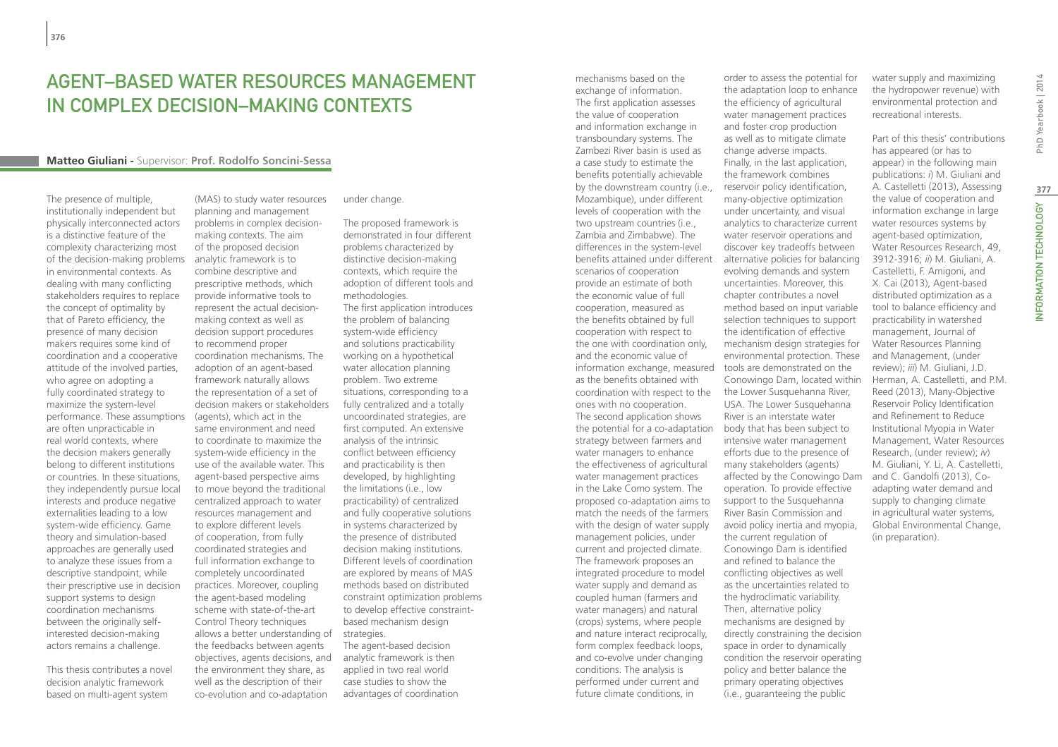## Agent–based water resources management in complex decision–making contexts

#### **Matteo Giuliani -** Supervisor: **Prof. Rodolfo Soncini-Sessa**

The presence of multiple, institutionally independent but physically interconnected actors is a distinctive feature of the complexity characterizing most of the decision-making problems in environmental contexts. As dealing with many conflicting stakeholders requires to replace the concept of optimality by that of Pareto efficiency, the presence of many decision makers requires some kind of coordination and a cooperative attitude of the involved parties, who agree on adopting a fully coordinated strategy to maximize the system-level performance. These assumptions are often unpracticable in real world contexts, where the decision makers generally belong to different institutions or countries. In these situations, they independently pursue local interests and produce negative externalities leading to a low system-wide efficiency. Game theory and simulation-based approaches are generally used to analyze these issues from a descriptive standpoint, while their prescriptive use in decision support systems to design coordination mechanisms between the originally selfinterested decision-making actors remains a challenge.

This thesis contributes a novel decision analytic framework based on multi-agent system

(MAS) to study water resources planning and management problems in complex decisionmaking contexts. The aim of the proposed decision analytic framework is to combine descriptive and prescriptive methods, which provide informative tools to represent the actual decisionmaking context as well as decision support procedures to recommend proper coordination mechanisms. The adoption of an agent-based framework naturally allows the representation of a set of decision makers or stakeholders (agents), which act in the same environment and need to coordinate to maximize the system-wide efficiency in the use of the available water. This agent-based perspective aims to move beyond the traditional centralized approach to water resources management and to explore different levels of cooperation, from fully coordinated strategies and full information exchange to completely uncoordinated practices. Moreover, coupling the agent-based modeling scheme with state-of-the-art Control Theory techniques allows a better understanding of the feedbacks between agents objectives, agents decisions, and the environment they share, as well as the description of their

co-evolution and co-adaptation

under change.

The proposed framework is demonstrated in four different problems characterized by distinctive decision-making contexts, which require the adoption of different tools and methodologies. The first application introduces the problem of balancing system-wide efficiency and solutions practicability working on a hypothetical water allocation planning problem. Two extreme situations, corresponding to a fully centralized and a totally uncoordinated strategies, are first computed. An extensive analysis of the intrinsic conflict between efficiency and practicability is then developed, by highlighting the limitations (i.e., low practicability) of centralized and fully cooperative solutions in systems characterized by the presence of distributed decision making institutions. Different levels of coordination are explored by means of MAS methods based on distributed constraint optimization problems to develop effective constraintbased mechanism design strategies.

The agent-based decision analytic framework is then applied in two real world case studies to show the advantages of coordination mechanisms based on the exchange of information. The first application assesses the value of cooperation and information exchange in transboundary systems. The Zambezi River basin is used as a case study to estimate the benefits potentially achievable by the downstream country (i.e., Mozambique), under different levels of cooperation with the two upstream countries (i.e., Zambia and Zimbabwe). The differences in the system-level benefits attained under different scenarios of cooperation provide an estimate of both the economic value of full cooperation, measured as the benefits obtained by full cooperation with respect to the one with coordination only, and the economic value of information exchange, measured as the benefits obtained with coordination with respect to the the Lower Susquehanna River, ones with no cooperation. The second application shows the potential for a co-adaptation strategy between farmers and water managers to enhance the effectiveness of agricultural water management practices in the Lake Como system. The proposed co-adaptation aims to match the needs of the farmers with the design of water supply management policies, under current and projected climate. The framework proposes an integrated procedure to model water supply and demand as coupled human (farmers and water managers) and natural (crops) systems, where people and nature interact reciprocally, form complex feedback loops, and co-evolve under changing conditions. The analysis is performed under current and future climate conditions, in

order to assess the potential for the adaptation loop to enhance the efficiency of agricultural water management practices and foster crop production as well as to mitigate climate change adverse impacts. Finally, in the last application, the framework combines reservoir policy identification, many-objective optimization under uncertainty, and visual analytics to characterize current water reservoir operations and discover key tradeoffs between alternative policies for balancing evolving demands and system uncertainties. Moreover, this chapter contributes a novel method based on input variable selection techniques to support the identification of effective mechanism design strategies for environmental protection. These tools are demonstrated on the Conowingo Dam, located within USA. The Lower Susquehanna River is an interstate water body that has been subject to intensive water management efforts due to the presence of many stakeholders (agents) affected by the Conowingo Dam operation. To provide effective support to the Susquehanna River Basin Commission and avoid policy inertia and myopia, the current regulation of Conowingo Dam is identified and refined to balance the conflicting objectives as well as the uncertainties related to the hydroclimatic variability. Then, alternative policy mechanisms are designed by directly constraining the decision space in order to dynamically condition the reservoir operating policy and better balance the primary operating objectives (i.e., guaranteeing the public

water supply and maximizing the hydropower revenue) with environmental protection and recreational interests.

Part of this thesis' contributions has appeared (or has to appear) in the following main publications: *i*) M. Giuliani and A. Castelletti (2013), Assessing the value of cooperation and information exchange in large water resources systems by agent-based optimization, Water Resources Research, 49, 3912-3916; *ii*) M. Giuliani, A. Castelletti, F. Amigoni, and X. Cai (2013), Agent-based distributed optimization as a tool to balance efficiency and practicability in watershed management, Journal of Water Resources Planning and Management, (under review); *iii*) M. Giuliani, J.D. Herman, A. Castelletti, and P.M. Reed (2013), Many-Objective Reservoir Policy Identification and Refinement to Reduce Institutional Myopia in Water Management, Water Resources Research, (under review); *iv*) M. Giuliani, Y. Li, A. Castelletti, and C. Gandolfi (2013), Coadapting water demand and supply to changing climate in agricultural water systems, Global Environmental Change, (in preparation).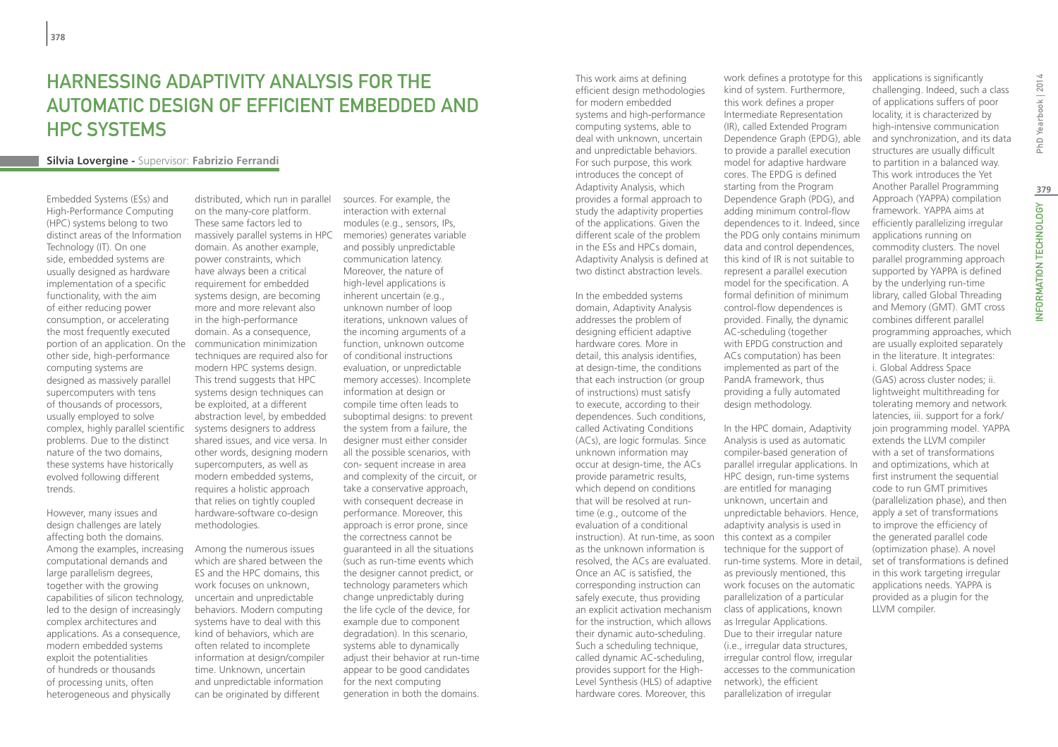## Harnessing Adaptivity Analysis for the Automatic Design of Efficient Embedded and **HPC SYSTEMS**

#### **Silvia Lovergine -** Supervisor: **Fabrizio Ferrandi**

Embedded Systems (ESs) and High-Performance Computing (HPC) systems belong to two distinct areas of the Information Technology (IT). On one side, embedded systems are usually designed as hardware implementation of a specific functionality, with the aim of either reducing power consumption, or accelerating the most frequently executed portion of an application. On the other side, high-performance computing systems are designed as massively parallel supercomputers with tens of thousands of processors, usually employed to solve complex, highly parallel scientific problems. Due to the distinct nature of the two domains, these systems have historically evolved following different trends.

However, many issues and design challenges are lately affecting both the domains. Among the examples, increasing computational demands and large parallelism degrees, together with the growing capabilities of silicon technology, led to the design of increasingly complex architectures and applications. As a consequence, modern embedded systems exploit the potentialities of hundreds or thousands of processing units, often heterogeneous and physically

distributed, which run in parallel on the many-core platform. These same factors led to massively parallel systems in HPC domain. As another example, power constraints, which have always been a critical requirement for embedded systems design, are becoming more and more relevant also in the high-performance domain. As a consequence, communication minimization techniques are required also for modern HPC systems design. This trend suggests that HPC systems design techniques can be exploited, at a different abstraction level, by embedded systems designers to address shared issues, and vice versa. In other words, designing modern supercomputers, as well as modern embedded systems, requires a holistic approach that relies on tightly coupled hardware-software co-design methodologies.

Among the numerous issues which are shared between the ES and the HPC domains, this work focuses on unknown, uncertain and unpredictable behaviors. Modern computing systems have to deal with this kind of behaviors, which are often related to incomplete information at design/compiler time. Unknown, uncertain and unpredictable information can be originated by different

sources. For example, the interaction with external modules (e.g., sensors, IPs, memories) generates variable and possibly unpredictable communication latency. Moreover, the nature of high-level applications is inherent uncertain (e.g., unknown number of loop iterations, unknown values of the incoming arguments of a function, unknown outcome of conditional instructions evaluation, or unpredictable memory accesses). Incomplete information at design or compile time often leads to suboptimal designs: to prevent the system from a failure, the designer must either consider all the possible scenarios, with con- sequent increase in area and complexity of the circuit, or take a conservative approach, with consequent decrease in performance. Moreover, this approach is error prone, since the correctness cannot be guaranteed in all the situations (such as run-time events which the designer cannot predict, or technology parameters which change unpredictably during the life cycle of the device, for example due to component degradation). In this scenario, systems able to dynamically adjust their behavior at run-time appear to be good candidates for the next computing generation in both the domains.

This work aims at defining efficient design methodologies for modern embedded systems and high-performance computing systems, able to deal with unknown, uncertain and unpredictable behaviors. For such purpose, this work introduces the concept of Adaptivity Analysis, which provides a formal approach to study the adaptivity properties of the applications. Given the different scale of the problem in the ESs and HPCs domain, Adaptivity Analysis is defined at two distinct abstraction levels.

In the embedded systems domain, Adaptivity Analysis addresses the problem of designing efficient adaptive hardware cores. More in detail, this analysis identifies, at design-time, the conditions that each instruction (or group of instructions) must satisfy to execute, according to their dependences. Such conditions, called Activating Conditions (ACs), are logic formulas. Since unknown information may occur at design-time, the ACs provide parametric results, which depend on conditions that will be resolved at runtime (e.g., outcome of the evaluation of a conditional instruction). At run-time, as soon this context as a compiler as the unknown information is resolved, the ACs are evaluated. Once an AC is satisfied, the corresponding instruction can safely execute, thus providing an explicit activation mechanism for the instruction, which allows their dynamic auto-scheduling. Such a scheduling technique, called dynamic AC-scheduling, provides support for the High-Level Synthesis (HLS) of adaptive hardware cores. Moreover, this

work defines a prototype for this kind of system. Furthermore, this work defines a proper Intermediate Representation (IR), called Extended Program Dependence Graph (EPDG), able to provide a parallel execution model for adaptive hardware cores. The EPDG is defined starting from the Program Dependence Graph (PDG), and adding minimum control-flow dependences to it. Indeed, since the PDG only contains minimum data and control dependences, this kind of IR is not suitable to represent a parallel execution model for the specification. A formal definition of minimum control-flow dependences is provided. Finally, the dynamic AC-scheduling (together with EPDG construction and ACs computation) has been implemented as part of the PandA framework, thus providing a fully automated design methodology.

In the HPC domain, Adaptivity Analysis is used as automatic compiler-based generation of parallel irregular applications. In HPC design, run-time systems are entitled for managing unknown, uncertain and unpredictable behaviors. Hence, adaptivity analysis is used in technique for the support of run-time systems. More in detail, as previously mentioned, this work focuses on the automatic parallelization of a particular class of applications, known as Irregular Applications. Due to their irregular nature (i.e., irregular data structures, irregular control flow, irregular accesses to the communication network), the efficient parallelization of irregular

applications is significantly challenging. Indeed, such a class of applications suffers of poor locality, it is characterized by high-intensive communication and synchronization, and its data structures are usually difficult to partition in a balanced way. This work introduces the Yet Another Parallel Programming Approach (YAPPA) compilation framework. YAPPA aims at efficiently parallelizing irregular applications running on commodity clusters. The novel parallel programming approach supported by YAPPA is defined by the underlying run-time library, called Global Threading and Memory (GMT). GMT cross combines different parallel programming approaches, which are usually exploited separately in the literature. It integrates: i. Global Address Space (GAS) across cluster nodes; ii. lightweight multithreading for tolerating memory and network latencies, iii. support for a fork/ join programming model. YAPPA extends the LLVM compiler with a set of transformations and optimizations, which at first instrument the sequential code to run GMT primitives (parallelization phase), and then apply a set of transformations to improve the efficiency of the generated parallel code (optimization phase). A novel set of transformations is defined in this work targeting irregular applications needs. YAPPA is provided as a plugin for the LLVM compiler.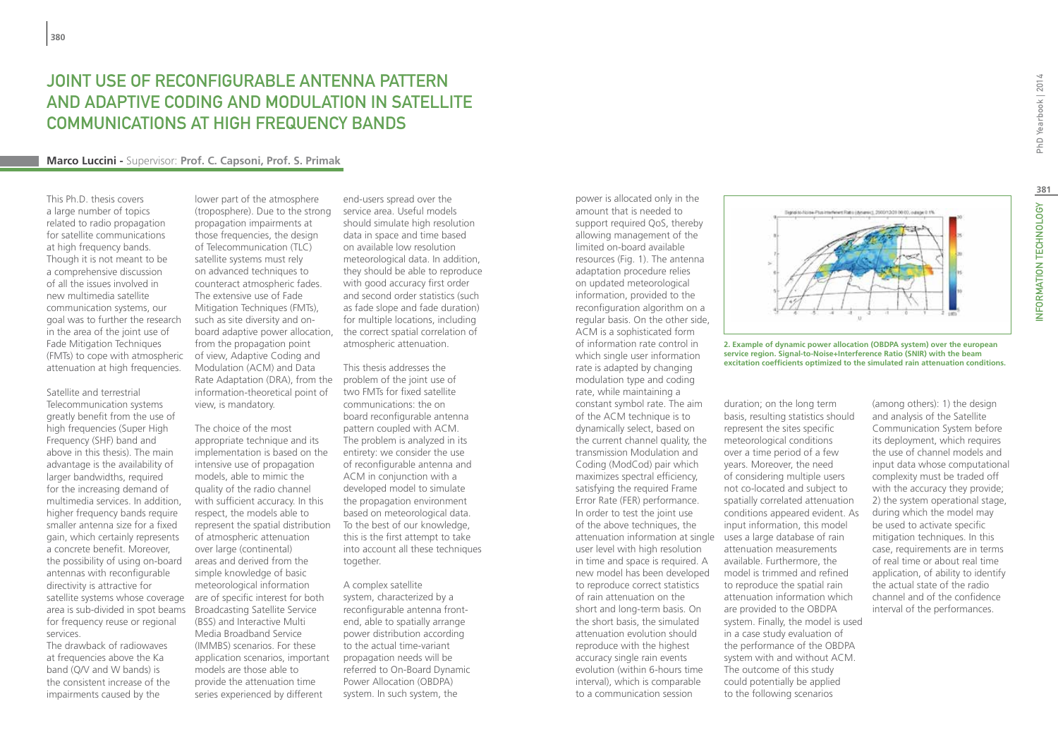## JOINT USE OF RECONFIGURABLE ANTENNA PATTERN AND ADAPTIVE CODING AND MODULATION IN SATELLITE COMMUNICATIONS AT HIGH FREQUENCY BANDS

#### **Marco Luccini -** Supervisor: **Prof. C. Capsoni, Prof. S. Primak**

This Ph.D. thesis covers a large number of topics related to radio propagation for satellite communications at high frequency bands. Though it is not meant to be a comprehensive discussion of all the issues involved in new multimedia satellite communication systems, our goal was to further the research in the area of the joint use of Fade Mitigation Techniques (FMTs) to cope with atmospheric attenuation at high frequencies.

Satellite and terrestrial Telecommunication systems greatly benefit from the use of high frequencies (Super High Frequency (SHF) band and above in this thesis). The main advantage is the availability of larger bandwidths, required for the increasing demand of multimedia services. In addition, higher frequency bands require smaller antenna size for a fixed gain, which certainly represents a concrete benefit. Moreover, the possibility of using on-board antennas with reconfigurable directivity is attractive for satellite systems whose coverage area is sub-divided in spot beams for frequency reuse or regional services.

The drawback of radiowaves at frequencies above the Ka band (Q/V and W bands) is the consistent increase of the

impairments caused by the

lower part of the atmosphere (troposphere). Due to the strong propagation impairments at those frequencies, the design of Telecommunication (TLC) satellite systems must rely on advanced techniques to counteract atmospheric fades. The extensive use of Fade Mitigation Techniques (FMTs), such as site diversity and onboard adaptive power allocation, from the propagation point of view, Adaptive Coding and Modulation (ACM) and Data Rate Adaptation (DRA), from the information-theoretical point of view, is mandatory.

The choice of the most appropriate technique and its implementation is based on the intensive use of propagation models, able to mimic the quality of the radio channel with sufficient accuracy. In this respect, the models able to represent the spatial distribution of atmospheric attenuation over large (continental) areas and derived from the simple knowledge of basic meteorological information are of specific interest for both Broadcasting Satellite Service (BSS) and Interactive Multi Media Broadband Service (IMMBS) scenarios. For these application scenarios, important models are those able to provide the attenuation time series experienced by different

end-users spread over the service area. Useful models should simulate high resolution data in space and time based on available low resolution meteorological data. In addition, they should be able to reproduce with good accuracy first order and second order statistics (such as fade slope and fade duration) for multiple locations, including the correct spatial correlation of atmospheric attenuation.

This thesis addresses the problem of the joint use of two FMTs for fixed satellite communications: the on board reconfigurable antenna pattern coupled with ACM. The problem is analyzed in its entirety: we consider the use of reconfigurable antenna and ACM in conjunction with a developed model to simulate the propagation environment based on meteorological data. To the best of our knowledge, this is the first attempt to take into account all these techniques together.

A complex satellite system, characterized by a reconfigurable antenna frontend, able to spatially arrange power distribution according to the actual time-variant propagation needs will be referred to On-Board Dynamic Power Allocation (OBDPA) system. In such system, the

power is allocated only in the amount that is needed to support required QoS, thereby allowing management of the limited on-board available resources (Fig. 1). The antenna adaptation procedure relies on updated meteorological information, provided to the reconfiguration algorithm on a regular basis. On the other side, ACM is a sophisticated form of information rate control in which single user information rate is adapted by changing modulation type and coding rate, while maintaining a constant symbol rate. The aim of the ACM technique is to dynamically select, based on the current channel quality, the transmission Modulation and Coding (ModCod) pair which maximizes spectral efficiency, satisfying the required Frame Error Rate (FER) performance. In order to test the joint use of the above techniques, the attenuation information at single uses a large database of rain user level with high resolution in time and space is required. A new model has been developed to reproduce correct statistics of rain attenuation on the short and long-term basis. On the short basis, the simulated attenuation evolution should reproduce with the highest accuracy single rain events evolution (within 6-hours time interval), which is comparable to a communication session



**2. Example of dynamic power allocation (OBDPA system) over the european service region. Signal-to-Noise+Interference Ratio (SNIR) with the beam excitation coefficients optimized to the simulated rain attenuation conditions.**

duration; on the long term basis, resulting statistics should represent the sites specific meteorological conditions over a time period of a few years. Moreover, the need of considering multiple users not co-located and subject to spatially correlated attenuation conditions appeared evident. As input information, this model attenuation measurements available. Furthermore, the model is trimmed and refined to reproduce the spatial rain attenuation information which are provided to the OBDPA system. Finally, the model is used in a case study evaluation of the performance of the OBDPA system with and without ACM. The outcome of this study could potentially be applied to the following scenarios

(among others): 1) the design and analysis of the Satellite Communication System before its deployment, which requires the use of channel models and input data whose computational complexity must be traded off with the accuracy they provide; 2) the system operational stage, during which the model may be used to activate specific mitigation techniques. In this case, requirements are in terms of real time or about real time application, of ability to identify the actual state of the radio channel and of the confidence interval of the performances.

**381**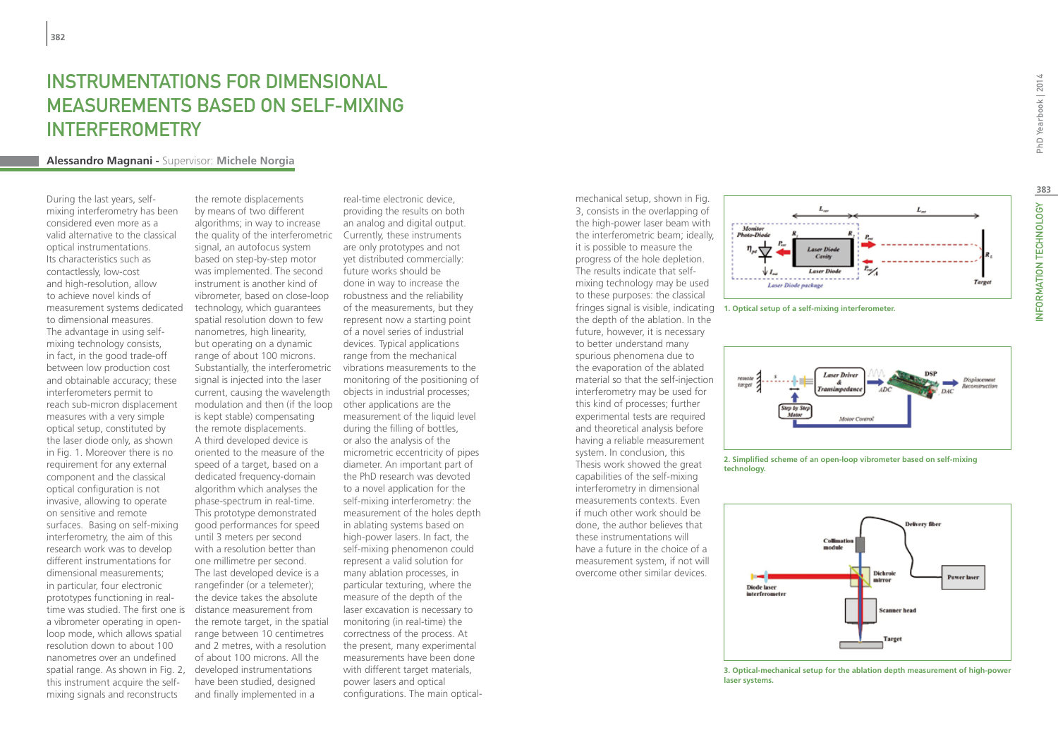## INSTRUMENTATIONS FOR DIMENSIONAL MEASUREMENTS BASED ON SELF-MIXING INTERFEROMETRY

#### **Alessandro Magnani -** Supervisor: **Michele Norgia**

During the last years, selfmixing interferometry has been considered even more as a valid alternative to the classical optical instrumentations. Its characteristics such as contactlessly, low-cost and high-resolution, allow to achieve novel kinds of measurement systems dedicated to dimensional measures. The advantage in using selfmixing technology consists, in fact, in the good trade-off between low production cost and obtainable accuracy; these interferometers permit to reach sub-micron displacement measures with a very simple optical setup, constituted by the laser diode only, as shown in Fig. 1. Moreover there is no requirement for any external component and the classical optical configuration is not invasive, allowing to operate on sensitive and remote surfaces. Basing on self-mixing interferometry, the aim of this research work was to develop different instrumentations for dimensional measurements; in particular, four electronic prototypes functioning in realtime was studied. The first one is a vibrometer operating in openloop mode, which allows spatial resolution down to about 100 nanometres over an undefined spatial range. As shown in Fig. 2, this instrument acquire the selfmixing signals and reconstructs

the remote displacements by means of two different algorithms; in way to increase the quality of the interferometric Currently, these instruments signal, an autofocus system based on step-by-step motor was implemented. The second instrument is another kind of vibrometer, based on close-loop technology, which guarantees spatial resolution down to few nanometres, high linearity, but operating on a dynamic range of about 100 microns. Substantially, the interferometric signal is injected into the laser current, causing the wavelength modulation and then (if the loop other applications are the is kept stable) compensating the remote displacements. A third developed device is oriented to the measure of the speed of a target, based on a dedicated frequency-domain algorithm which analyses the phase-spectrum in real-time. This prototype demonstrated good performances for speed until 3 meters per second with a resolution better than one millimetre per second. The last developed device is a rangefinder (or a telemeter); the device takes the absolute distance measurement from the remote target, in the spatial range between 10 centimetres and 2 metres, with a resolution of about 100 microns. All the developed instrumentations have been studied, designed and finally implemented in a

real-time electronic device, providing the results on both an analog and digital output. are only prototypes and not yet distributed commercially: future works should be done in way to increase the robustness and the reliability of the measurements, but they represent now a starting point of a novel series of industrial devices. Typical applications range from the mechanical vibrations measurements to the monitoring of the positioning of objects in industrial processes; measurement of the liquid level during the filling of bottles, or also the analysis of the micrometric eccentricity of pipes diameter. An important part of the PhD research was devoted to a novel application for the self-mixing interferometry: the measurement of the holes depth in ablating systems based on high-power lasers. In fact, the self-mixing phenomenon could represent a valid solution for many ablation processes, in particular texturing, where the measure of the depth of the laser excavation is necessary to monitoring (in real-time) the correctness of the process. At the present, many experimental measurements have been done with different target materials, power lasers and optical configurations. The main optical-

mechanical setup, shown in Fig. 3, consists in the overlapping of the high-power laser beam with the interferometric beam; ideally, it is possible to measure the progress of the hole depletion. The results indicate that selfmixing technology may be used to these purposes: the classical fringes signal is visible, indicating the depth of the ablation. In the future, however, it is necessary to better understand many spurious phenomena due to the evaporation of the ablated material so that the self-injection interferometry may be used for this kind of processes; further experimental tests are required and theoretical analysis before having a reliable measurement system. In conclusion, this Thesis work showed the great capabilities of the self-mixing interferometry in dimensional measurements contexts. Even if much other work should be done, the author believes that these instrumentations will have a future in the choice of a measurement system, if not will overcome other similar devices.



**1. Optical setup of a self-mixing interferometer.**



**2. Simplified scheme of an open-loop vibrometer based on self-mixing technology.**



#### **3. Optical-mechanical setup for the ablation depth measurement of high-power laser systems.**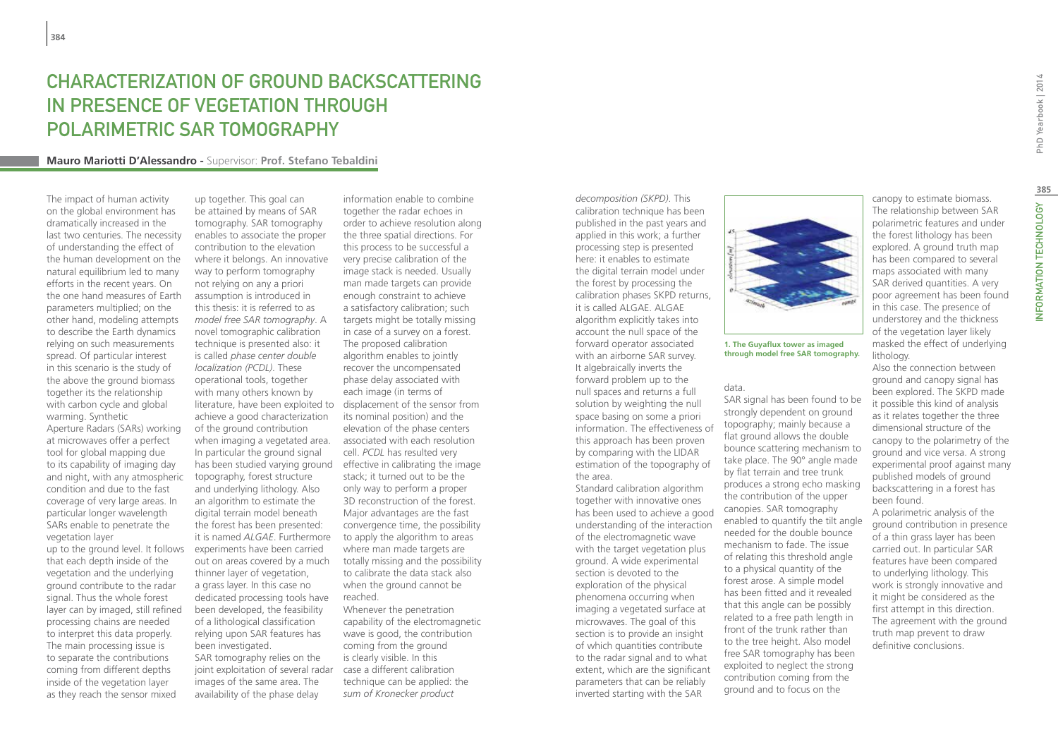## Characterization of Ground Backscattering in Presence of Vegetation Through Polarimetric SAR Tomography

#### **Mauro Mariotti D'Alessandro -** Supervisor: **Prof. Stefano Tebaldini**

The impact of human activity on the global environment has dramatically increased in the last two centuries. The necessity of understanding the effect of the human development on the natural equilibrium led to many efforts in the recent years. On the one hand measures of Earth parameters multiplied; on the other hand, modeling attempts to describe the Earth dynamics relying on such measurements spread. Of particular interest in this scenario is the study of the above the ground biomass together its the relationship with carbon cycle and global warming. Synthetic Aperture Radars (SARs) working at microwaves offer a perfect tool for global mapping due to its capability of imaging day and night, with any atmospheric

condition and due to the fast coverage of very large areas. In particular longer wavelength SARs enable to penetrate the vegetation layer

up to the ground level. It follows that each depth inside of the vegetation and the underlying ground contribute to the radar signal. Thus the whole forest layer can by imaged, still refined processing chains are needed to interpret this data properly. The main processing issue is to separate the contributions coming from different depths inside of the vegetation layer as they reach the sensor mixed

up together. This goal can be attained by means of SAR tomography. SAR tomography enables to associate the proper contribution to the elevation where it belongs. An innovative way to perform tomography not relying on any a priori assumption is introduced in this thesis: it is referred to as *model free SAR tomography*. A novel tomographic calibration technique is presented also: it is called *phase center double localization (PCDL)*. These operational tools, together with many others known by achieve a good characterization of the ground contribution when imaging a vegetated area. In particular the ground signal topography, forest structure and underlying lithology. Also an algorithm to estimate the digital terrain model beneath the forest has been presented: it is named *ALGAE*. Furthermore experiments have been carried out on areas covered by a much thinner layer of vegetation, a grass layer. In this case no dedicated processing tools have been developed, the feasibility of a lithological classification relying upon SAR features has been investigated. SAR tomography relies on the joint exploitation of several radar images of the same area. The availability of the phase delay

literature, have been exploited to displacement of the sensor from has been studied varying ground effective in calibrating the image information enable to combine together the radar echoes in order to achieve resolution along the three spatial directions. For this process to be successful a very precise calibration of the image stack is needed. Usually man made targets can provide enough constraint to achieve a satisfactory calibration; such targets might be totally missing in case of a survey on a forest. The proposed calibration algorithm enables to jointly recover the uncompensated phase delay associated with each image (in terms of its nominal position) and the elevation of the phase centers associated with each resolution cell. *PCDL* has resulted very stack; it turned out to be the only way to perform a proper 3D reconstruction of the forest. Major advantages are the fast convergence time, the possibility to apply the algorithm to areas where man made targets are totally missing and the possibility to calibrate the data stack also when the ground cannot be reached. Whenever the penetration capability of the electromagnetic wave is good, the contribution coming from the ground

is clearly visible. In this case a different calibration technique can be applied: the *sum of Kronecker product* 

*decomposition (SKPD)*. This calibration technique has been published in the past years and applied in this work; a further processing step is presented here: it enables to estimate the digital terrain model under the forest by processing the calibration phases SKPD returns, it is called ALGAE. ALGAE algorithm explicitly takes into account the null space of the forward operator associated with an airborne SAR survey. It algebraically inverts the forward problem up to the null spaces and returns a full solution by weighting the null space basing on some a priori information. The effectiveness of this approach has been proven by comparing with the LIDAR estimation of the topography of the area.

Standard calibration algorithm together with innovative ones has been used to achieve a good understanding of the interaction of the electromagnetic wave with the target vegetation plus ground. A wide experimental section is devoted to the exploration of the physical phenomena occurring when imaging a vegetated surface at microwaves. The goal of this section is to provide an insight of which quantities contribute to the radar signal and to what extent, which are the significant parameters that can be reliably inverted starting with the SAR



#### **1. The Guyaflux tower as imaged through model free SAR tomography.**

#### data.

SAR signal has been found to be strongly dependent on ground topography; mainly because a flat ground allows the double bounce scattering mechanism to take place. The 90° angle made by flat terrain and tree trunk produces a strong echo masking the contribution of the upper canopies. SAR tomography enabled to quantify the tilt angle needed for the double bounce mechanism to fade. The issue of relating this threshold angle to a physical quantity of the forest arose. A simple model has been fitted and it revealed that this angle can be possibly related to a free path length in front of the trunk rather than to the tree height. Also model free SAR tomography has been exploited to neglect the strong contribution coming from the ground and to focus on the

canopy to estimate biomass. The relationship between SAR polarimetric features and under the forest lithology has been explored. A ground truth map has been compared to several maps associated with many SAR derived quantities. A very poor agreement has been found in this case. The presence of understorey and the thickness of the vegetation layer likely masked the effect of underlying lithology.

Also the connection between ground and canopy signal has been explored. The SKPD made it possible this kind of analysis as it relates together the three dimensional structure of the canopy to the polarimetry of the ground and vice versa. A strong experimental proof against many published models of ground backscattering in a forest has been found.

A polarimetric analysis of the ground contribution in presence of a thin grass layer has been carried out. In particular SAR features have been compared to underlying lithology. This work is strongly innovative and it might be considered as the first attempt in this direction. The agreement with the ground truth map prevent to draw definitive conclusions.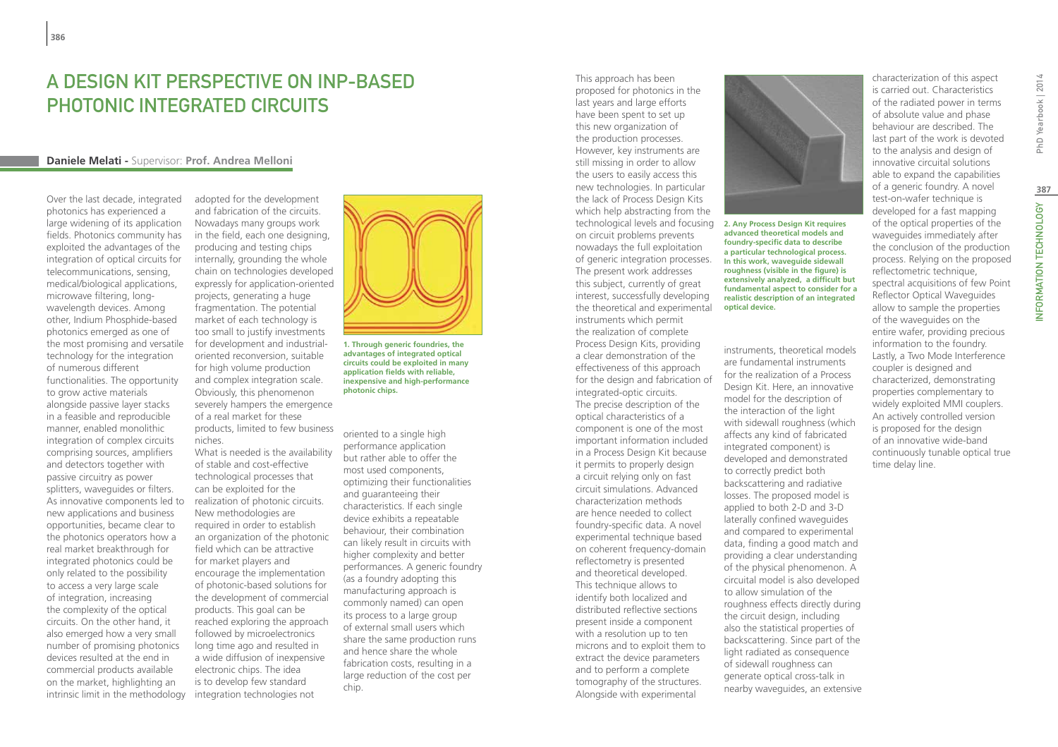## A design kit perspective on InP-based photonic integrated circuits

#### **Daniele Melati -** Supervisor: **Prof. Andrea Melloni**

Over the last decade, integrated photonics has experienced a large widening of its application fields. Photonics community has exploited the advantages of the integration of optical circuits for telecommunications, sensing, medical/biological applications, microwave filtering, longwavelength devices. Among other, Indium Phosphide-based photonics emerged as one of the most promising and versatile technology for the integration of numerous different functionalities. The opportunity to grow active materials alongside passive layer stacks in a feasible and reproducible manner, enabled monolithic integration of complex circuits comprising sources, amplifiers and detectors together with passive circuitry as power splitters, waveguides or filters. As innovative components led to new applications and business opportunities, became clear to the photonics operators how a real market breakthrough for integrated photonics could be only related to the possibility to access a very large scale of integration, increasing the complexity of the optical circuits. On the other hand, it also emerged how a very small number of promising photonics devices resulted at the end in commercial products available on the market, highlighting an intrinsic limit in the methodology adopted for the development and fabrication of the circuits. Nowadays many groups work in the field, each one designing, producing and testing chips internally, grounding the whole chain on technologies developed expressly for application-oriented projects, generating a huge fragmentation. The potential market of each technology is too small to justify investments for development and industrialoriented reconversion, suitable for high volume production and complex integration scale. Obviously, this phenomenon severely hampers the emergence of a real market for these products, limited to few business

What is needed is the availability of stable and cost-effective technological processes that can be exploited for the realization of photonic circuits. New methodologies are required in order to establish an organization of the photonic field which can be attractive for market players and encourage the implementation of photonic-based solutions for the development of commercial products. This goal can be reached exploring the approach followed by microelectronics long time ago and resulted in a wide diffusion of inexpensive electronic chips. The idea is to develop few standard integration technologies not

niches.



**1. Through generic foundries, the advantages of integrated optical circuits could be exploited in many application fields with reliable, inexpensive and high-performance photonic chips.**

oriented to a single high performance application but rather able to offer the most used components, optimizing their functionalities and guaranteeing their characteristics. If each single device exhibits a repeatable behaviour, their combination can likely result in circuits with higher complexity and better performances. A generic foundry (as a foundry adopting this manufacturing approach is commonly named) can open its process to a large group of external small users which share the same production runs and hence share the whole fabrication costs, resulting in a large reduction of the cost per chip.

proposed for photonics in the last years and large efforts have been spent to set up this new organization of the production processes. However, key instruments are still missing in order to allow the users to easily access this new technologies. In particular the lack of Process Design Kits which help abstracting from the technological levels and focusing on circuit problems prevents nowadays the full exploitation of generic integration processes. The present work addresses this subject, currently of great interest, successfully developing the theoretical and experimental instruments which permit the realization of complete Process Design Kits, providing a clear demonstration of the effectiveness of this approach for the design and fabrication of integrated-optic circuits. The precise description of the optical characteristics of a component is one of the most important information included in a Process Design Kit because it permits to properly design a circuit relying only on fast circuit simulations. Advanced characterization methods are hence needed to collect foundry-specific data. A novel experimental technique based on coherent frequency-domain reflectometry is presented and theoretical developed. This technique allows to identify both localized and distributed reflective sections present inside a component with a resolution up to ten microns and to exploit them to extract the device parameters and to perform a complete tomography of the structures. Alongside with experimental

This approach has been



**2. Any Process Design Kit requires advanced theoretical models and foundry-specific data to describe a particular technological process. In this work, waveguide sidewall roughness (visible in the figure) is extensively analyzed, a difficult but fundamental aspect to consider for a realistic description of an integrated optical device.**

instruments, theoretical models are fundamental instruments for the realization of a Process Design Kit. Here, an innovative model for the description of the interaction of the light with sidewall roughness (which affects any kind of fabricated integrated component) is developed and demonstrated to correctly predict both backscattering and radiative losses. The proposed model is applied to both 2-D and 3-D laterally confined waveguides and compared to experimental data, finding a good match and providing a clear understanding of the physical phenomenon. A circuital model is also developed to allow simulation of the roughness effects directly during the circuit design, including also the statistical properties of backscattering. Since part of the light radiated as consequence of sidewall roughness can generate optical cross-talk in nearby waveguides, an extensive is carried out. Characteristics of the radiated power in terms of absolute value and phase behaviour are described. The last part of the work is devoted to the analysis and design of innovative circuital solutions able to expand the capabilities of a generic foundry. A novel test-on-wafer technique is developed for a fast mapping of the optical properties of the waveguides immediately after the conclusion of the production process. Relying on the proposed reflectometric technique, spectral acquisitions of few Point Reflector Optical Waveguides allow to sample the properties of the waveguides on the entire wafer, providing precious information to the foundry. Lastly, a Two Mode Interference coupler is designed and characterized, demonstrating properties complementary to widely exploited MMI couplers. An actively controlled version is proposed for the design of an innovative wide-band continuously tunable optical true time delay line.

characterization of this aspect

INFORMATION TECHNOLOGY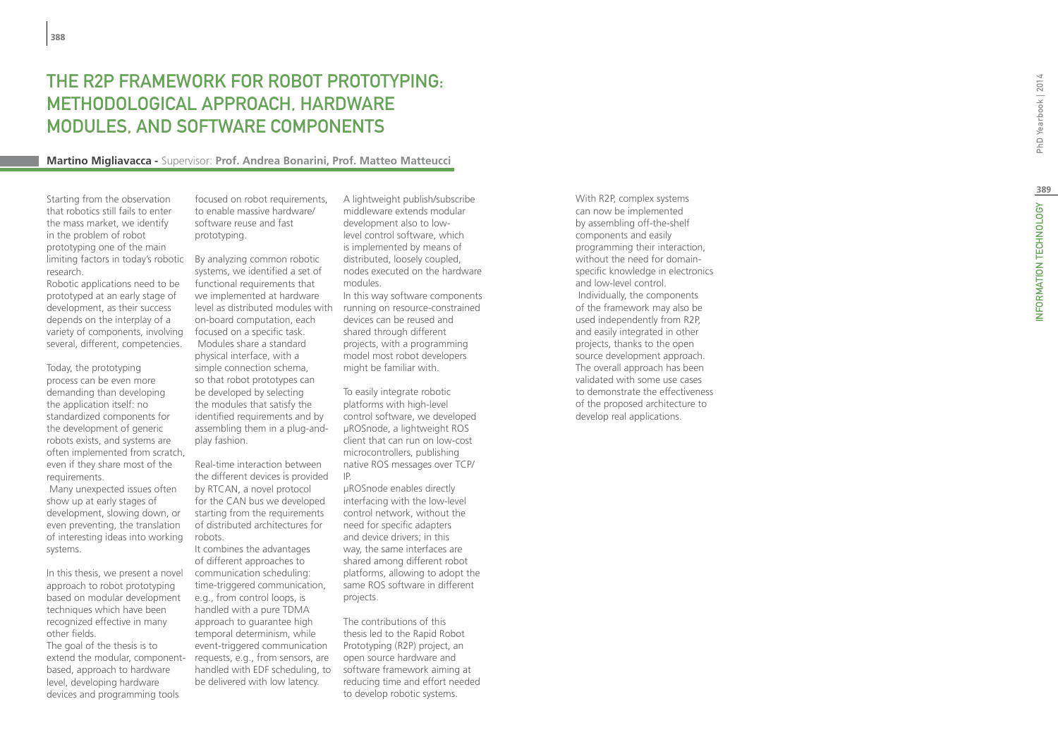## The R2P fram ework for robot prototyping: e hodological approach, hardware t modules, and s o ftware compon ent s

#### **Martino Migliavacca -** Supervisor: **Prof. Andrea Bonarini, Prof. Matteo Matteucci**

Starting from the observation that robotics still fails to enter the mass market, we identify in the problem of robot prototyping one of the main limiting factors in today's robotic By analyzing common robotic research.

Robotic applications need to be prototyped at an early stage of development, as their success depends on the interplay of a variety of components, involving several, different, competencies.

Today, the prototyping process can be even more demanding than developing the application itself: no standardized components for the development of generic robots exists, and systems are often implemented from scratch, even if they share most of the requirements.

 Many unexpected issues often show up at early stages of development, slowing down, or even preventing, the translation of interesting ideas into working systems.

In this thesis, we present a novel approach to robot prototyping based on modular development techniques which have been recognized effective in many other fields.

The goal of the thesis is to extend the modular, componentbased, approach to hardware level, developing hardware devices and programming tools

focused on robot requirements, to enable massive hardware/ software reuse and fast prototyping.

systems, we identified a set of functional requirements that we implemented at hardware level as distributed modules with on-board computation, each focused on a specific task. Modules share a standard physical interface, with a simple connection schema, so that robot prototypes can be developed by selecting the modules that satisfy the identified requirements and by assembling them in a plug-andplay fashion.

Real-time interaction between the different devices is provided by RTCAN, a novel protocol for the CAN bus we developed starting from the requirements of distributed architectures for robots.

It combines the advantages of different approaches to communication scheduling: time-triggered communication, e.g., from control loops, is handled with a pure TDMA approach to guarantee high temporal determinism, while event-triggered communication requests, e.g., from sensors, are handled with EDF scheduling, to be delivered with low latency.

A lightweight publish/subscribe middleware extends modular development also to lowlevel control software, which is implemented by means of distributed, loosely coupled, nodes executed on the hardware modules. In this way software components

running on resource-constrained devices can be reused and shared through different projects, with a programming model most robot developers might be familiar with.

To easily integrate robotic platforms with high-level control software, we developed μROSnode, a lightweight ROS client that can run on low-cost microcontrollers, publishing native ROS messages over TCP/ IP.

μROSnode enables directly interfacing with the low-level control network, without the need for specific adapters and device drivers; in this way, the same interfaces are shared among different robot platforms, allowing to adopt the same ROS software in different projects.

The contributions of this thesis led to the Rapid Robot Prototyping (R2P) project, an open source hardware and software framework aiming at reducing time and effort needed to develop robotic systems.

With R2P, complex systems can now be implemented by assembling off-the-shelf components and easily programming their interaction, without the need for domainspecific knowledge in electronics and low-level control. Individually, the components of the framework may also be used independently from R2P, and easily integrated in other projects, thanks to the open source development approach. The overall approach has been validated with some use cases to demonstrate the effectiveness of the proposed architecture to develop real applications.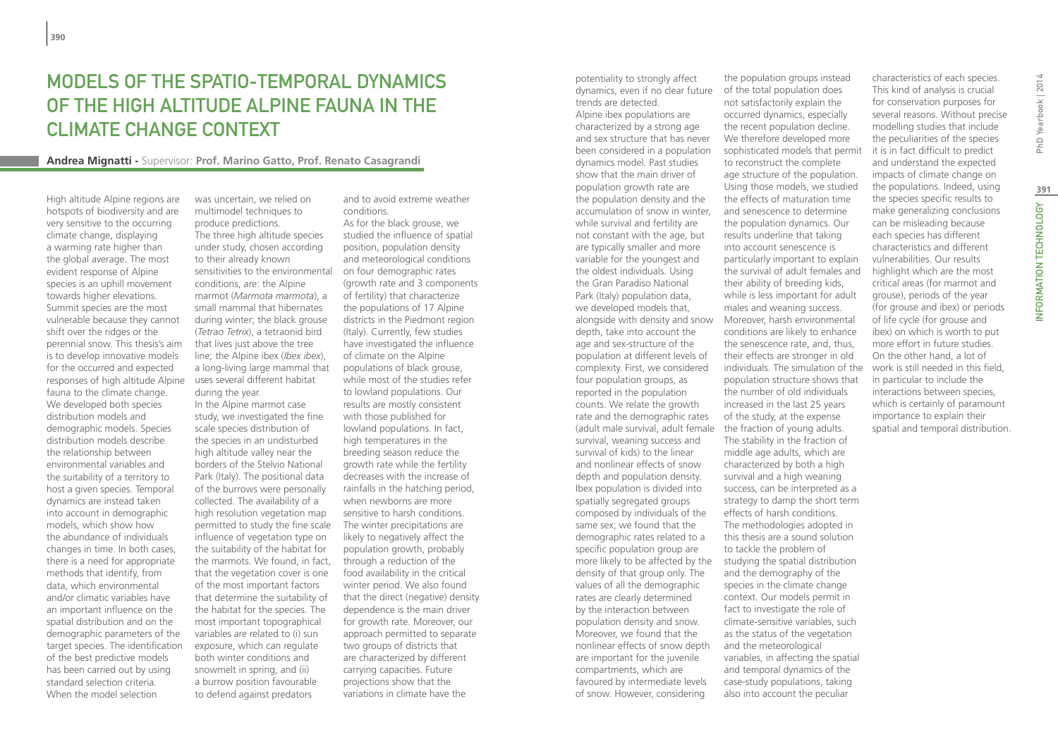## Models of the spatio-temporal dynamics of the high altitude Alpine fauna in the climate change context

#### **Andrea Mignatti -** Supervisor: **Prof. Marino Gatto, Prof. Renato Casagrandi**

High altitude Alpine regions are hotspots of biodiversity and are very sensitive to the occurring climate change, displaying a warming rate higher than the global average. The most evident response of Alpine species is an uphill movement towards higher elevations. Summit species are the most vulnerable because they cannot shift over the ridges or the perennial snow. This thesis's aim is to develop innovative models for the occurred and expected responses of high altitude Alpine fauna to the climate change. We developed both species distribution models and demographic models. Species distribution models describe the relationship between environmental variables and the suitability of a territory to host a given species. Temporal dynamics are instead taken into account in demographic models, which show how the abundance of individuals changes in time. In both cases, there is a need for appropriate methods that identify, from data, which environmental and/or climatic variables have an important influence on the spatial distribution and on the demographic parameters of the target species. The identification of the best predictive models has been carried out by using standard selection criteria. When the model selection

was uncertain, we relied on multimodel techniques to produce predictions. The three high altitude species under study, chosen according to their already known sensitivities to the environmental conditions, are: the Alpine marmot (*Marmota marmota*), a small mammal that hibernates during winter; the black grouse (*Tetrao Tetrix*), a tetraonid bird that lives just above the tree line; the Alpine ibex (*Ibex ibex*), a long-living large mammal that uses several different habitat during the year.

In the Alpine marmot case study, we investigated the fine scale species distribution of the species in an undisturbed high altitude valley near the borders of the Stelvio National Park (Italy). The positional data of the burrows were personally collected. The availability of a high resolution vegetation map permitted to study the fine scale influence of vegetation type on the suitability of the habitat for the marmots. We found, in fact, that the vegetation cover is one of the most important factors that determine the suitability of the habitat for the species. The most important topographical variables are related to (i) sun exposure, which can regulate both winter conditions and snowmelt in spring, and (ii) a burrow position favourable to defend against predators

and to avoid extreme weather conditions.

As for the black grouse, we studied the influence of spatial position, population density and meteorological conditions on four demographic rates (growth rate and 3 components of fertility) that characterize the populations of 17 Alpine districts in the Piedmont region (Italy). Currently, few studies have investigated the influence of climate on the Alpine populations of black grouse, while most of the studies refer to lowland populations. Our results are mostly consistent with those published for lowland populations. In fact, high temperatures in the breeding season reduce the growth rate while the fertility decreases with the increase of rainfalls in the hatching period, when newborns are more sensitive to harsh conditions. The winter precipitations are likely to negatively affect the population growth, probably through a reduction of the food availability in the critical winter period. We also found that the direct (negative) density dependence is the main driver for growth rate. Moreover, our approach permitted to separate two groups of districts that are characterized by different carrying capacities. Future projections show that the variations in climate have the

potentiality to strongly affect dynamics, even if no clear future trends are detected. Alpine ibex populations are characterized by a strong age and sex structure that has never been considered in a population dynamics model. Past studies show that the main driver of population growth rate are the population density and the accumulation of snow in winter, while survival and fertility are not constant with the age, but are typically smaller and more variable for the youngest and the oldest individuals. Using the Gran Paradiso National Park (Italy) population data, we developed models that, alongside with density and snow depth, take into account the age and sex-structure of the population at different levels of complexity. First, we considered four population groups, as reported in the population counts. We relate the growth rate and the demographic rates (adult male survival, adult female survival, weaning success and survival of kids) to the linear and nonlinear effects of snow depth and population density. Ibex population is divided into spatially segregated groups composed by individuals of the same sex; we found that the demographic rates related to a specific population group are more likely to be affected by the density of that group only. The values of all the demographic rates are clearly determined by the interaction between population density and snow. Moreover, we found that the nonlinear effects of snow depth are important for the juvenile compartments, which are favoured by intermediate levels of snow. However, considering

the population groups instead of the total population does not satisfactorily explain the occurred dynamics, especially the recent population decline. We therefore developed more sophisticated models that permit to reconstruct the complete age structure of the population. Using those models, we studied the effects of maturation time and senescence to determine the population dynamics. Our results underline that taking into account senescence is particularly important to explain the survival of adult females and their ability of breeding kids, while is less important for adult males and weaning success. Moreover, harsh environmental conditions are likely to enhance the senescence rate, and, thus, their effects are stronger in old individuals. The simulation of the population structure shows that the number of old individuals increased in the last 25 years of the study, at the expense the fraction of young adults. The stability in the fraction of middle age adults, which are characterized by both a high survival and a high weaning success, can be interpreted as a strategy to damp the short term effects of harsh conditions. The methodologies adopted in this thesis are a sound solution to tackle the problem of studying the spatial distribution and the demography of the species in the climate change context. Our models permit in fact to investigate the role of climate-sensitive variables, such as the status of the vegetation and the meteorological variables, in affecting the spatial and temporal dynamics of the case-study populations, taking also into account the peculiar

characteristics of each species. This kind of analysis is crucial for conservation purposes for several reasons. Without precise modelling studies that include the peculiarities of the species it is in fact difficult to predict and understand the expected impacts of climate change on the populations. Indeed, using the species specific results to make generalizing conclusions can be misleading because each species has different characteristics and different vulnerabilities. Our results highlight which are the most critical areas (for marmot and grouse), periods of the year (for grouse and ibex) or periods of life cycle (for grouse and ibex) on which is worth to put more effort in future studies. On the other hand, a lot of work is still needed in this field, in particular to include the interactions between species, which is certainly of paramount importance to explain their spatial and temporal distribution.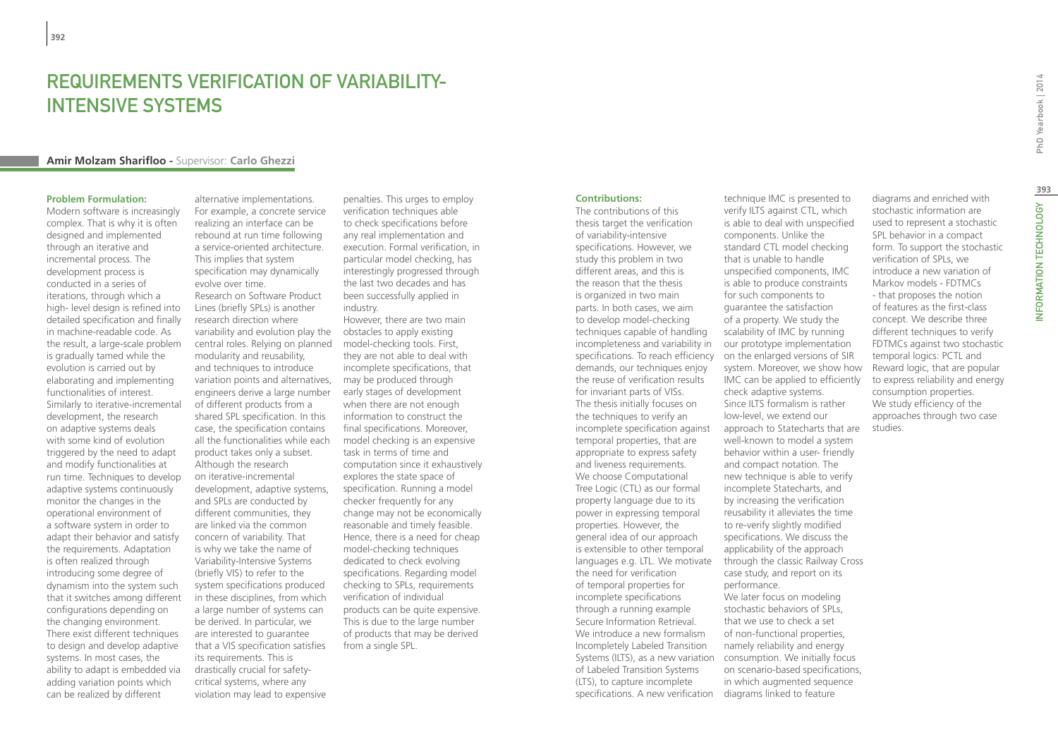## Requirements Verification of Variability-Intensive Systems

#### **Amir Molzam Sharifloo -** Supervisor: **Carlo Ghezzi**

#### **Problem Formulation:**

Modern software is increasingly complex. That is why it is often designed and implemented through an iterative and incremental process. The development process is conducted in a series of iterations, through which a high- level design is refined into detailed specification and finally in machine-readable code. As the result, a large-scale problem is gradually tamed while the evolution is carried out by elaborating and implementing functionalities of interest. Similarly to iterative-incremental development, the research on adaptive systems deals with some kind of evolution triggered by the need to adapt and modify functionalities at run time. Techniques to develop adaptive systems continuously monitor the changes in the operational environment of a software system in order to adapt their behavior and satisfy the requirements. Adaptation is often realized through introducing some degree of dynamism into the system such that it switches among different configurations depending on the changing environment. There exist different techniques to design and develop adaptive systems. In most cases, the ability to adapt is embedded via adding variation points which can be realized by different

alternative implementations. For example, a concrete service realizing an interface can be rebound at run time following a service-oriented architecture. This implies that system specification may dynamically evolve over time. Research on Software Product Lines (briefly SPLs) is another research direction where variability and evolution play the central roles. Relying on planned modularity and reusability, and techniques to introduce variation points and alternatives, may be produced through engineers derive a large number of different products from a shared SPL specification. In this case, the specification contains product takes only a subset.

all the functionalities while each Although the research on iterative-incremental development, adaptive systems, and SPLs are conducted by different communities, they are linked via the common concern of variability. That is why we take the name of Variability-Intensive Systems (briefly VIS) to refer to the system specifications produced in these disciplines, from which a large number of systems can be derived. In particular, we are interested to guarantee that a VIS specification satisfies its requirements. This is drastically crucial for safetycritical systems, where any violation may lead to expensive

penalties. This urges to employ verification techniques able to check specifications before any real implementation and execution. Formal verification, in particular model checking, has interestingly progressed through the last two decades and has been successfully applied in industry.

However, there are two main obstacles to apply existing model-checking tools. First, they are not able to deal with incomplete specifications, that early stages of development when there are not enough information to construct the final specifications. Moreover, model checking is an expensive task in terms of time and computation since it exhaustively explores the state space of specification. Running a model checker frequently for any change may not be economically reasonable and timely feasible. Hence, there is a need for cheap model-checking techniques dedicated to check evolving specifications. Regarding model checking to SPLs, requirements verification of individual products can be quite expensive. This is due to the large number of products that may be derived from a single SPL.

#### **Contributions:**

The contributions of this thesis target the verification of variability-intensive specifications. However, we study this problem in two different areas, and this is the reason that the thesis is organized in two main parts. In both cases, we aim to develop model-checking techniques capable of handling incompleteness and variability in our prototype implementation specifications. To reach efficiency on the enlarged versions of SIR demands, our techniques enjoy the reuse of verification results for invariant parts of VISs. The thesis initially focuses on the techniques to verify an incomplete specification against temporal properties, that are appropriate to express safety and liveness requirements. We choose Computational Tree Logic (CTL) as our formal property language due to its power in expressing temporal properties. However, the general idea of our approach is extensible to other temporal languages e.g. LTL. We motivate the need for verification of temporal properties for incomplete specifications through a running example Secure Information Retrieval. We introduce a new formalism Incompletely Labeled Transition Systems (ILTS), as a new variation of Labeled Transition Systems (LTS), to capture incomplete specifications. A new verification diagrams linked to feature

technique IMC is presented to verify ILTS against CTL, which is able to deal with unspecified components. Unlike the standard CTL model checking that is unable to handle unspecified components, IMC is able to produce constraints for such components to guarantee the satisfaction of a property. We study the scalability of IMC by running system. Moreover, we show how IMC can be applied to efficiently check adaptive systems. Since ILTS formalism is rather low-level, we extend our approach to Statecharts that are well-known to model a system behavior within a user- friendly and compact notation. The new technique is able to verify incomplete Statecharts, and by increasing the verification reusability it alleviates the time to re-verify slightly modified specifications. We discuss the applicability of the approach through the classic Railway Cross case study, and report on its performance. We later focus on modeling stochastic behaviors of SPLs, that we use to check a set of non-functional properties, namely reliability and energy consumption. We initially focus on scenario-based specifications, in which augmented sequence

diagrams and enriched with stochastic information are used to represent a stochastic SPL behavior in a compact form. To support the stochastic verification of SPLs, we introduce a new variation of Markov models - FDTMCs - that proposes the notion of features as the first-class concept. We describe three different techniques to verify FDTMCs against two stochastic temporal logics: PCTL and Reward logic, that are popular to express reliability and energy consumption properties. We study efficiency of the approaches through two case studies.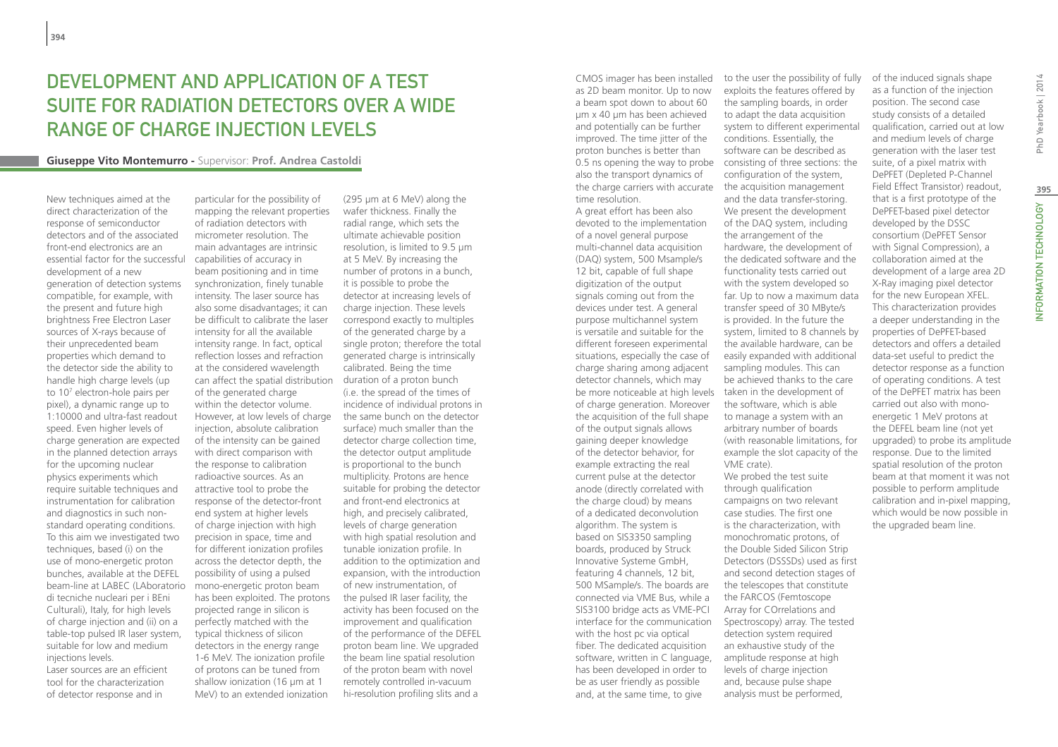## DEVELOPMENT AND APPLICATION OF A TEST SUITE FOR RADIATION DETECTORS OVER A WIDE RANGE OF CHARGE INJECTION LEVELS

#### **Giuseppe Vito Montemurro -** Supervisor: **Prof. Andrea Castoldi**

New techniques aimed at the direct characterization of the response of semiconductor detectors and of the associated front-end electronics are an essential factor for the successful development of a new generation of detection systems compatible, for example, with the present and future high brightness Free Electron Laser sources of X-rays because of their unprecedented beam properties which demand to the detector side the ability to handle high charge levels (up to 107 electron-hole pairs per pixel), a dynamic range up to 1:10000 and ultra-fast readout speed. Even higher levels of charge generation are expected in the planned detection arrays for the upcoming nuclear physics experiments which require suitable techniques and instrumentation for calibration and diagnostics in such nonstandard operating conditions. To this aim we investigated two techniques, based (i) on the use of mono-energetic proton bunches, available at the DEFEL beam-line at LABEC (LAboratorio di tecniche nucleari per i BEni Culturali), Italy, for high levels of charge injection and (ii) on a table-top pulsed IR laser system, suitable for low and medium injections levels.

Laser sources are an efficient tool for the characterization of detector response and in

particular for the possibility of mapping the relevant properties of radiation detectors with micrometer resolution. The main advantages are intrinsic capabilities of accuracy in beam positioning and in time synchronization, finely tunable intensity. The laser source has also some disadvantages; it can be difficult to calibrate the laser intensity for all the available intensity range. In fact, optical reflection losses and refraction at the considered wavelength can affect the spatial distribution of the generated charge within the detector volume. However, at low levels of charge injection, absolute calibration of the intensity can be gained with direct comparison with the response to calibration radioactive sources. As an attractive tool to probe the response of the detector-front end system at higher levels of charge injection with high precision in space, time and for different ionization profiles across the detector depth, the possibility of using a pulsed mono-energetic proton beam has been exploited. The protons projected range in silicon is perfectly matched with the typical thickness of silicon detectors in the energy range 1-6 MeV. The ionization profile of protons can be tuned from shallow ionization (16 um at 1) MeV) to an extended ionization

(295 μm at 6 MeV) along the wafer thickness. Finally the radial range, which sets the ultimate achievable position resolution, is limited to 9.5 μm at 5 MeV. By increasing the number of protons in a bunch, it is possible to probe the detector at increasing levels of charge injection. These levels correspond exactly to multiples of the generated charge by a single proton; therefore the total generated charge is intrinsically calibrated. Being the time duration of a proton bunch (i.e. the spread of the times of incidence of individual protons in the same bunch on the detector surface) much smaller than the detector charge collection time, the detector output amplitude is proportional to the bunch multiplicity. Protons are hence suitable for probing the detector and front-end electronics at high, and precisely calibrated, levels of charge generation with high spatial resolution and tunable ionization profile. In addition to the optimization and expansion, with the introduction of new instrumentation, of the pulsed IR laser facility, the activity has been focused on the improvement and qualification of the performance of the DEFEL proton beam line. We upgraded the beam line spatial resolution of the proton beam with novel remotely controlled in-vacuum hi-resolution profiling slits and a

CMOS imager has been installed as 2D beam monitor. Up to now a beam spot down to about 60 μm x 40 μm has been achieved and potentially can be further improved. The time jitter of the proton bunches is better than also the transport dynamics of the charge carriers with accurate the acquisition management time resolution.

A great effort has been also devoted to the implementation of a novel general purpose multi-channel data acquisition (DAQ) system, 500 Msample/s 12 bit, capable of full shape digitization of the output signals coming out from the devices under test. A general purpose multichannel system is versatile and suitable for the different foreseen experimental situations, especially the case of charge sharing among adjacent detector channels, which may be more noticeable at high levels taken in the development of of charge generation. Moreover the acquisition of the full shape of the output signals allows gaining deeper knowledge of the detector behavior, for example extracting the real current pulse at the detector anode (directly correlated with the charge cloud) by means of a dedicated deconvolution algorithm. The system is based on SIS3350 sampling boards, produced by Struck Innovative Systeme GmbH, featuring 4 channels, 12 bit, 500 MSample/s. The boards are connected via VME Bus, while a SIS3100 bridge acts as VME-PCI interface for the communication Spectroscopy) array. The tested with the host pc via optical fiber. The dedicated acquisition software, written in C language, has been developed in order to be as user friendly as possible and, at the same time, to give

0.5 ns opening the way to probe consisting of three sections: the to the user the possibility of fully exploits the features offered by the sampling boards, in order to adapt the data acquisition system to different experimental conditions. Essentially, the software can be described as configuration of the system, and the data transfer-storing. We present the development of the DAQ system, including the arrangement of the hardware, the development of the dedicated software and the functionality tests carried out with the system developed so far. Up to now a maximum data transfer speed of 30 MByte/s is provided. In the future the system, limited to 8 channels by the available hardware, can be easily expanded with additional sampling modules. This can be achieved thanks to the care the software, which is able to manage a system with an arbitrary number of boards (with reasonable limitations, for example the slot capacity of the VME crate). We probed the test suite through qualification campaigns on two relevant case studies. The first one is the characterization, with monochromatic protons, of the Double Sided Silicon Strip Detectors (DSSSDs) used as first and second detection stages of the telescopes that constitute the FARCOS (Femtoscope Array for COrrelations and detection system required an exhaustive study of the amplitude response at high levels of charge injection and, because pulse shape

analysis must be performed,

of the induced signals shape as a function of the injection position. The second case study consists of a detailed qualification, carried out at low and medium levels of charge generation with the laser test suite, of a pixel matrix with DePFET (Depleted P-Channel Field Effect Transistor) readout, that is a first prototype of the DePFET-based pixel detector developed by the DSSC consortium (DePFET Sensor with Signal Compression), a collaboration aimed at the development of a large area 2D X-Ray imaging pixel detector for the new European XFEL. This characterization provides a deeper understanding in the properties of DePFET-based detectors and offers a detailed data-set useful to predict the detector response as a function of operating conditions. A test of the DePFET matrix has been carried out also with monoenergetic 1 MeV protons at the DEFEL beam line (not yet upgraded) to probe its amplitude response. Due to the limited spatial resolution of the proton beam at that moment it was not possible to perform amplitude calibration and in-pixel mapping, which would be now possible in the upgraded beam line.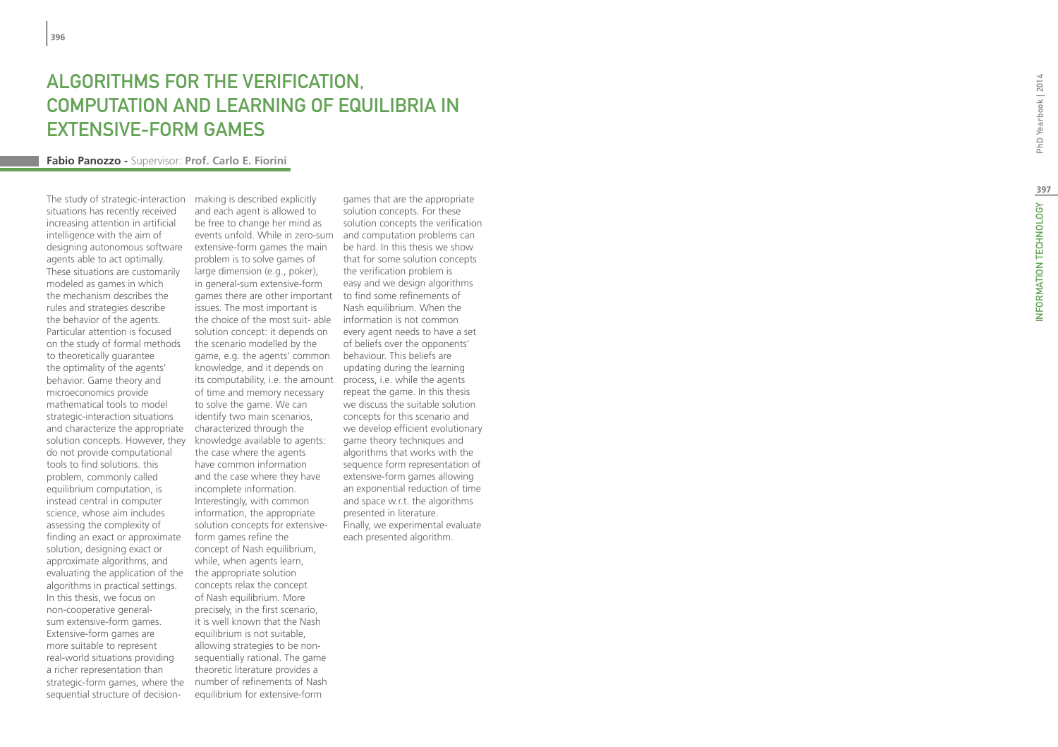# ALGORIT H M S FOR THE VERI FICATION, COMPUTATION AND L EARNING O F EQUILIBRIA IN EXTENSIVE-FORM GAME

#### **Fabio Panozzo -** Supervisor: **Prof. Carlo E. Fiorini**

The study of strategic-interaction situations has recently received increasing attention in artificial intelligence with the aim of designing autonomous software agents able to act optimally. These situations are customarily modeled as games in which the mechanism describes the rules and strategies describe the behavior of the agents. Particular attention is focused on the study of formal methods to theoretically guarantee the optimality of the agents' behavior. Game theory and microeconomics provide mathematical tools to model strategic-interaction situations and characterize the appropriate solution concepts. However, they do not provide computational tools to find solutions. this problem, commonly called equilibrium computation, is instead central in computer science, whose aim includes assessing the complexity of finding an exact or approximate solution, designing exact or approximate algorithms, and evaluating the application of the algorithms in practical settings. In this thesis, we focus on non-cooperative generalsum extensive-form games. Extensive-form games are more suitable to represent real-world situations providing a richer representation than strategic-form games, where the sequential structure of decision-

making is described explicitly and each agent is allowed to be free to change her mind as events unfold. While in zero-sum and computation problems can extensive-form games the main problem is to solve games of large dimension (e.g., poker), in general-sum extensive-form games there are other important to find some refinements of issues. The most important is the choice of the most suit- able solution concept: it depends on the scenario modelled by the game, e.g. the agents' common knowledge, and it depends on its computability, i.e. the amount of time and memory necessary to solve the game. We can identify two main scenarios, characterized through the knowledge available to agents: the case where the agents have common information and the case where they have incomplete information. Interestingly, with common information, the appropriate solution concepts for extensiveform games refine the concept of Nash equilibrium, while, when agents learn, the appropriate solution concepts relax the concept of Nash equilibrium. More precisely, in the first scenario, it is well known that the Nash equilibrium is not suitable, allowing strategies to be nonsequentially rational. The game theoretic literature provides a number of refinements of Nash equilibrium for extensive-form

games that are the appropriate solution concepts. For these solution concepts the verification be hard. In this thesis we show that for some solution concepts the verification problem is easy and we design algorithms Nash equilibrium. When the information is not common every agent needs to have a set of beliefs over the opponents' behaviour. This beliefs are updating during the learning process, i.e. while the agents repeat the game. In this thesis we discuss the suitable solution concepts for this scenario and we develop efficient evolutionary game theory techniques and algorithms that works with the sequence form representation of extensive-form games allowing an exponential reduction of time and space w.r.t. the algorithms presented in literature. Finally, we experimental evaluate each presented algorithm.

PhD Yearbook | 2014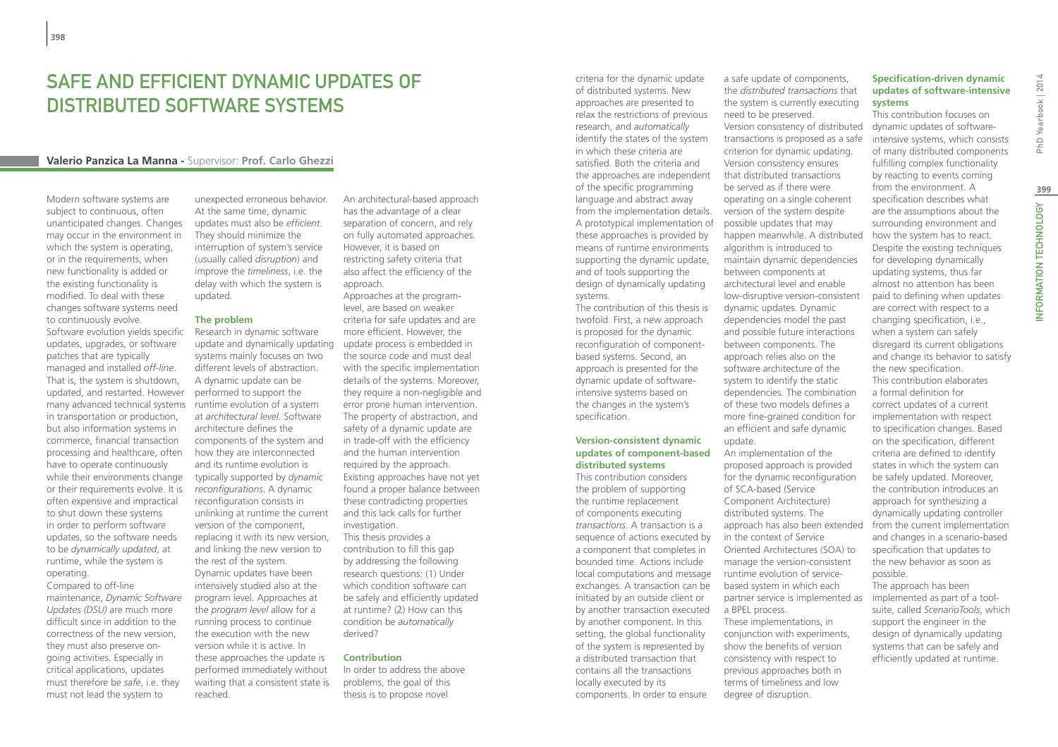## SAFE AND EFFICIENT DYNAMIC UPDATES OF DISTRIBUTED SOFTWARE SYSTEMS

#### **Valerio Panzica La Manna -** Supervisor: **Prof. Carlo Ghezzi**

Modern software systems are subject to continuous, often unanticipated changes. Changes may occur in the environment in which the system is operating, or in the requirements, when new functionality is added or the existing functionality is modified. To deal with these changes software systems need to continuously evolve. Software evolution yields specific updates, upgrades, or software patches that are typically managed and installed *off-line*. That is, the system is shutdown, updated, and restarted. However many advanced technical systems runtime evolution of a system in transportation or production, but also information systems in commerce, financial transaction processing and healthcare, often have to operate continuously while their environments change or their requirements evolve. It is often expensive and impractical to shut down these systems in order to perform software updates, so the software needs to be *dynamically updated*, at runtime, while the system is operating.

Compared to off-line maintenance, *Dynamic Software Updates (DSU)* are much more difficult since in addition to the correctness of the new version, they must also preserve ongoing activities. Especially in critical applications, updates must therefore be *safe*, i.e. they must not lead the system to

unexpected erroneous behavior. At the same time, dynamic updates must also be *efficient*. They should minimize the interruption of system's service (usually called *disruption*) and improve the *timeliness*, i.e. the delay with which the system is updated.

#### **The problem**

Research in dynamic software update and dynamically updating systems mainly focuses on two different levels of abstraction. A dynamic update can be performed to support the at *architectural level*. Software architecture defines the components of the system and how they are interconnected and its runtime evolution is typically supported by *dynamic reconfigurations*. A dynamic reconfiguration consists in unlinking at runtime the current version of the component, replacing it with its new version, and linking the new version to the rest of the system. Dynamic updates have been intensively studied also at the program level. Approaches at the *program level* allow for a running process to continue the execution with the new version while it is active. In these approaches the update is performed immediately without waiting that a consistent state is reached.

An architectural-based approach has the advantage of a clear separation of concern, and rely on fully automated approaches. However, it is based on restricting safety criteria that also affect the efficiency of the approach.

Approaches at the programlevel, are based on weaker criteria for safe updates and are more efficient. However, the update process is embedded in the source code and must deal with the specific implementation details of the systems. Moreover, they require a non-negligible and error prone human intervention. The property of abstraction, and safety of a dynamic update are in trade-off with the efficiency and the human intervention required by the approach. Existing approaches have not yet found a proper balance between these contradicting properties and this lack calls for further investigation. This thesis provides a contribution to fill this gap by addressing the following research questions: (1) Under which condition software can be safely and efficiently updated at runtime? (2) How can this condition be *automatically* derived?

#### **Contribution**

In order to address the above problems, the goal of this thesis is to propose novel

criteria for the dynamic update of distributed systems. New approaches are presented to relax the restrictions of previous research, and *automatically* identify the states of the system in which these criteria are satisfied. Both the criteria and the approaches are independent of the specific programming language and abstract away from the implementation details. A prototypical implementation of these approaches is provided by means of runtime environments supporting the dynamic update, and of tools supporting the design of dynamically updating systems.

The contribution of this thesis is twofold. First, a new approach is proposed for the dynamic reconfiguration of componentbased systems. Second, an approach is presented for the dynamic update of softwareintensive systems based on the changes in the system's specification.

#### **Version-consistent dynamic updates of component-based distributed systems**

This contribution considers the problem of supporting the runtime replacement of components executing *transactions*. A transaction is a sequence of actions executed by a component that completes in bounded time. Actions include local computations and message exchanges. A transaction can be initiated by an outside client or by another transaction executed by another component. In this setting, the global functionality of the system is represented by a distributed transaction that contains all the transactions locally executed by its components. In order to ensure

a safe update of components, the *distributed transactions* that the system is currently executing need to be preserved. Version consistency of distributed transactions is proposed as a safe criterion for dynamic updating. Version consistency ensures that distributed transactions be served as if there were operating on a single coherent version of the system despite possible updates that may happen meanwhile. A distributed algorithm is introduced to maintain dynamic dependencies between components at architectural level and enable low-disruptive version-consistent dynamic updates. Dynamic dependencies model the past and possible future interactions between components. The approach relies also on the software architecture of the system to identify the static dependencies. The combination of these two models defines a more fine-grained condition for an efficient and safe dynamic update.

An implementation of the proposed approach is provided for the dynamic reconfiguration of SCA-based (Service Component Architecture) distributed systems. The approach has also been extended in the context of Service Oriented Architectures (SOA) to manage the version-consistent runtime evolution of servicebased system in which each partner service is implemented as a BPEL process.

These implementations, in conjunction with experiments, show the benefits of version consistency with respect to previous approaches both in terms of timeliness and low degree of disruption.

#### **Specification-driven dynamic updates of software-intensive systems**

This contribution focuses on dynamic updates of softwareintensive systems, which consists of many distributed components fulfilling complex functionality by reacting to events coming from the environment. A specification describes what are the assumptions about the surrounding environment and how the system has to react. Despite the existing techniques for developing dynamically updating systems, thus far almost no attention has been paid to defining when updates are correct with respect to a changing specification, i.e., when a system can safely disregard its current obligations and change its behavior to satisfy the new specification. This contribution elaborates a formal definition for correct updates of a current implementation with respect to specification changes. Based on the specification, different criteria are defined to identify states in which the system can be safely updated. Moreover, the contribution introduces an approach for synthesizing a dynamically updating controller from the current implementation and changes in a scenario-based specification that updates to the new behavior as soon as possible. The approach has been implemented as part of a tool-

suite, called *ScenarioTools*, which support the engineer in the design of dynamically updating systems that can be safely and efficiently updated at runtime.

PhD Yearbook | 2014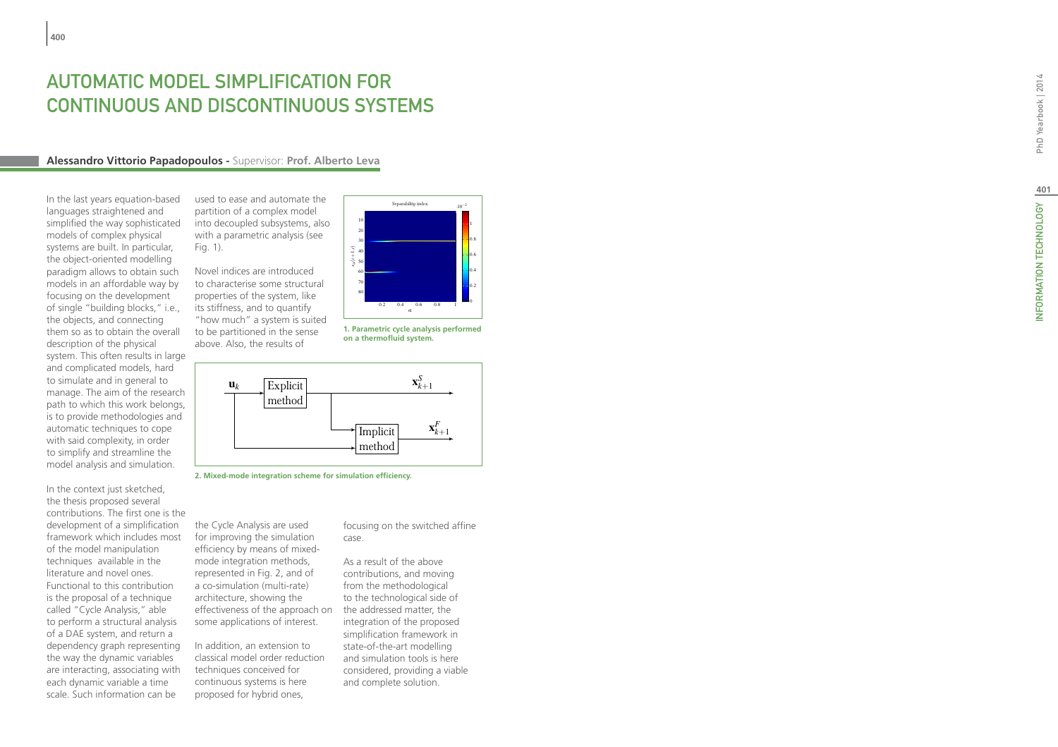# **AUTOMATIC MODEL SIMPLIFICATION FOR<br>CONTINUOUS AND DISCONTINUOUS SYST<br>Alessandro Vittorio Papadopoulos - Supervisor: Prof. Alberto Leva EMS**

In the last years equation-based languages straightened and simplified the way sophisticated models of complex physical systems are built. In particular, the object-oriented modelling paradigm allows to obtain such models in an affordable way by focusing on the development of single "building blocks," i.e., the objects, and connecting them so as to obtain the overall description of the physical system. This often results in large and complicated models, hard to simulate and in general to manage. The aim of the research path to which this work belongs, is to provide methodologies and automatic techniques to cope with said complexity, in order to simplify and streamline the model analysis and simulation.

In the context just sketched, the thesis proposed several contributions. The first one is the development of a simplification framework which includes most of the model manipulation techniques available in the literature and novel ones. Functional to this contribution is the proposal of a technique called "Cycle Analysis," able to perform a structural analysis of a DAE system, and return a dependency graph representing the way the dynamic variables are interacting, associating with each dynamic variable a time scale. Such information can be

used to ease and automate the partition of a complex model into decoupled subsystems, also with a parametric analysis (see Fig. 1).

Novel indices are introduced to characterise some structural properties of the system, like its stiffness, and to quantify "how much" a system is suited to be partitioned in the sense above. Also, the results of



the Cycle Analysis are used for improving the simulation efficiency by means of mixedmode integration methods, represented in Fig. 2, and of a co-simulation (multi-rate) architecture, showing the effectiveness of the approach on some applications of interest.

In addition, an extension to classical model order reduction techniques conceived for continuous systems is here proposed for hybrid ones,

focusing on the switched affine case.

As a result of the above contributions, and moving from the methodological to the technological side of the addressed matter, the integration of the proposed simplification framework in state-of-the-art modelling and simulation tools is here considered, providing a viable and complete solution.



**1. Parametric cycle analysis performed on a thermofluid system.**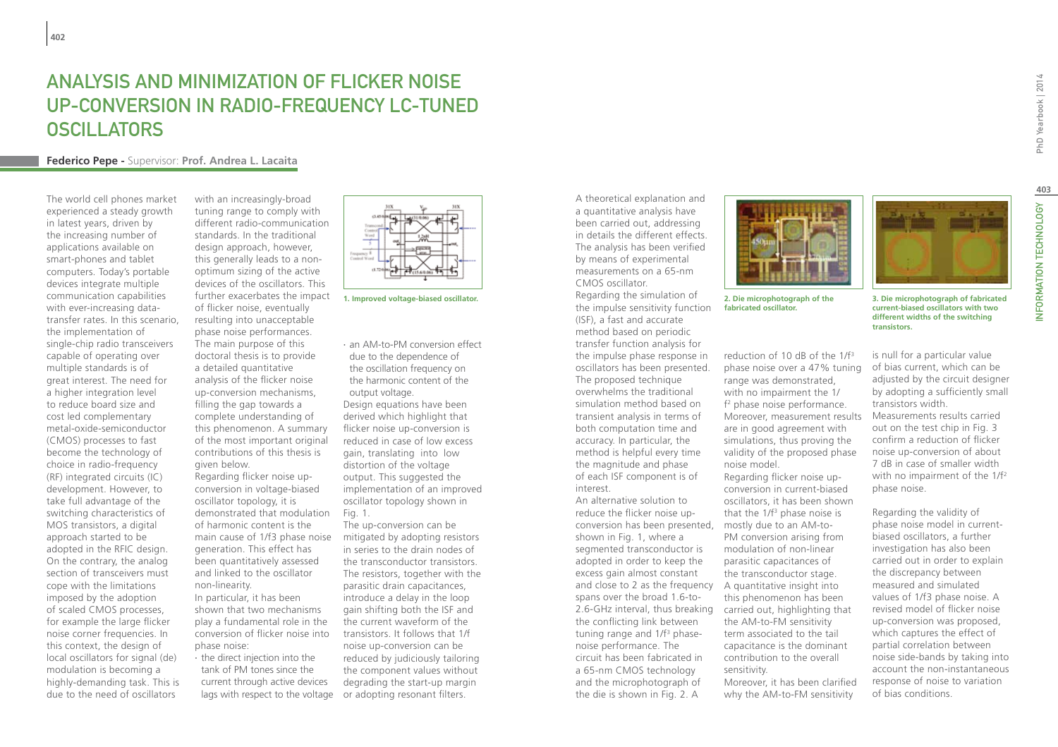## Analysis and Minimization of Flicker Noise Up-Conversion in Radio-Frequency LC-Tuned **OSCILLATORS**

#### **Federico Pepe -** Supervisor: **Prof. Andrea L. Lacaita**

The world cell phones market experienced a steady growth in latest years, driven by the increasing number of applications available on smart-phones and tablet computers. Today's portable devices integrate multiple communication capabilities with ever-increasing datatransfer rates. In this scenario, the implementation of single-chip radio transceivers capable of operating over multiple standards is of great interest. The need for a higher integration level to reduce board size and cost led complementary metal-oxide-semiconductor (CMOS) processes to fast become the technology of choice in radio-frequency (RF) integrated circuits (IC) development. However, to take full advantage of the switching characteristics of MOS transistors, a digital approach started to be adopted in the RFIC design. On the contrary, the analog section of transceivers must cope with the limitations imposed by the adoption of scaled CMOS processes, for example the large flicker noise corner frequencies. In this context, the design of local oscillators for signal (de) modulation is becoming a highly-demanding task. This is due to the need of oscillators

with an increasingly-broad tuning range to comply with different radio-communication standards. In the traditional design approach, however, this generally leads to a nonoptimum sizing of the active devices of the oscillators. This further exacerbates the impact of flicker noise, eventually resulting into unacceptable phase noise performances. The main purpose of this doctoral thesis is to provide a detailed quantitative analysis of the flicker noise up-conversion mechanisms, filling the gap towards a complete understanding of this phenomenon. A summary of the most important original contributions of this thesis is given below. Regarding flicker noise upconversion in voltage-biased oscillator topology, it is demonstrated that modulation of harmonic content is the main cause of 1/f3 phase noise generation. This effect has been quantitatively assessed and linked to the oscillator non-linearity. In particular, it has been

shown that two mechanisms play a fundamental role in the conversion of flicker noise into phase noise:

∙ the direct injection into the tank of PM tones since the current through active devices



∙ an AM-to-PM conversion effect due to the dependence of the oscillation frequency on the harmonic content of the output voltage. Design equations have been derived which highlight that flicker noise up-conversion is reduced in case of low excess gain, translating into low distortion of the voltage output. This suggested the implementation of an improved oscillator topology shown in Fig. 1.

lags with respect to the voltage or adopting resonant filters. The up-conversion can be mitigated by adopting resistors in series to the drain nodes of the transconductor transistors. The resistors, together with the parasitic drain capacitances, introduce a delay in the loop gain shifting both the ISF and the current waveform of the transistors. It follows that 1/f noise up-conversion can be reduced by judiciously tailoring the component values without degrading the start-up margin

A theoretical explanation and a quantitative analysis have been carried out, addressing in details the different effects. The analysis has been verified by means of experimental measurements on a 65-nm CMOS oscillator.

Regarding the simulation of the impulse sensitivity function (ISF), a fast and accurate method based on periodic transfer function analysis for the impulse phase response in oscillators has been presented. The proposed technique overwhelms the traditional simulation method based on transient analysis in terms of both computation time and accuracy. In particular, the method is helpful every time the magnitude and phase of each ISF component is of interest. **1. Improved voltage-biased oscillator. 2. Die microphotograph of the** 

> An alternative solution to reduce the flicker noise upconversion has been presented, mostly due to an AM-toshown in Fig. 1, where a segmented transconductor is adopted in order to keep the excess gain almost constant and close to 2 as the frequency A quantitative insight into spans over the broad 1.6-to-2.6-GHz interval, thus breaking carried out, highlighting that the conflicting link between tuning range and 1/f<sup>3</sup> phasenoise performance. The circuit has been fabricated in a 65-nm CMOS technology and the microphotograph of the die is shown in Fig. 2. A



**fabricated oscillator.**

reduction of 10 dB of the 1/f3 phase noise over a 47% tuning range was demonstrated, with no impairment the 1/ f2 phase noise performance. Moreover, measurement results are in good agreement with simulations, thus proving the validity of the proposed phase noise model. Regarding flicker noise up-

conversion in current-biased oscillators, it has been shown that the  $1/f<sup>3</sup>$  phase noise is PM conversion arising from modulation of non-linear parasitic capacitances of the transconductor stage. this phenomenon has been the AM-to-FM sensitivity term associated to the tail capacitance is the dominant contribution to the overall sensitivity.

Moreover, it has been clarified why the AM-to-FM sensitivity

is null for a particular value of bias current, which can be adjusted by the circuit designer by adopting a sufficiently small transistors width. Measurements results carried out on the test chip in Fig. 3 confirm a reduction of flicker noise up-conversion of about 7 dB in case of smaller width with no impairment of the 1/f<sup>2</sup> phase noise.

Regarding the validity of phase noise model in currentbiased oscillators, a further investigation has also been carried out in order to explain the discrepancy between measured and simulated values of 1/f3 phase noise. A revised model of flicker noise up-conversion was proposed, which captures the effect of partial correlation between noise side-bands by taking into account the non-instantaneous response of noise to variation of bias conditions.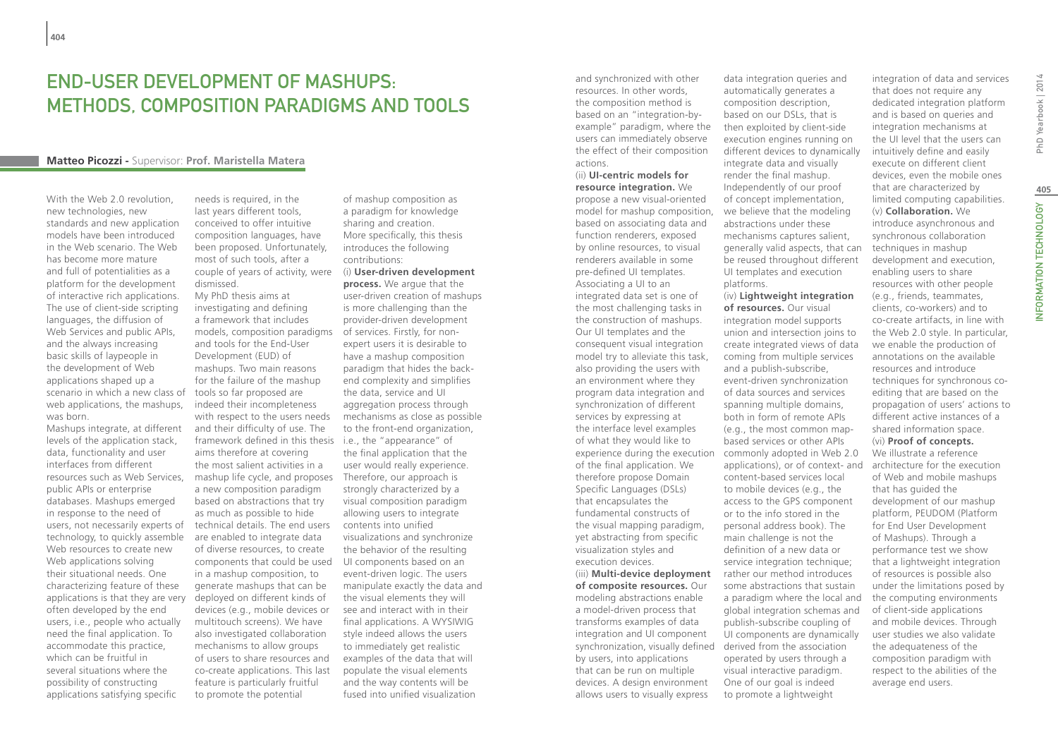## End-User Development of Mashups: Methods, Composition Paradigms and Tools

#### **Matteo Picozzi -** Supervisor: **Prof. Maristella Matera**

With the Web 2.0 revolution. new technologies, new standards and new application models have been introduced in the Web scenario. The Web has become more mature and full of potentialities as a platform for the development of interactive rich applications. The use of client-side scripting languages, the diffusion of Web Services and public APIs, and the always increasing basic skills of laypeople in the development of Web applications shaped up a scenario in which a new class of web applications, the mashups, was born.

Mashups integrate, at different levels of the application stack, data, functionality and user interfaces from different resources such as Web Services, public APIs or enterprise databases. Mashups emerged in response to the need of users, not necessarily experts of technology, to quickly assemble Web resources to create new Web applications solving their situational needs. One characterizing feature of these applications is that they are very often developed by the end users, i.e., people who actually need the final application. To accommodate this practice, which can be fruitful in several situations where the possibility of constructing applications satisfying specific

needs is required, in the last years different tools, conceived to offer intuitive composition languages, have been proposed. Unfortunately, most of such tools, after a couple of years of activity, were (i) **User-driven development**  dismissed. My PhD thesis aims at investigating and defining a framework that includes models, composition paradigms of services. Firstly, for non-

and tools for the End-User Development (EUD) of mashups. Two main reasons for the failure of the mashup tools so far proposed are indeed their incompleteness with respect to the users needs and their difficulty of use. The framework defined in this thesis i.e., the "appearance" of aims therefore at covering the most salient activities in a mashup life cycle, and proposes a new composition paradigm based on abstractions that try as much as possible to hide technical details. The end users are enabled to integrate data of diverse resources, to create components that could be used in a mashup composition, to generate mashups that can be deployed on different kinds of devices (e.g., mobile devices or multitouch screens). We have also investigated collaboration mechanisms to allow groups of users to share resources and co-create applications. This last feature is particularly fruitful to promote the potential

of mashup composition as a paradigm for knowledge sharing and creation. More specifically, this thesis introduces the following contributions: **process.** We argue that the user-driven creation of mashups is more challenging than the provider-driven development expert users it is desirable to have a mashup composition paradigm that hides the backend complexity and simplifies the data, service and UI aggregation process through mechanisms as close as possible to the front-end organization, the final application that the user would really experience. Therefore, our approach is strongly characterized by a visual composition paradigm allowing users to integrate contents into unified visualizations and synchronize the behavior of the resulting UI components based on an event-driven logic. The users manipulate exactly the data and the visual elements they will see and interact with in their final applications. A WYSIWIG style indeed allows the users to immediately get realistic examples of the data that will populate the visual elements and the way contents will be fused into unified visualization

and synchronized with other resources. In other words, the composition method is based on an "integration-byexample" paradigm, where the users can immediately observe the effect of their composition actions.

(ii) **UI-centric models for resource integration.** We propose a new visual-oriented model for mashup composition, based on associating data and function renderers, exposed by online resources, to visual renderers available in some pre-defined UI templates. Associating a UI to an integrated data set is one of the most challenging tasks in the construction of mashups. Our UI templates and the consequent visual integration model try to alleviate this task, also providing the users with an environment where they program data integration and synchronization of different services by expressing at the interface level examples of what they would like to of the final application. We therefore propose Domain Specific Languages (DSLs) that encapsulates the fundamental constructs of the visual mapping paradigm, yet abstracting from specific visualization styles and execution devices.

**of composite resources.** Our modeling abstractions enable a model-driven process that transforms examples of data integration and UI component synchronization, visually defined derived from the association by users, into applications that can be run on multiple devices. A design environment allows users to visually express

data integration queries and automatically generates a composition description, based on our DSLs, that is then exploited by client-side execution engines running on different devices to dynamically integrate data and visually render the final mashup. Independently of our proof of concept implementation, we believe that the modeling abstractions under these mechanisms captures salient, generally valid aspects, that can be reused throughout different UI templates and execution platforms.

experience during the execution commonly adopted in Web 2.0 (iii) **Multi-device deployment**  rather our method introduces (iv) **Lightweight integration of resources.** Our visual integration model supports union and intersection joins to create integrated views of data coming from multiple services and a publish-subscribe, event-driven synchronization of data sources and services spanning multiple domains, both in form of remote APIs (e.g., the most common mapbased services or other APIs applications), or of context- and content-based services local to mobile devices (e.g., the access to the GPS component or to the info stored in the personal address book). The main challenge is not the definition of a new data or service integration technique; some abstractions that sustain a paradigm where the local and global integration schemas and publish-subscribe coupling of UI components are dynamically operated by users through a visual interactive paradigm. One of our goal is indeed to promote a lightweight

integration of data and services that does not require any dedicated integration platform and is based on queries and integration mechanisms at the UI level that the users can intuitively define and easily execute on different client devices, even the mobile ones that are characterized by limited computing capabilities. (v) **Collaboration.** We introduce asynchronous and synchronous collaboration techniques in mashup development and execution, enabling users to share resources with other people (e.g., friends, teammates, clients, co-workers) and to co-create artifacts, in line with the Web 2.0 style. In particular, we enable the production of annotations on the available resources and introduce techniques for synchronous coediting that are based on the propagation of users' actions to different active instances of a shared information space. (vi) **Proof of concepts.** We illustrate a reference architecture for the execution of Web and mobile mashups that has guided the development of our mashup platform, PEUDOM (Platform for End User Development of Mashups). Through a performance test we show

that a lightweight integration of resources is possible also under the limitations posed by the computing environments of client-side applications and mobile devices. Through user studies we also validate the adequateness of the composition paradigm with respect to the abilities of the

average end users.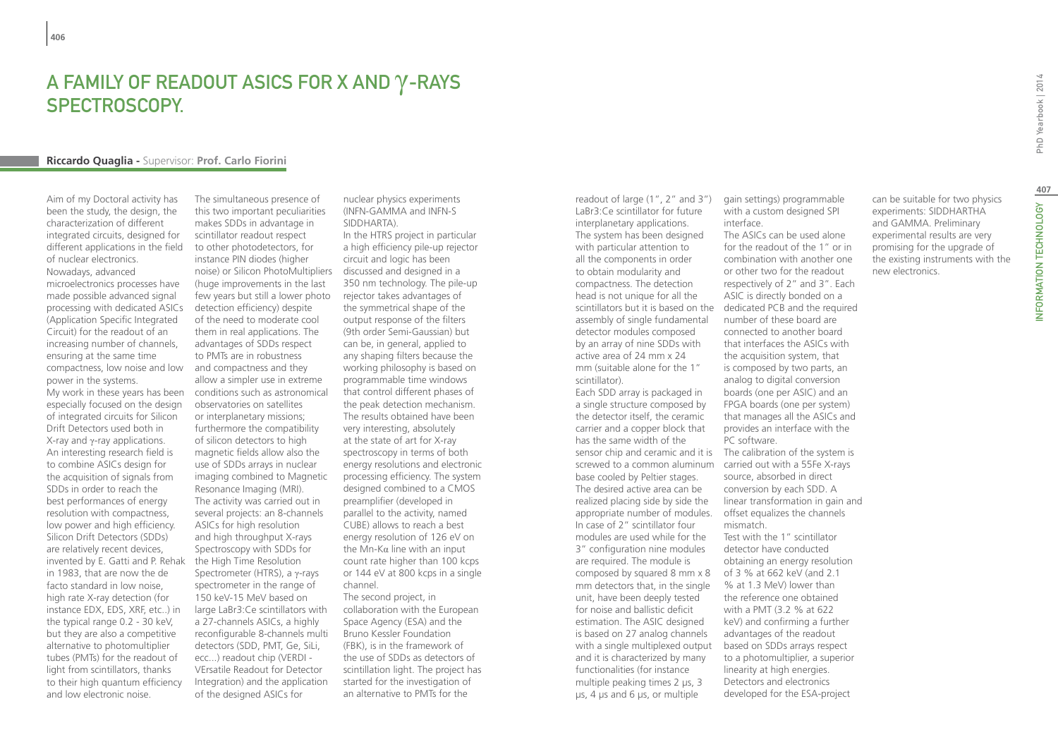## A Family of Readout ASICs for X and γ-Rays **SPECTROSCOPY**

#### **Riccardo Quaglia -** Supervisor: **Prof. Carlo Fiorini**

Aim of my Doctoral activity has been the study, the design, the characterization of different integrated circuits, designed for different applications in the field of nuclear electronics. Nowadays, advanced microelectronics processes have made possible advanced signal processing with dedicated ASICs (Application Specific Integrated Circuit) for the readout of an increasing number of channels, ensuring at the same time compactness, low noise and low power in the systems. My work in these years has been especially focused on the design of integrated circuits for Silicon Drift Detectors used both in X-ray and γ-ray applications. An interesting research field is to combine ASICs design for the acquisition of signals from SDDs in order to reach the best performances of energy resolution with compactness, low power and high efficiency. Silicon Drift Detectors (SDDs) are relatively recent devices, invented by E. Gatti and P. Rehak in 1983, that are now the de facto standard in low noise, high rate X-ray detection (for instance EDX, EDS, XRF, etc..) in the typical range 0.2 - 30 keV, but they are also a competitive alternative to photomultiplier tubes (PMTs) for the readout of light from scintillators, thanks to their high quantum efficiency and low electronic noise.

The simultaneous presence of this two important peculiarities makes SDDs in advantage in scintillator readout respect to other photodetectors, for instance PIN diodes (higher noise) or Silicon PhotoMultipliers (huge improvements in the last few years but still a lower photo detection efficiency) despite of the need to moderate cool them in real applications. The advantages of SDDs respect to PMTs are in robustness and compactness and they allow a simpler use in extreme conditions such as astronomical observatories on satellites or interplanetary missions; furthermore the compatibility of silicon detectors to high magnetic fields allow also the use of SDDs arrays in nuclear imaging combined to Magnetic Resonance Imaging (MRI). The activity was carried out in several projects: an 8-channels ASICs for high resolution and high throughput X-rays Spectroscopy with SDDs for the High Time Resolution Spectrometer (HTRS), a γ-rays spectrometer in the range of 150 keV-15 MeV based on large LaBr3:Ce scintillators with a 27-channels ASICs, a highly reconfigurable 8-channels multi detectors (SDD, PMT, Ge, SiLi, ecc...) readout chip (VERDI - VErsatile Readout for Detector Integration) and the application of the designed ASICs for

nuclear physics experiments (INFN-GAMMA and INFN-S SIDDHARTA). In the HTRS project in particular a high efficiency pile-up rejector circuit and logic has been discussed and designed in a 350 nm technology. The pile-up rejector takes advantages of the symmetrical shape of the output response of the filters (9th order Semi-Gaussian) but can be, in general, applied to any shaping filters because the working philosophy is based on programmable time windows that control different phases of the peak detection mechanism. The results obtained have been very interesting, absolutely at the state of art for X-ray spectroscopy in terms of both energy resolutions and electronic processing efficiency. The system designed combined to a CMOS preamplifier (developed in parallel to the activity, named CUBE) allows to reach a best energy resolution of 126 eV on the Mn-Kα line with an input count rate higher than 100 kcps or 144 eV at 800 kcps in a single channel. The second project, in collaboration with the European Space Agency (ESA) and the Bruno Kessler Foundation (FBK), is in the framework of the use of SDDs as detectors of scintillation light. The project has

started for the investigation of an alternative to PMTs for the

readout of large (1", 2" and 3") LaBr3:Ce scintillator for future interplanetary applications. The system has been designed with particular attention to all the components in order to obtain modularity and compactness. The detection head is not unique for all the scintillators but it is based on the dedicated PCB and the required assembly of single fundamental detector modules composed by an array of nine SDDs with active area of 24 mm x 24 mm (suitable alone for the 1" scintillator). Each SDD array is packaged in a single structure composed by the detector itself, the ceramic

carrier and a copper block that has the same width of the sensor chip and ceramic and it is The calibration of the system is screwed to a common aluminum carried out with a 55Fe X-rays base cooled by Peltier stages. The desired active area can be realized placing side by side the appropriate number of modules. In case of 2" scintillator four modules are used while for the 3" configuration nine modules are required. The module is composed by squared 8 mm x 8 of 3 % at 662 keV (and 2.1 mm detectors that, in the single unit, have been deeply tested for noise and ballistic deficit estimation. The ASIC designed is based on 27 analog channels with a single multiplexed output and it is characterized by many functionalities (for instance multiple peaking times 2 µs, 3 µs, 4 µs and 6 µs, or multiple

gain settings) programmable with a custom designed SPI interface. The ASICs can be used alone for the readout of the 1" or in combination with another one or other two for the readout respectively of 2" and 3". Each

ASIC is directly bonded on a number of these board are connected to another board that interfaces the ASICs with the acquisition system, that is composed by two parts, an analog to digital conversion boards (one per ASIC) and an FPGA boards (one per system) that manages all the ASICs and provides an interface with the PC software. source, absorbed in direct conversion by each SDD. A

linear transformation in gain and offset equalizes the channels mismatch.

Test with the 1" scintillator detector have conducted obtaining an energy resolution % at 1.3 MeV) lower than the reference one obtained with a PMT (3.2 % at 622 keV) and confirming a further advantages of the readout based on SDDs arrays respect to a photomultiplier, a superior linearity at high energies. Detectors and electronics developed for the ESA-project

can be suitable for two physics experiments: SIDDHARTHA and GAMMA. Preliminary experimental results are very promising for the upgrade of the existing instruments with the new electronics.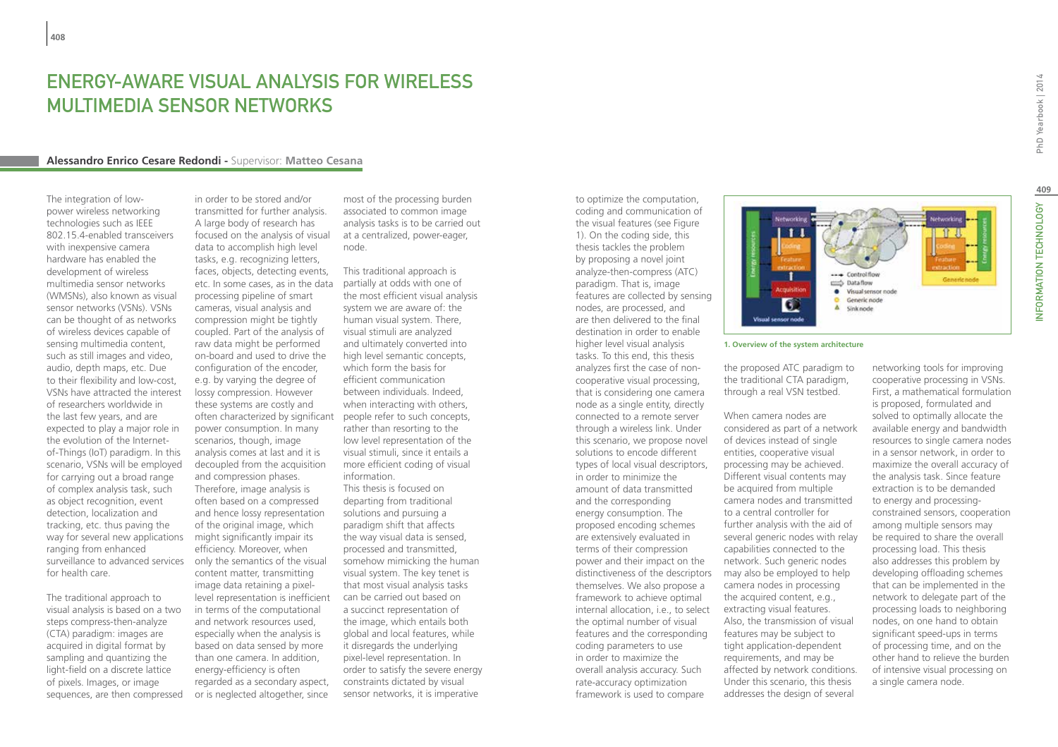## ENERGY-AWARE VISUAL ANALYSIS FOR WIRELESS MULTIMEDIA SENSOR NETWORKS

#### **Alessandro Enrico Cesare Redondi -** Supervisor: **Matteo Cesana**

The integration of lowpower wireless networking technologies such as IEEE 802.15.4-enabled transceivers with inexpensive camera hardware has enabled the development of wireless multimedia sensor networks (WMSNs), also known as visual sensor networks (VSNs). VSNs can be thought of as networks of wireless devices capable of sensing multimedia content, such as still images and video, audio, depth maps, etc. Due to their flexibility and low-cost, VSNs have attracted the interest of researchers worldwide in the last few years, and are expected to play a major role in the evolution of the Internetof-Things (IoT) paradigm. In this scenario, VSNs will be employed for carrying out a broad range of complex analysis task, such as object recognition, event detection, localization and tracking, etc. thus paving the way for several new applications ranging from enhanced surveillance to advanced services for health care.

The traditional approach to visual analysis is based on a two steps compress-then-analyze (CTA) paradigm: images are acquired in digital format by sampling and quantizing the light-field on a discrete lattice of pixels. Images, or image sequences, are then compressed

in order to be stored and/or transmitted for further analysis. A large body of research has focused on the analysis of visual data to accomplish high level tasks, e.g. recognizing letters, faces, objects, detecting events, etc. In some cases, as in the data processing pipeline of smart cameras, visual analysis and compression might be tightly coupled. Part of the analysis of raw data might be performed on-board and used to drive the configuration of the encoder, e.g. by varying the degree of lossy compression. However these systems are costly and often characterized by significant people refer to such concepts, power consumption. In many scenarios, though, image analysis comes at last and it is decoupled from the acquisition and compression phases. Therefore, image analysis is often based on a compressed and hence lossy representation of the original image, which might significantly impair its efficiency. Moreover, when only the semantics of the visual content matter, transmitting image data retaining a pixellevel representation is inefficient in terms of the computational and network resources used, especially when the analysis is based on data sensed by more than one camera. In addition, energy-efficiency is often regarded as a secondary aspect, or is neglected altogether, since

most of the processing burden associated to common image analysis tasks is to be carried out at a centralized, power-eager, node.

This traditional approach is partially at odds with one of the most efficient visual analysis system we are aware of: the human visual system. There, visual stimuli are analyzed and ultimately converted into high level semantic concepts, which form the basis for efficient communication between individuals. Indeed, when interacting with others, rather than resorting to the low level representation of the visual stimuli, since it entails a more efficient coding of visual information. This thesis is focused on departing from traditional solutions and pursuing a paradigm shift that affects the way visual data is sensed, processed and transmitted, somehow mimicking the human visual system. The key tenet is that most visual analysis tasks can be carried out based on a succinct representation of the image, which entails both global and local features, while it disregards the underlying pixel-level representation. In order to satisfy the severe energy constraints dictated by visual sensor networks, it is imperative

coding and communication of the visual features (see Figure 1). On the coding side, this thesis tackles the problem by proposing a novel joint analyze-then-compress (ATC) paradigm. That is, image features are collected by sensing nodes, are processed, and are then delivered to the final destination in order to enable higher level visual analysis tasks. To this end, this thesis analyzes first the case of noncooperative visual processing, that is considering one camera node as a single entity, directly connected to a remote server through a wireless link. Under this scenario, we propose novel solutions to encode different types of local visual descriptors, in order to minimize the amount of data transmitted and the corresponding energy consumption. The proposed encoding schemes are extensively evaluated in terms of their compression power and their impact on the distinctiveness of the descriptors themselves. We also propose a framework to achieve optimal internal allocation, i.e., to select the optimal number of visual features and the corresponding coding parameters to use in order to maximize the overall analysis accuracy. Such rate-accuracy optimization framework is used to compare

to optimize the computation,



#### **1. Overview of the system architecture**

the proposed ATC paradigm to the traditional CTA paradigm, through a real VSN testbed.

When camera nodes are considered as part of a network of devices instead of single entities, cooperative visual processing may be achieved. Different visual contents may be acquired from multiple camera nodes and transmitted to a central controller for further analysis with the aid of several generic nodes with relay capabilities connected to the network. Such generic nodes may also be employed to help camera nodes in processing the acquired content, e.g., extracting visual features. Also, the transmission of visual features may be subject to tight application-dependent requirements, and may be affected by network conditions. Under this scenario, this thesis addresses the design of several

NFORMATION TECHNOLOGY

networking tools for improving cooperative processing in VSNs. First, a mathematical formulation is proposed, formulated and solved to optimally allocate the available energy and bandwidth resources to single camera nodes in a sensor network, in order to maximize the overall accuracy of the analysis task. Since feature extraction is to be demanded to energy and processingconstrained sensors, cooperation among multiple sensors may be required to share the overall processing load. This thesis also addresses this problem by developing offloading schemes that can be implemented in the network to delegate part of the processing loads to neighboring nodes, on one hand to obtain significant speed-ups in terms of processing time, and on the other hand to relieve the burden of intensive visual processing on a single camera node.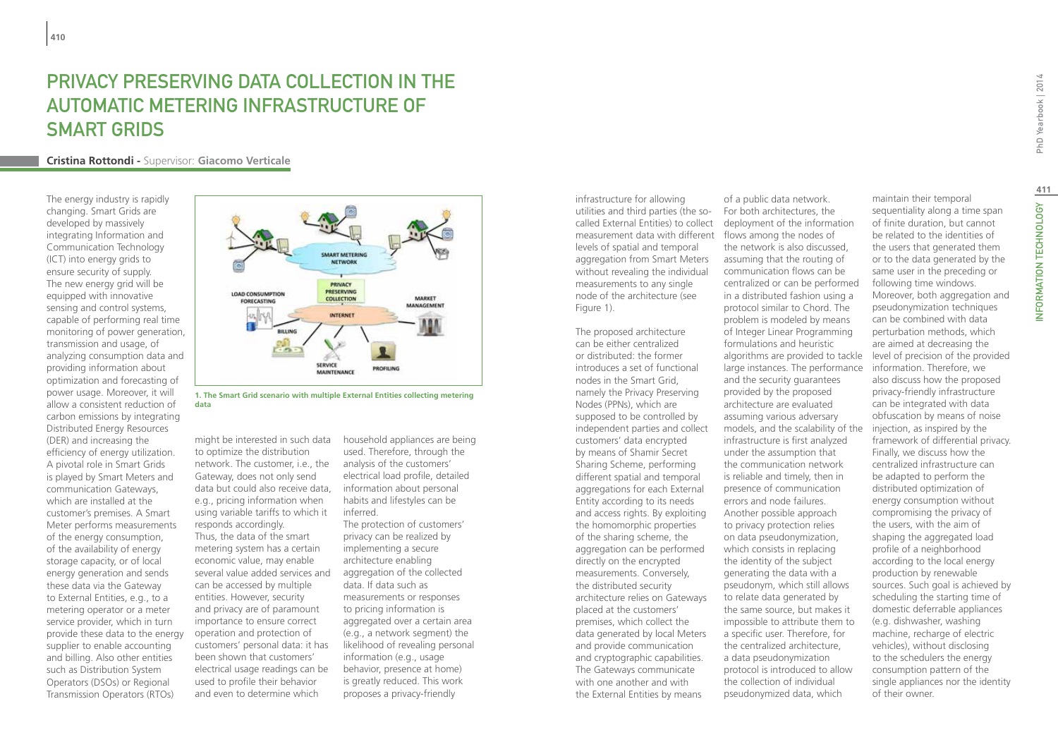## PRIVACY PRESERVING DATA COLLECTION IN THE Automatic Metering Infrastructure of **SMART GRIDS**

#### **Cristina Rottondi -** Supervisor: **Giacomo Verticale**

The energy industry is rapidly changing. Smart Grids are developed by massively integrating Information and Communication Technology (ICT) into energy grids to ensure security of supply. The new energy grid will be equipped with innovative sensing and control systems, capable of performing real time monitoring of power generation, transmission and usage, of analyzing consumption data and providing information about optimization and forecasting of power usage. Moreover, it will allow a consistent reduction of carbon emissions by integrating Distributed Energy Resources (DER) and increasing the efficiency of energy utilization. A pivotal role in Smart Grids is played by Smart Meters and communication Gateways, which are installed at the customer's premises. A Smart Meter performs measurements of the energy consumption, of the availability of energy storage capacity, or of local energy generation and sends these data via the Gateway to External Entities, e.g., to a metering operator or a meter service provider, which in turn provide these data to the energy supplier to enable accounting and billing. Also other entities such as Distribution System Operators (DSOs) or Regional Transmission Operators (RTOs)



**1. The Smart Grid scenario with multiple External Entities collecting metering data**

might be interested in such data to optimize the distribution network. The customer, i.e., the Gateway, does not only send data but could also receive data, e.g., pricing information when using variable tariffs to which it responds accordingly. Thus, the data of the smart metering system has a certain economic value, may enable several value added services and can be accessed by multiple entities. However, security and privacy are of paramount importance to ensure correct operation and protection of customers' personal data: it has been shown that customers' electrical usage readings can be used to profile their behavior and even to determine which

household appliances are being used. Therefore, through the analysis of the customers' electrical load profile, detailed information about personal habits and lifestyles can be inferred.

The protection of customers' privacy can be realized by implementing a secure architecture enabling aggregation of the collected data. If data such as measurements or responses to pricing information is aggregated over a certain area (e.g., a network segment) the likelihood of revealing personal information (e.g., usage behavior, presence at home) is greatly reduced. This work proposes a privacy-friendly

infrastructure for allowing utilities and third parties (the socalled External Entities) to collect measurement data with different flows among the nodes of levels of spatial and temporal aggregation from Smart Meters without revealing the individual measurements to any single node of the architecture (see Figure 1).

The proposed architecture can be either centralized or distributed: the former introduces a set of functional nodes in the Smart Grid, namely the Privacy Preserving Nodes (PPNs), which are supposed to be controlled by independent parties and collect customers' data encrypted by means of Shamir Secret Sharing Scheme, performing different spatial and temporal aggregations for each External Entity according to its needs and access rights. By exploiting the homomorphic properties of the sharing scheme, the aggregation can be performed directly on the encrypted measurements. Conversely, the distributed security architecture relies on Gateways placed at the customers' premises, which collect the data generated by local Meters and provide communication and cryptographic capabilities. The Gateways communicate with one another and with the External Entities by means

of a public data network. For both architectures, the deployment of the information the network is also discussed, assuming that the routing of communication flows can be centralized or can be performed in a distributed fashion using a protocol similar to Chord. The problem is modeled by means of Integer Linear Programming formulations and heuristic algorithms are provided to tackle large instances. The performance and the security guarantees provided by the proposed architecture are evaluated assuming various adversary models, and the scalability of the infrastructure is first analyzed under the assumption that the communication network is reliable and timely, then in presence of communication errors and node failures. Another possible approach to privacy protection relies on data pseudonymization, which consists in replacing the identity of the subject generating the data with a pseudonym, which still allows to relate data generated by the same source, but makes it impossible to attribute them to a specific user. Therefore, for the centralized architecture, a data pseudonymization protocol is introduced to allow the collection of individual pseudonymized data, which

maintain their temporal sequentiality along a time span of finite duration, but cannot be related to the identities of the users that generated them or to the data generated by the same user in the preceding or following time windows. Moreover, both aggregation and pseudonymization techniques can be combined with data perturbation methods, which are aimed at decreasing the level of precision of the provided information. Therefore, we also discuss how the proposed privacy-friendly infrastructure can be integrated with data obfuscation by means of noise injection, as inspired by the framework of differential privacy. Finally, we discuss how the centralized infrastructure can be adapted to perform the distributed optimization of energy consumption without compromising the privacy of the users, with the aim of shaping the aggregated load profile of a neighborhood according to the local energy production by renewable sources. Such goal is achieved by scheduling the starting time of domestic deferrable appliances (e.g. dishwasher, washing machine, recharge of electric

vehicles), without disclosing to the schedulers the energy consumption pattern of the single appliances nor the identity

of their owner.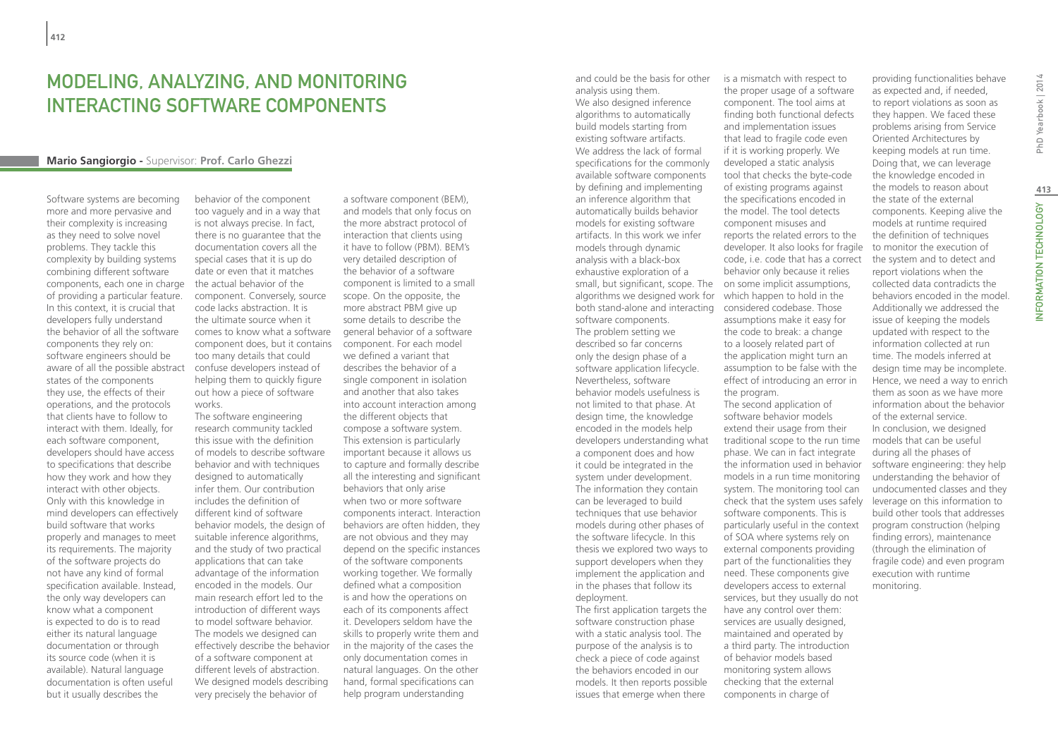## Modeling, analyzing, and monitoring interacting software components

#### **Mario Sangiorgio -** Supervisor: **Prof. Carlo Ghezzi**

Software systems are becoming more and more pervasive and their complexity is increasing as they need to solve novel problems. They tackle this complexity by building systems combining different software components, each one in charge of providing a particular feature. In this context, it is crucial that developers fully understand the behavior of all the software components they rely on: software engineers should be aware of all the possible abstract states of the components they use, the effects of their operations, and the protocols that clients have to follow to interact with them. Ideally, for each software component, developers should have access to specifications that describe how they work and how they interact with other objects. Only with this knowledge in mind developers can effectively build software that works properly and manages to meet its requirements. The majority of the software projects do not have any kind of formal specification available. Instead, the only way developers can know what a component is expected to do is to read either its natural language documentation or through its source code (when it is available). Natural language documentation is often useful but it usually describes the

behavior of the component too vaguely and in a way that is not always precise. In fact, there is no guarantee that the documentation covers all the special cases that it is up do date or even that it matches the actual behavior of the component. Conversely, source code lacks abstraction. It is the ultimate source when it comes to know what a software general behavior of a software component does, but it contains too many details that could confuse developers instead of helping them to quickly figure out how a piece of software works.

The software engineering research community tackled this issue with the definition of models to describe software behavior and with techniques designed to automatically infer them. Our contribution includes the definition of different kind of software behavior models, the design of suitable inference algorithms, and the study of two practical applications that can take advantage of the information encoded in the models. Our main research effort led to the introduction of different ways to model software behavior. The models we designed can effectively describe the behavior of a software component at different levels of abstraction. We designed models describing very precisely the behavior of

a software component (BEM), and models that only focus on the more abstract protocol of interaction that clients using it have to follow (PBM). BEM's very detailed description of the behavior of a software component is limited to a small scope. On the opposite, the more abstract PBM give up some details to describe the component. For each model we defined a variant that describes the behavior of a single component in isolation and another that also takes into account interaction among the different objects that compose a software system. This extension is particularly important because it allows us to capture and formally describe all the interesting and significant behaviors that only arise when two or more software components interact. Interaction behaviors are often hidden, they are not obvious and they may depend on the specific instances of the software components working together. We formally defined what a composition is and how the operations on each of its components affect it. Developers seldom have the skills to properly write them and in the majority of the cases the only documentation comes in natural languages. On the other hand, formal specifications can help program understanding

and could be the basis for other analysis using them. We also designed inference algorithms to automatically build models starting from existing software artifacts. We address the lack of formal specifications for the commonly available software components by defining and implementing an inference algorithm that automatically builds behavior models for existing software artifacts. In this work we infer models through dynamic analysis with a black-box exhaustive exploration of a small, but significant, scope. The on some implicit assumptions, algorithms we designed work for which happen to hold in the both stand-alone and interacting software components. The problem setting we described so far concerns only the design phase of a software application lifecycle. Nevertheless, software behavior models usefulness is not limited to that phase. At design time, the knowledge encoded in the models help developers understanding what a component does and how it could be integrated in the system under development. The information they contain can be leveraged to build techniques that use behavior models during other phases of the software lifecycle. In this thesis we explored two ways to support developers when they implement the application and in the phases that follow its deployment. The first application targets the software construction phase with a static analysis tool. The

purpose of the analysis is to check a piece of code against the behaviors encoded in our models. It then reports possible issues that emerge when there

is a mismatch with respect to the proper usage of a software component. The tool aims at finding both functional defects and implementation issues that lead to fragile code even if it is working properly. We developed a static analysis tool that checks the byte-code of existing programs against the specifications encoded in the model. The tool detects component misuses and reports the related errors to the developer. It also looks for fragile code, i.e. code that has a correct behavior only because it relies considered codebase. Those assumptions make it easy for the code to break: a change to a loosely related part of the application might turn an assumption to be false with the effect of introducing an error in the program.

The second application of software behavior models extend their usage from their traditional scope to the run time phase. We can in fact integrate the information used in behavior models in a run time monitoring system. The monitoring tool can check that the system uses safely software components. This is particularly useful in the context of SOA where systems rely on external components providing part of the functionalities they need. These components give developers access to external services, but they usually do not have any control over them: services are usually designed, maintained and operated by a third party. The introduction of behavior models based monitoring system allows checking that the external components in charge of

providing functionalities behave as expected and, if needed, to report violations as soon as they happen. We faced these problems arising from Service Oriented Architectures by keeping models at run time. Doing that, we can leverage the knowledge encoded in the models to reason about the state of the external components. Keeping alive the models at runtime required the definition of techniques to monitor the execution of the system and to detect and report violations when the collected data contradicts the behaviors encoded in the model. Additionally we addressed the issue of keeping the models updated with respect to the information collected at run time. The models inferred at design time may be incomplete. Hence, we need a way to enrich them as soon as we have more information about the behavior of the external service. In conclusion, we designed models that can be useful during all the phases of software engineering: they help understanding the behavior of undocumented classes and they leverage on this information to build other tools that addresses program construction (helping finding errors), maintenance (through the elimination of fragile code) and even program execution with runtime monitoring.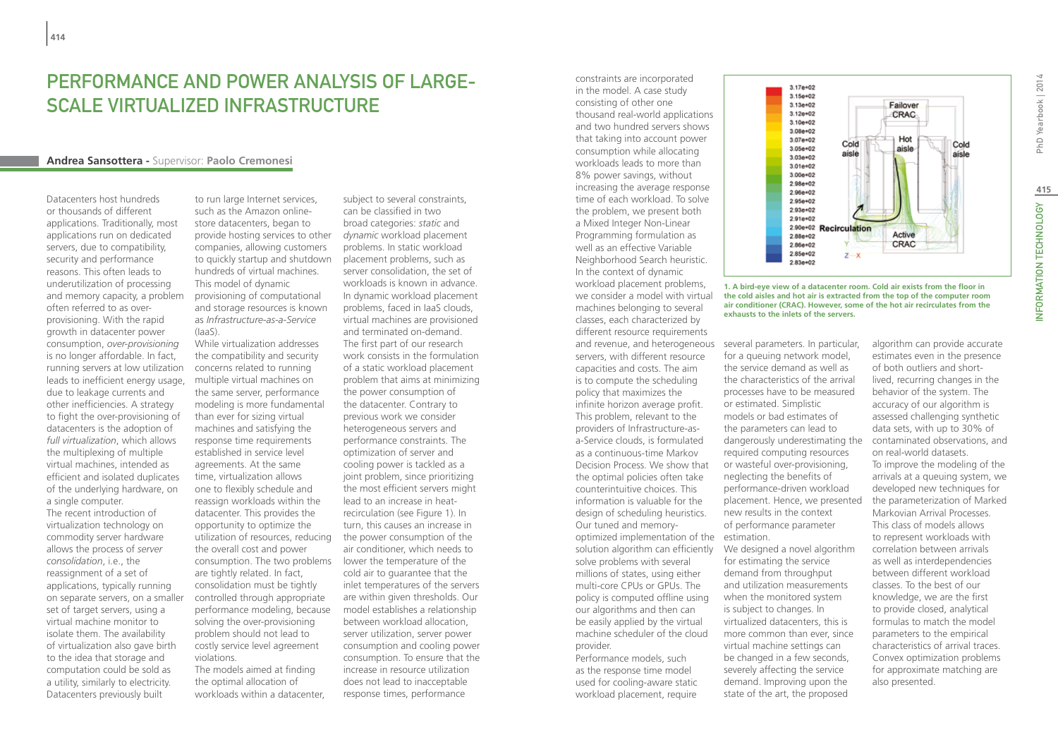## PERFORMANCE AND POWER ANALYSIS OF LARGE-Scale Virtualized Infrastructure

#### **Andrea Sansottera -** Supervisor: **Paolo Cremonesi**

Datacenters host hundreds or thousands of different applications. Traditionally, most applications run on dedicated servers, due to compatibility, security and performance reasons. This often leads to underutilization of processing and memory capacity, a problem often referred to as overprovisioning. With the rapid growth in datacenter power consumption, *over-provisioning* is no longer affordable. In fact, running servers at low utilization leads to inefficient energy usage, due to leakage currents and other inefficiencies. A strategy to fight the over-provisioning of datacenters is the adoption of *full virtualization*, which allows the multiplexing of multiple virtual machines, intended as efficient and isolated duplicates of the underlying hardware, on a single computer. The recent introduction of virtualization technology on commodity server hardware allows the process of *server consolidation*, i.e., the reassignment of a set of applications, typically running

on separate servers, on a smaller set of target servers, using a virtual machine monitor to isolate them. The availability of virtualization also gave birth to the idea that storage and computation could be sold as a utility, similarly to electricity. Datacenters previously built

to run large Internet services, such as the Amazon onlinestore datacenters, began to provide hosting services to other *dynamic* workload placement companies, allowing customers to quickly startup and shutdown hundreds of virtual machines. This model of dynamic provisioning of computational and storage resources is known as *Infrastructure-as-a-Service* (IaaS).

While virtualization addresses the compatibility and security concerns related to running multiple virtual machines on the same server, performance modeling is more fundamental than ever for sizing virtual machines and satisfying the response time requirements established in service level agreements. At the same time, virtualization allows one to flexibly schedule and reassign workloads within the datacenter. This provides the opportunity to optimize the utilization of resources, reducing the overall cost and power consumption. The two problems lower the temperature of the are tightly related. In fact, consolidation must be tightly controlled through appropriate performance modeling, because solving the over-provisioning problem should not lead to costly service level agreement violations.

The models aimed at finding the optimal allocation of workloads within a datacenter,

subject to several constraints, can be classified in two broad categories: *static* and problems. In static workload placement problems, such as server consolidation, the set of workloads is known in advance. In dynamic workload placement problems, faced in IaaS clouds, virtual machines are provisioned and terminated on-demand. The first part of our research work consists in the formulation of a static workload placement problem that aims at minimizing the power consumption of the datacenter. Contrary to previous work we consider heterogeneous servers and performance constraints. The optimization of server and cooling power is tackled as a joint problem, since prioritizing the most efficient servers might lead to an increase in heatrecirculation (see Figure 1). In turn, this causes an increase in the power consumption of the air conditioner, which needs to cold air to guarantee that the inlet temperatures of the servers are within given thresholds. Our model establishes a relationship between workload allocation, server utilization, server power consumption and cooling power consumption. To ensure that the increase in resource utilization does not lead to inacceptable response times, performance

constraints are incorporated in the model. A case study consisting of other one thousand real-world applications and two hundred servers shows that taking into account power consumption while allocating workloads leads to more than 8% power savings, without increasing the average response time of each workload. To solve the problem, we present both a Mixed Integer Non-Linear Programming formulation as well as an effective Variable Neighborhood Search heuristic. In the context of dynamic workload placement problems, we consider a model with virtual machines belonging to several classes, each characterized by different resource requirements servers, with different resource capacities and costs. The aim is to compute the scheduling policy that maximizes the infinite horizon average profit. This problem, relevant to the providers of Infrastructure-asa-Service clouds, is formulated as a continuous-time Markov Decision Process. We show that the optimal policies often take counterintuitive choices. This information is valuable for the design of scheduling heuristics. Our tuned and memoryoptimized implementation of the estimation. solution algorithm can efficiently We designed a novel algorithm solve problems with several millions of states, using either multi-core CPUs or GPUs. The policy is computed offline using our algorithms and then can be easily applied by the virtual machine scheduler of the cloud provider. Performance models, such

as the response time model used for cooling-aware static workload placement, require



**1. A bird-eye view of a datacenter room. Cold air exists from the floor in the cold aisles and hot air is extracted from the top of the computer room air conditioner (CRAC). However, some of the hot air recirculates from the exhausts to the inlets of the servers.**

and revenue, and heterogeneous several parameters. In particular, for a queuing network model, the service demand as well as the characteristics of the arrival processes have to be measured or estimated. Simplistic models or bad estimates of the parameters can lead to dangerously underestimating the required computing resources or wasteful over-provisioning, neglecting the benefits of performance-driven workload placement. Hence, we presented new results in the context of performance parameter

> for estimating the service demand from throughput and utilization measurements when the monitored system is subject to changes. In virtualized datacenters, this is more common than ever, since virtual machine settings can be changed in a few seconds, severely affecting the service demand. Improving upon the state of the art, the proposed

algorithm can provide accurate estimates even in the presence of both outliers and shortlived, recurring changes in the behavior of the system. The accuracy of our algorithm is assessed challenging synthetic data sets, with up to 30% of contaminated observations, and on real-world datasets. To improve the modeling of the arrivals at a queuing system, we developed new techniques for the parameterization of Marked Markovian Arrival Processes. This class of models allows to represent workloads with correlation between arrivals as well as interdependencies between different workload classes. To the best of our knowledge, we are the first to provide closed, analytical formulas to match the model parameters to the empirical characteristics of arrival traces. Convex optimization problems for approximate matching are also presented.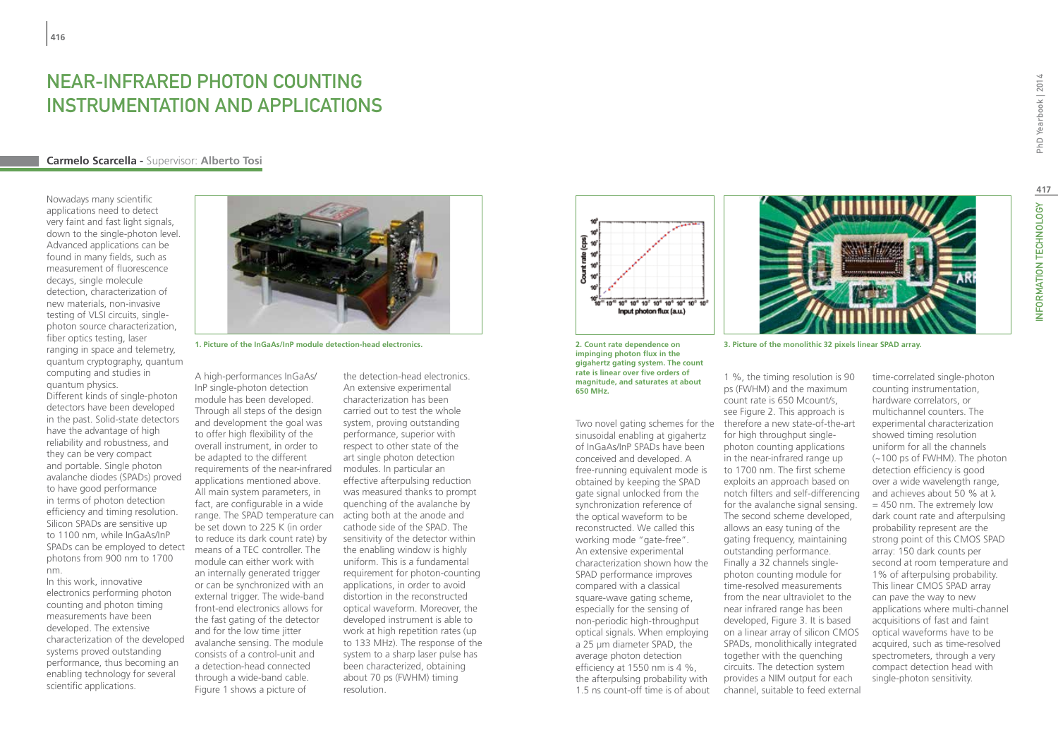## NEAR-INFRARED PHOTON COUNTING INSTRUMENTATION AND APPLICATIONS

#### **Carmelo Scarcella -** Supervisor: **Alberto Tosi**

Nowadays many scientific applications need to detect very faint and fast light signals, down to the single-photon level. Advanced applications can be found in many fields, such as measurement of fluorescence decays, single molecule detection, characterization of new materials, non-invasive testing of VLSI circuits, singlephoton source characterization, fiber optics testing, laser ranging in space and telemetry, quantum cryptography, quantum computing and studies in quantum physics. Different kinds of single-photon detectors have been developed in the past. Solid-state detectors have the advantage of high reliability and robustness, and they can be very compact and portable. Single photon avalanche diodes (SPADs) proved to have good performance in terms of photon detection efficiency and timing resolution. Silicon SPADs are sensitive up to 1100 nm, while InGaAs/InP SPADs can be employed to detect photons from 900 nm to 1700 nm.

In this work, innovative electronics performing photon counting and photon timing measurements have been developed. The extensive characterization of the developed systems proved outstanding performance, thus becoming an enabling technology for several scientific applications.



A high-performances InGaAs/ InP single-photon detection module has been developed. Through all steps of the design and development the goal was to offer high flexibility of the overall instrument, in order to be adapted to the different requirements of the near-infrared applications mentioned above. All main system parameters, in fact, are configurable in a wide range. The SPAD temperature can be set down to 225 K (in order to reduce its dark count rate) by means of a TEC controller. The module can either work with an internally generated trigger or can be synchronized with an external trigger. The wide-band front-end electronics allows for the fast gating of the detector and for the low time jitter avalanche sensing. The module consists of a control-unit and a detection-head connected through a wide-band cable. Figure 1 shows a picture of

the detection-head electronics. An extensive experimental characterization has been carried out to test the whole system, proving outstanding performance, superior with respect to other state of the art single photon detection modules. In particular an effective afterpulsing reduction was measured thanks to prompt quenching of the avalanche by acting both at the anode and cathode side of the SPAD. The sensitivity of the detector within the enabling window is highly uniform. This is a fundamental requirement for photon-counting applications, in order to avoid distortion in the reconstructed optical waveform. Moreover, the developed instrument is able to work at high repetition rates (up to 133 MHz). The response of the system to a sharp laser pulse has been characterized, obtaining about 70 ps (FWHM) timing resolution.



**2. Count rate dependence on impinging photon flux in the gigahertz gating system. The count rate is linear over five orders of magnitude, and saturates at about 650 MHz.**

sinusoidal enabling at gigahertz of InGaAs/InP SPADs have been conceived and developed. A free-running equivalent mode is obtained by keeping the SPAD gate signal unlocked from the synchronization reference of the optical waveform to be reconstructed. We called this working mode "gate-free". An extensive experimental characterization shown how the SPAD performance improves compared with a classical square-wave gating scheme, especially for the sensing of non-periodic high-throughput optical signals. When employing a 25 µm diameter SPAD, the average photon detection efficiency at 1550 nm is 4 %, the afterpulsing probability with 1.5 ns count-off time is of about



**1. Picture of the InGaAs/InP module detection-head electronics. 3. Picture of the monolithic 32 pixels linear SPAD array.**

Two novel gating schemes for the therefore a new state-of-the-art 1 %, the timing resolution is 90 ps (FWHM) and the maximum count rate is 650 Mcount/s, see Figure 2. This approach is for high throughput singlephoton counting applications in the near-infrared range up to 1700 nm. The first scheme exploits an approach based on notch filters and self-differencing for the avalanche signal sensing. The second scheme developed, allows an easy tuning of the gating frequency, maintaining outstanding performance. Finally a 32 channels singlephoton counting module for time-resolved measurements from the near ultraviolet to the near infrared range has been developed, Figure 3. It is based on a linear array of silicon CMOS SPADs, monolithically integrated together with the quenching circuits. The detection system provides a NIM output for each channel, suitable to feed external

time-correlated single-photon counting instrumentation, hardware correlators, or multichannel counters. The experimental characterization showed timing resolution uniform for all the channels (~100 ps of FWHM). The photon detection efficiency is good over a wide wavelength range, and achieves about 50 % at λ = 450 nm. The extremely low dark count rate and afterpulsing probability represent are the strong point of this CMOS SPAD array: 150 dark counts per second at room temperature and 1% of afterpulsing probability. This linear CMOS SPAD array can pave the way to new applications where multi-channel acquisitions of fast and faint optical waveforms have to be acquired, such as time-resolved spectrometers, through a very compact detection head with single-photon sensitivity.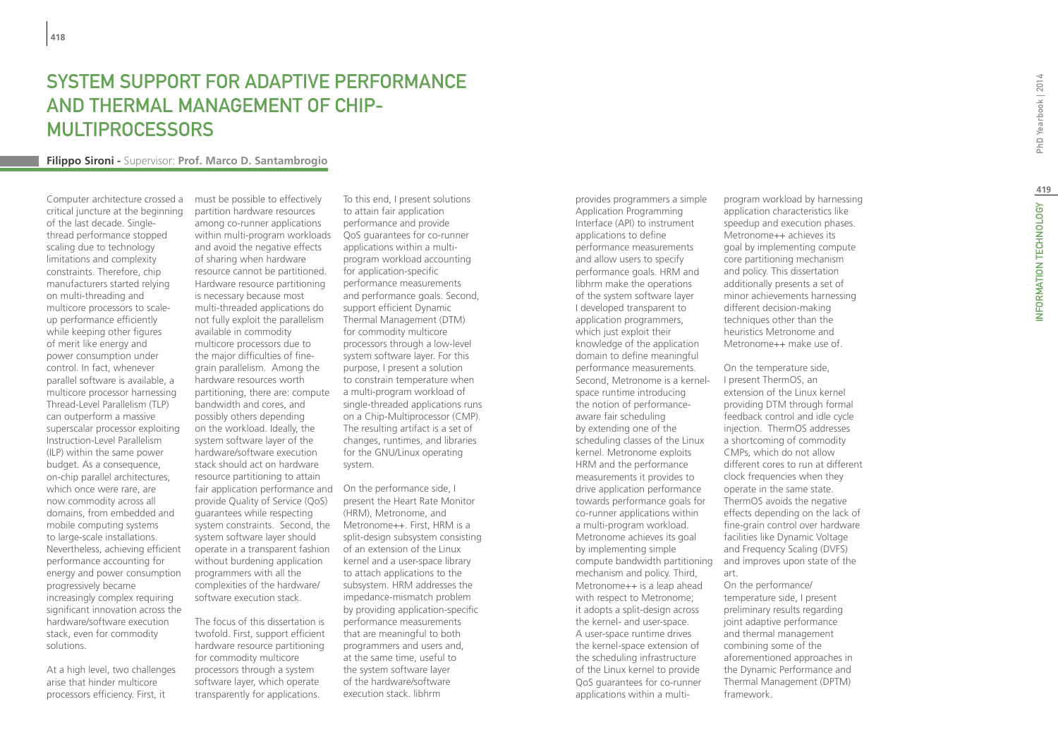## System Support for Adaptive Performance and Thermal Management of Chip-Multiprocessors

#### **Filippo Sironi -** Supervisor: **Prof. Marco D. Santambrogio**

Computer architecture crossed a critical juncture at the beginning of the last decade. Singlethread performance stopped scaling due to technology limitations and complexity constraints. Therefore, chip manufacturers started relying on multi-threading and multicore processors to scaleup performance efficiently while keeping other figures of merit like energy and power consumption under control. In fact, whenever parallel software is available, a multicore processor harnessing Thread-Level Parallelism (TLP) can outperform a massive superscalar processor exploiting Instruction-Level Parallelism (ILP) within the same power budget. As a consequence, on-chip parallel architectures, which once were rare, are now commodity across all domains, from embedded and mobile computing systems to large-scale installations. Nevertheless, achieving efficient performance accounting for energy and power consumption progressively became increasingly complex requiring significant innovation across the hardware/software execution stack, even for commodity solutions.

At a high level, two challenges arise that hinder multicore processors efficiency. First, it

must be possible to effectively partition hardware resources among co-runner applications within multi-program workloads and avoid the negative effects of sharing when hardware resource cannot be partitioned. Hardware resource partitioning is necessary because most multi-threaded applications do not fully exploit the parallelism available in commodity multicore processors due to the major difficulties of finegrain parallelism. Among the hardware resources worth partitioning, there are: compute bandwidth and cores, and possibly others depending on the workload. Ideally, the system software layer of the hardware/software execution stack should act on hardware resource partitioning to attain fair application performance and On the performance side, I provide Quality of Service (QoS) guarantees while respecting system constraints. Second, the system software layer should operate in a transparent fashion without burdening application programmers with all the complexities of the hardware/ software execution stack.

The focus of this dissertation is twofold. First, support efficient hardware resource partitioning for commodity multicore processors through a system software layer, which operate transparently for applications.

To this end, I present solutions to attain fair application performance and provide QoS guarantees for co-runner applications within a multiprogram workload accounting for application-specific performance measurements and performance goals. Second, support efficient Dynamic Thermal Management (DTM) for commodity multicore processors through a low-level system software layer. For this purpose, I present a solution to constrain temperature when a multi-program workload of single-threaded applications runs on a Chip-Multiprocessor (CMP). The resulting artifact is a set of changes, runtimes, and libraries for the GNU/Linux operating system.

present the Heart Rate Monitor (HRM), Metronome, and Metronome++. First, HRM is a split-design subsystem consisting of an extension of the Linux kernel and a user-space library to attach applications to the subsystem. HRM addresses the impedance-mismatch problem by providing application-specific performance measurements that are meaningful to both programmers and users and, at the same time, useful to the system software layer of the hardware/software execution stack. libhrm

provides programmers a simple Application Programming Interface (API) to instrument applications to define performance measurements and allow users to specify performance goals. HRM and libhrm make the operations of the system software layer I developed transparent to application programmers, which just exploit their knowledge of the application domain to define meaningful performance measurements. Second, Metronome is a kernelspace runtime introducing the notion of performanceaware fair scheduling by extending one of the scheduling classes of the Linux kernel. Metronome exploits HRM and the performance measurements it provides to drive application performance towards performance goals for co-runner applications within a multi-program workload. Metronome achieves its goal by implementing simple mechanism and policy. Third, Metronome++ is a leap ahead with respect to Metronome; it adopts a split-design across the kernel- and user-space. A user-space runtime drives the kernel-space extension of the scheduling infrastructure of the Linux kernel to provide QoS guarantees for co-runner applications within a multiprogram workload by harnessing application characteristics like speedup and execution phases. Metronome++ achieves its goal by implementing compute core partitioning mechanism and policy. This dissertation additionally presents a set of minor achievements harnessing different decision-making techniques other than the heuristics Metronome and Metronome++ make use of.

compute bandwidth partitioning and improves upon state of the On the temperature side, I present ThermOS, an extension of the Linux kernel providing DTM through formal feedback control and idle cycle injection. ThermOS addresses a shortcoming of commodity CMPs, which do not allow different cores to run at different clock frequencies when they operate in the same state. ThermOS avoids the negative effects depending on the lack of fine-grain control over hardware facilities like Dynamic Voltage and Frequency Scaling (DVFS) art. On the performance/ temperature side, I present preliminary results regarding joint adaptive performance and thermal management combining some of the aforementioned approaches in the Dynamic Performance and

Thermal Management (DPTM)

framework.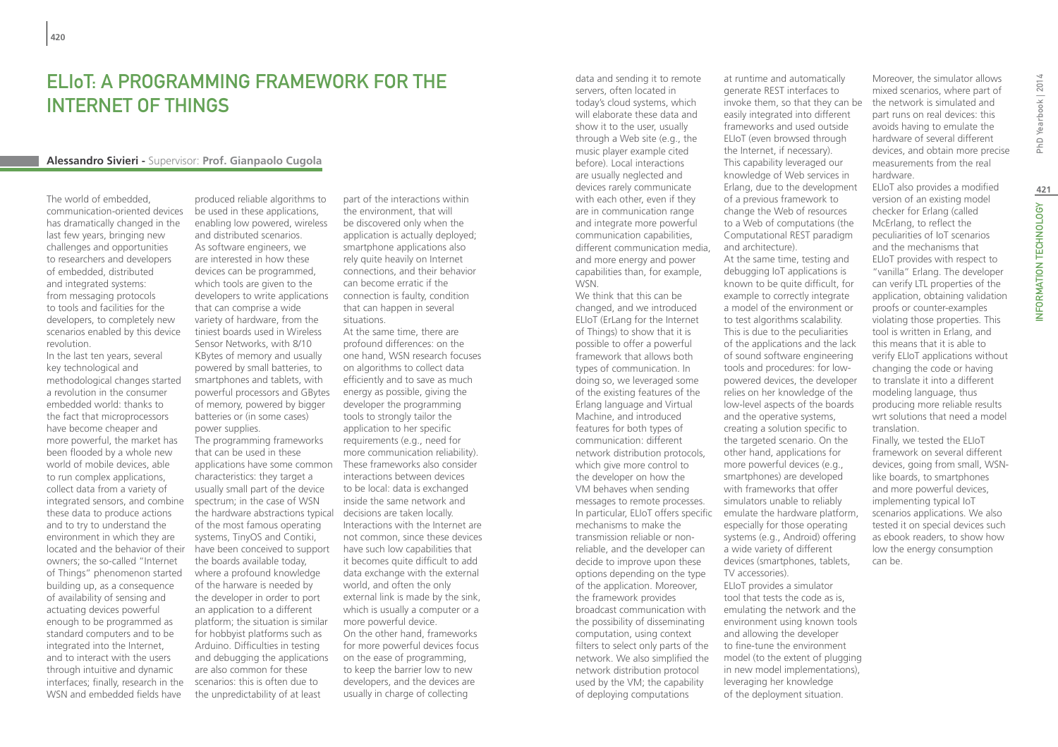## ELIoT: A Programming Framework for the Internet of Things

#### **Alessandro Sivieri -** Supervisor: **Prof. Gianpaolo Cugola**

The world of embedded, communication-oriented devices has dramatically changed in the last few years, bringing new challenges and opportunities to researchers and developers of embedded, distributed and integrated systems: from messaging protocols to tools and facilities for the developers, to completely new scenarios enabled by this device revolution.

In the last ten years, several key technological and methodological changes started a revolution in the consumer embedded world: thanks to the fact that microprocessors have become cheaper and more powerful, the market has been flooded by a whole new world of mobile devices, able to run complex applications, collect data from a variety of integrated sensors, and combine these data to produce actions and to try to understand the environment in which they are located and the behavior of their owners; the so-called "Internet of Things" phenomenon started building up, as a consequence of availability of sensing and actuating devices powerful enough to be programmed as standard computers and to be integrated into the Internet, and to interact with the users through intuitive and dynamic interfaces; finally, research in the WSN and embedded fields have

produced reliable algorithms to be used in these applications, enabling low powered, wireless and distributed scenarios. As software engineers, we are interested in how these devices can be programmed, which tools are given to the developers to write applications that can comprise a wide variety of hardware, from the tiniest boards used in Wireless Sensor Networks, with 8/10 KBytes of memory and usually powered by small batteries, to smartphones and tablets, with powerful processors and GBytes of memory, powered by bigger batteries or (in some cases) power supplies. The programming frameworks that can be used in these characteristics: they target a usually small part of the device spectrum; in the case of WSN the hardware abstractions typical decisions are taken locally. of the most famous operating systems, TinyOS and Contiki, have been conceived to support the boards available today, where a profound knowledge of the harware is needed by the developer in order to port an application to a different platform; the situation is similar for hobbyist platforms such as Arduino. Difficulties in testing and debugging the applications are also common for these scenarios: this is often due to the unpredictability of at least

part of the interactions within the environment, that will be discovered only when the application is actually deployed; smartphone applications also rely quite heavily on Internet connections, and their behavior can become erratic if the connection is faulty, condition that can happen in several situations.

applications have some common These frameworks also consider At the same time, there are profound differences: on the one hand, WSN research focuses on algorithms to collect data efficiently and to save as much energy as possible, giving the developer the programming tools to strongly tailor the application to her specific requirements (e.g., need for more communication reliability). interactions between devices to be local: data is exchanged inside the same network and Interactions with the Internet are not common, since these devices have such low capabilities that it becomes quite difficult to add data exchange with the external world, and often the only external link is made by the sink, which is usually a computer or a more powerful device. On the other hand, frameworks for more powerful devices focus on the ease of programming, to keep the barrier low to new developers, and the devices are usually in charge of collecting

data and sending it to remote servers, often located in today's cloud systems, which will elaborate these data and show it to the user, usually through a Web site (e.g., the music player example cited before). Local interactions are usually neglected and devices rarely communicate with each other, even if they are in communication range and integrate more powerful communication capabilities, different communication media, and more energy and power capabilities than, for example, WSN.

We think that this can be changed, and we introduced ELIoT (ErLang for the Internet of Things) to show that it is possible to offer a powerful framework that allows both types of communication. In doing so, we leveraged some of the existing features of the Erlang language and Virtual Machine, and introduced features for both types of communication: different network distribution protocols, which give more control to the developer on how the VM behaves when sending messages to remote processes. mechanisms to make the transmission reliable or nonreliable, and the developer can decide to improve upon these options depending on the type of the application. Moreover, the framework provides broadcast communication with the possibility of disseminating computation, using context filters to select only parts of the network. We also simplified the network distribution protocol used by the VM; the capability of deploying computations

at runtime and automatically generate REST interfaces to invoke them, so that they can be easily integrated into different frameworks and used outside ELIoT (even browsed through the Internet, if necessary). This capability leveraged our knowledge of Web services in Erlang, due to the development of a previous framework to change the Web of resources to a Web of computations (the Computational REST paradigm and architecture).

In particular, ELIoT offers specific emulate the hardware platform, At the same time, testing and debugging IoT applications is known to be quite difficult, for example to correctly integrate a model of the environment or to test algorithms scalability. This is due to the peculiarities of the applications and the lack of sound software engineering tools and procedures: for lowpowered devices, the developer relies on her knowledge of the low-level aspects of the boards and the operative systems, creating a solution specific to the targeted scenario. On the other hand, applications for more powerful devices (e.g., smartphones) are developed with frameworks that offer simulators unable to reliably especially for those operating systems (e.g., Android) offering a wide variety of different devices (smartphones, tablets, TV accessories). ELIoT provides a simulator tool that tests the code as is, emulating the network and the environment using known tools and allowing the developer to fine-tune the environment model (to the extent of plugging in new model implementations), leveraging her knowledge of the deployment situation.

Moreover, the simulator allows mixed scenarios, where part of the network is simulated and part runs on real devices: this avoids having to emulate the hardware of several different devices, and obtain more precise measurements from the real hardware.

ELIoT also provides a modified version of an existing model checker for Erlang (called McErlang, to reflect the peculiarities of IoT scenarios and the mechanisms that ELIoT provides with respect to "vanilla" Erlang. The developer can verify LTL properties of the application, obtaining validation proofs or counter-examples violating those properties. This tool is written in Erlang, and this means that it is able to verify ELIoT applications without changing the code or having to translate it into a different modeling language, thus producing more reliable results wrt solutions that need a model translation.

Finally, we tested the ELIoT framework on several different devices, going from small, WSNlike boards, to smartphones and more powerful devices, implementing typical IoT scenarios applications. We also tested it on special devices such as ebook readers, to show how low the energy consumption can be.

PhD Yearbook | 2014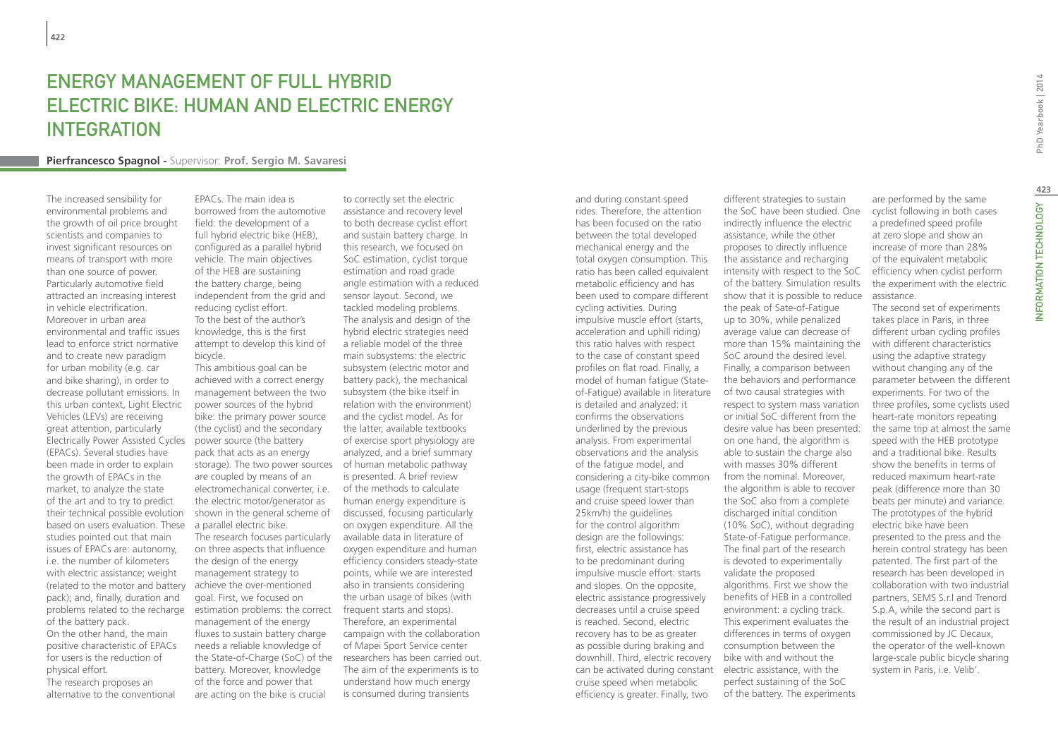## **ENERGY MANAGEMENT OF FULL HYBRID** electric bike: human and electric energy **INTEGRATION**

#### **Pierfrancesco Spagnol -** Supervisor: **Prof. Sergio M. Savaresi**

The increased sensibility for environmental problems and the growth of oil price brought scientists and companies to invest significant resources on means of transport with more than one source of power. Particularly automotive field attracted an increasing interest in vehicle electrification. Moreover in urban area environmental and traffic issues lead to enforce strict normative and to create new paradigm for urban mobility (e.g. car and bike sharing), in order to decrease pollutant emissions. In this urban context, Light Electric Vehicles (LEVs) are receiving great attention, particularly Electrically Power Assisted Cycles power source (the battery (EPACs). Several studies have been made in order to explain the growth of EPACs in the market, to analyze the state of the art and to try to predict their technical possible evolution based on users evaluation. These a parallel electric bike. studies pointed out that main issues of EPACs are: autonomy, i.e. the number of kilometers with electric assistance; weight (related to the motor and battery pack); and, finally, duration and problems related to the recharge of the battery pack. On the other hand, the main positive characteristic of EPACs

physical effort. The research proposes an alternative to the conventional

for users is the reduction of

EPACs. The main idea is borrowed from the automotive field: the development of a full hybrid electric bike (HEB), configured as a parallel hybrid vehicle. The main objectives of the HEB are sustaining the battery charge, being independent from the grid and reducing cyclist effort. To the best of the author's knowledge, this is the first attempt to develop this kind of bicycle.

This ambitious goal can be achieved with a correct energy management between the two power sources of the hybrid bike: the primary power source (the cyclist) and the secondary pack that acts as an energy storage). The two power sources of human metabolic pathway are coupled by means of an electromechanical converter, i.e. the electric motor/generator as shown in the general scheme of The research focuses particularly on three aspects that influence the design of the energy management strategy to achieve the over-mentioned goal. First, we focused on estimation problems: the correct management of the energy fluxes to sustain battery charge needs a reliable knowledge of the State-of-Charge (SoC) of the battery. Moreover, knowledge of the force and power that are acting on the bike is crucial

to correctly set the electric assistance and recovery level to both decrease cyclist effort and sustain battery charge. In this research, we focused on SoC estimation, cyclist torque estimation and road grade angle estimation with a reduced sensor layout. Second, we tackled modeling problems. The analysis and design of the hybrid electric strategies need a reliable model of the three main subsystems: the electric subsystem (electric motor and battery pack), the mechanical subsystem (the bike itself in relation with the environment) and the cyclist model. As for the latter, available textbooks of exercise sport physiology are analyzed, and a brief summary is presented. A brief review of the methods to calculate human energy expenditure is discussed, focusing particularly on oxygen expenditure. All the available data in literature of oxygen expenditure and human efficiency considers steady-state points, while we are interested also in transients considering the urban usage of bikes (with frequent starts and stops). Therefore, an experimental campaign with the collaboration of Mapei Sport Service center researchers has been carried out. The aim of the experiments is to understand how much energy is consumed during transients

and during constant speed rides. Therefore, the attention has been focused on the ratio between the total developed mechanical energy and the total oxygen consumption. This ratio has been called equivalent metabolic efficiency and has been used to compare different cycling activities. During impulsive muscle effort (starts, acceleration and uphill riding) this ratio halves with respect to the case of constant speed profiles on flat road. Finally, a model of human fatigue (Stateof-Fatigue) available in literature is detailed and analyzed: it confirms the observations underlined by the previous analysis. From experimental observations and the analysis of the fatigue model, and considering a city-bike common usage (frequent start-stops and cruise speed lower than 25km/h) the guidelines for the control algorithm design are the followings: first, electric assistance has to be predominant during impulsive muscle effort: starts and slopes. On the opposite, electric assistance progressively decreases until a cruise speed is reached. Second, electric recovery has to be as greater as possible during braking and downhill. Third, electric recovery can be activated during constant electric assistance, with the cruise speed when metabolic efficiency is greater. Finally, two

different strategies to sustain the SoC have been studied. One indirectly influence the electric assistance, while the other proposes to directly influence the assistance and recharging intensity with respect to the SoC of the battery. Simulation results show that it is possible to reduce the peak of Sate-of-Fatigue up to 30%, while penalized average value can decrease of more than 15% maintaining the SoC around the desired level. Finally, a comparison between the behaviors and performance of two causal strategies with respect to system mass variation or initial SoC different from the desire value has been presented: on one hand, the algorithm is able to sustain the charge also with masses 30% different from the nominal. Moreover, the algorithm is able to recover the SoC also from a complete discharged initial condition (10% SoC), without degrading State-of-Fatigue performance. The final part of the research is devoted to experimentally validate the proposed algorithms. First we show the benefits of HEB in a controlled environment: a cycling track. This experiment evaluates the differences in terms of oxygen consumption between the bike with and without the perfect sustaining of the SoC of the battery. The experiments

are performed by the same cyclist following in both cases a predefined speed profile at zero slope and show an increase of more than 28% of the equivalent metabolic efficiency when cyclist perform the experiment with the electric assistance.

The second set of experiments takes place in Paris, in three different urban cycling profiles with different characteristics using the adaptive strategy without changing any of the parameter between the different experiments. For two of the three profiles, some cyclists used heart-rate monitors repeating the same trip at almost the same speed with the HEB prototype and a traditional bike. Results show the benefits in terms of reduced maximum heart-rate peak (difference more than 30 beats per minute) and variance. The prototypes of the hybrid electric bike have been presented to the press and the herein control strategy has been patented. The first part of the research has been developed in collaboration with two industrial partners, SEMS S.r.l and Trenord S.p.A, while the second part is the result of an industrial project commissioned by JC Decaux, the operator of the well-known large-scale public bicycle sharing system in Paris, i.e. Velib'.

**423**

NFORMATION TECHNOLOGY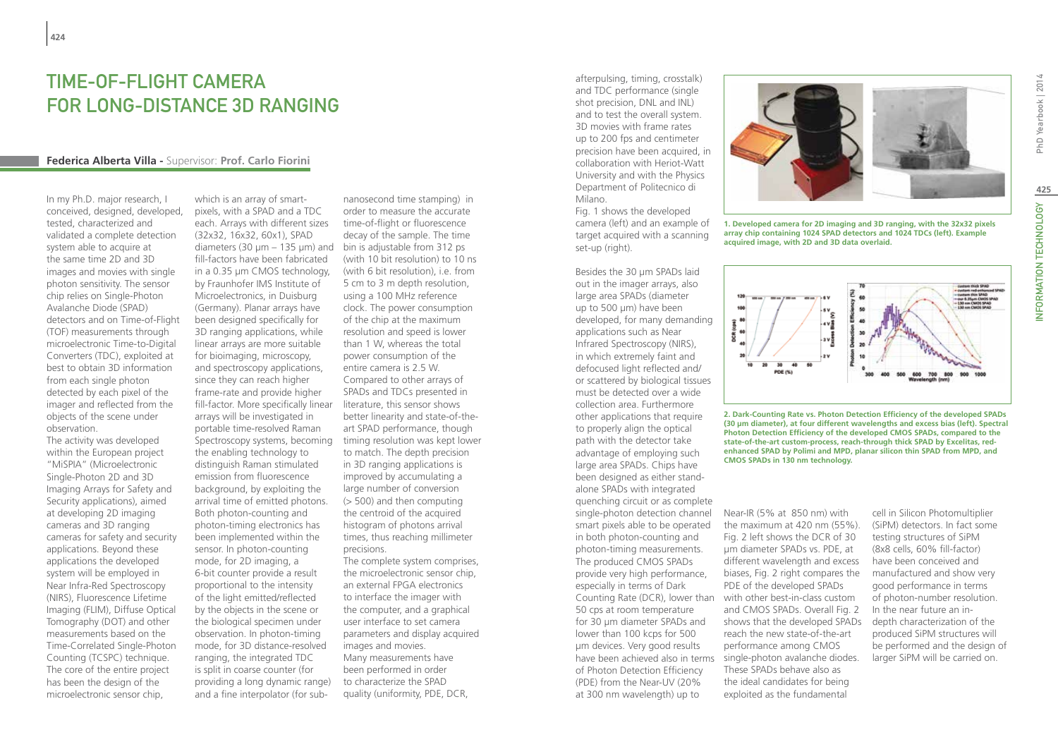## Time-of-Flight camera for long-distance 3D ranging

#### **Federica Alberta Villa -** Supervisor: **Prof. Carlo Fiorini**

In my Ph.D. major research, I conceived, designed, developed, tested, characterized and validated a complete detection system able to acquire at the same time 2D and 3D images and movies with single photon sensitivity. The sensor chip relies on Single-Photon Avalanche Diode (SPAD) detectors and on Time-of-Flight (TOF) measurements through microelectronic Time-to-Digital Converters (TDC), exploited at best to obtain 3D information from each single photon detected by each pixel of the imager and reflected from the objects of the scene under observation.

The activity was developed within the European project "MiSPIA" (Microelectronic Single-Photon 2D and 3D Imaging Arrays for Safety and Security applications), aimed at developing 2D imaging cameras and 3D ranging cameras for safety and security applications. Beyond these applications the developed system will be employed in Near Infra-Red Spectroscopy (NIRS), Fluorescence Lifetime Imaging (FLIM), Diffuse Optical Tomography (DOT) and other measurements based on the Time-Correlated Single-Photon Counting (TCSPC) technique. The core of the entire project has been the design of the microelectronic sensor chip,

which is an array of smartpixels, with a SPAD and a TDC each. Arrays with different sizes (32x32, 16x32, 60x1), SPAD diameters (30 µm – 135 µm) and bin is adjustable from 312 ps fill-factors have been fabricated in a 0.35 µm CMOS technology, by Fraunhofer IMS Institute of Microelectronics, in Duisburg (Germany). Planar arrays have been designed specifically for 3D ranging applications, while linear arrays are more suitable for bioimaging, microscopy, and spectroscopy applications, since they can reach higher frame-rate and provide higher fill-factor. More specifically linear arrays will be investigated in portable time-resolved Raman Spectroscopy systems, becoming the enabling technology to distinguish Raman stimulated emission from fluorescence background, by exploiting the arrival time of emitted photons. Both photon-counting and photon-timing electronics has been implemented within the sensor. In photon-counting mode, for 2D imaging, a 6-bit counter provide a result proportional to the intensity of the light emitted/reflected by the objects in the scene or the biological specimen under observation. In photon-timing mode, for 3D distance-resolved ranging, the integrated TDC is split in coarse counter (for providing a long dynamic range) and a fine interpolator (for sub-

nanosecond time stamping) in order to measure the accurate time-of-flight or fluorescence decay of the sample. The time (with 10 bit resolution) to 10 ns (with 6 bit resolution), i.e. from 5 cm to 3 m depth resolution, using a 100 MHz reference clock. The power consumption of the chip at the maximum resolution and speed is lower than 1 W, whereas the total power consumption of the entire camera is 2.5 W. Compared to other arrays of SPADs and TDCs presented in literature, this sensor shows better linearity and state-of-theart SPAD performance, though timing resolution was kept lower to match. The depth precision in 3D ranging applications is improved by accumulating a large number of conversion (> 500) and then computing the centroid of the acquired histogram of photons arrival times, thus reaching millimeter precisions. The complete system comprises,

the microelectronic sensor chip, an external FPGA electronics to interface the imager with the computer, and a graphical user interface to set camera parameters and display acquired images and movies. Many measurements have been performed in order to characterize the SPAD quality (uniformity, PDE, DCR,

afterpulsing, timing, crosstalk) and TDC performance (single shot precision, DNL and INL) and to test the overall system. 3D movies with frame rates up to 200 fps and centimeter precision have been acquired, in collaboration with Heriot-Watt University and with the Physics Department of Politecnico di Milano.

Fig. 1 shows the developed camera (left) and an example of target acquired with a scanning set-up (right).

Besides the 30 um SPADs laid out in the imager arrays, also large area SPADs (diameter up to 500 um) have been developed, for many demanding applications such as Near Infrared Spectroscopy (NIRS), in which extremely faint and defocused light reflected and/ or scattered by biological tissues must be detected over a wide collection area. Furthermore other applications that require to properly align the optical path with the detector take advantage of employing such large area SPADs. Chips have been designed as either standalone SPADs with integrated quenching circuit or as complete single-photon detection channel smart pixels able to be operated in both photon-counting and photon-timing measurements. The produced CMOS SPADs provide very high performance, especially in terms of Dark Counting Rate (DCR), lower than 50 cps at room temperature for 30 µm diameter SPADs and lower than 100 kcps for 500 µm devices. Very good results have been achieved also in terms of Photon Detection Efficiency (PDE) from the Near-UV (20% at 300 nm wavelength) up to

**1. Developed camera for 2D imaging and 3D ranging, with the 32x32 pixels array chip containing 1024 SPAD detectors and 1024 TDCs (left). Example acquired image, with 2D and 3D data overlaid.**





Near-IR (5% at 850 nm) with the maximum at 420 nm (55%). Fig. 2 left shows the DCR of 30 µm diameter SPADs vs. PDE, at different wavelength and excess biases, Fig. 2 right compares the PDE of the developed SPADs with other best-in-class custom and CMOS SPADs. Overall Fig. 2 shows that the developed SPADs reach the new state-of-the-art performance among CMOS single-photon avalanche diodes. These SPADs behave also as the ideal candidates for being exploited as the fundamental

cell in Silicon Photomultiplier (SiPM) detectors. In fact some testing structures of SiPM (8x8 cells, 60% fill-factor) have been conceived and manufactured and show very good performance in terms of photon-number resolution. In the near future an indepth characterization of the produced SiPM structures will be performed and the design of larger SiPM will be carried on.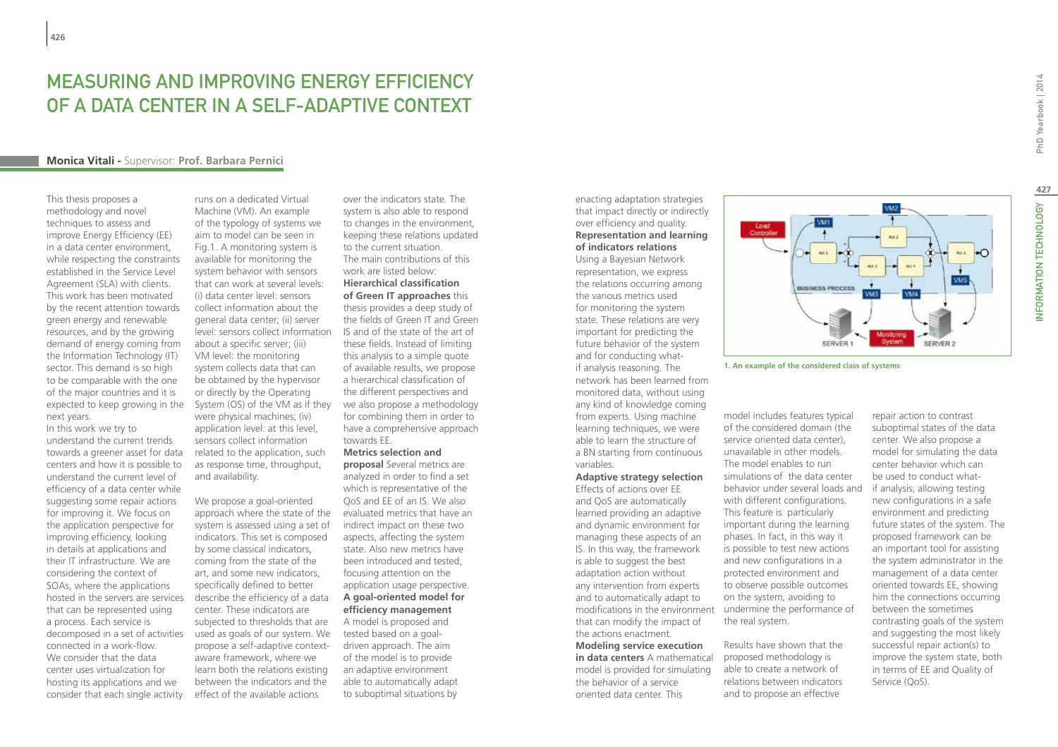## MEASURING AND IMPROVING ENERGY EFFICIENCY OF A DATA CENTER IN A SELF-ADAPTIVE CONTEXT

#### **Monica Vitali -** Supervisor: **Prof. Barbara Pernici**

This thesis proposes a methodology and novel techniques to assess and improve Energy Efficiency (EE) in a data center environment, while respecting the constraints established in the Service Level Agreement (SLA) with clients. This work has been motivated by the recent attention towards green energy and renewable resources, and by the growing demand of energy coming from the Information Technology (IT) sector. This demand is so high to be comparable with the one of the major countries and it is next years.

In this work we try to understand the current trends towards a greener asset for data centers and how it is possible to understand the current level of efficiency of a data center while suggesting some repair actions for improving it. We focus on the application perspective for improving efficiency, looking in details at applications and their IT infrastructure. We are considering the context of SOAs, where the applications hosted in the servers are services that can be represented using a process. Each service is decomposed in a set of activities connected in a work-flow. We consider that the data center uses virtualization for hosting its applications and we consider that each single activity

expected to keep growing in the System (OS) of the VM as if they we also propose a methodology runs on a dedicated Virtual Machine (VM). An example of the typology of systems we aim to model can be seen in Fig.1. A monitoring system is available for monitoring the system behavior with sensors that can work at several levels: (i) data center level: sensors collect information about the general data center; (ii) server level: sensors collect information IS and of the state of the art of about a specific server; (iii) VM level: the monitoring system collects data that can be obtained by the hypervisor or directly by the Operating were physical machines; (iv) application level: at this level, sensors collect information related to the application, such as response time, throughput, and availability.

> We propose a goal-oriented approach where the state of the evaluated metrics that have an system is assessed using a set of indicators. This set is composed by some classical indicators, coming from the state of the art, and some new indicators, specifically defined to better describe the efficiency of a data center. These indicators are subjected to thresholds that are used as goals of our system. We propose a self-adaptive contextaware framework, where we learn both the relations existing between the indicators and the effect of the available actions

over the indicators state. The system is also able to respond to changes in the environment, keeping these relations updated to the current situation. The main contributions of this work are listed below: **Hierarchical classification of Green IT approaches** this thesis provides a deep study of the fields of Green IT and Green these fields. Instead of limiting this analysis to a simple quote of available results, we propose a hierarchical classification of the different perspectives and for combining them in order to have a comprehensive approach towards EE.

#### **Metrics selection and**

**proposal** Several metrics are analyzed in order to find a set which is representative of the QoS and EE of an IS. We also indirect impact on these two aspects, affecting the system state. Also new metrics have been introduced and tested, focusing attention on the application usage perspective. **A goal-oriented model for efficiency management** A model is proposed and tested based on a goaldriven approach. The aim of the model is to provide an adaptive environment

able to automatically adapt to suboptimal situations by

enacting adaptation strategies that impact directly or indirectly over efficiency and quality. **Representation and learning of indicators relations** 

Using a Bayesian Network representation, we express the relations occurring among the various metrics used for monitoring the system state. These relations are very important for predicting the future behavior of the system and for conducting whatif analysis reasoning. The network has been learned from monitored data, without using any kind of knowledge coming from experts. Using machine learning techniques, we were able to learn the structure of a BN starting from continuous variables.

**Adaptive strategy selection**  Effects of actions over EE and QoS are automatically learned providing an adaptive and dynamic environment for managing these aspects of an IS. In this way, the framework is able to suggest the best adaptation action without any intervention from experts and to automatically adapt to modifications in the environment that can modify the impact of the actions enactment.

**Modeling service execution in data centers** A mathematical model is provided for simulating the behavior of a service oriented data center. This



**1. An example of the considered class of systems**

model includes features typical of the considered domain (the service oriented data center), unavailable in other models. The model enables to run simulations of the data center behavior under several loads and with different configurations. This feature is particularly important during the learning phases. In fact, in this way it is possible to test new actions and new configurations in a protected environment and to observe possible outcomes on the system, avoiding to undermine the performance of the real system.

Results have shown that the proposed methodology is able to create a network of relations between indicators and to propose an effective

repair action to contrast suboptimal states of the data center. We also propose a model for simulating the data center behavior which can be used to conduct whatif analysis, allowing testing new configurations in a safe environment and predicting future states of the system. The proposed framework can be an important tool for assisting the system administrator in the management of a data center oriented towards EE, showing him the connections occurring between the sometimes contrasting goals of the system and suggesting the most likely successful repair action(s) to improve the system state, both in terms of EE and Quality of Service (OoS).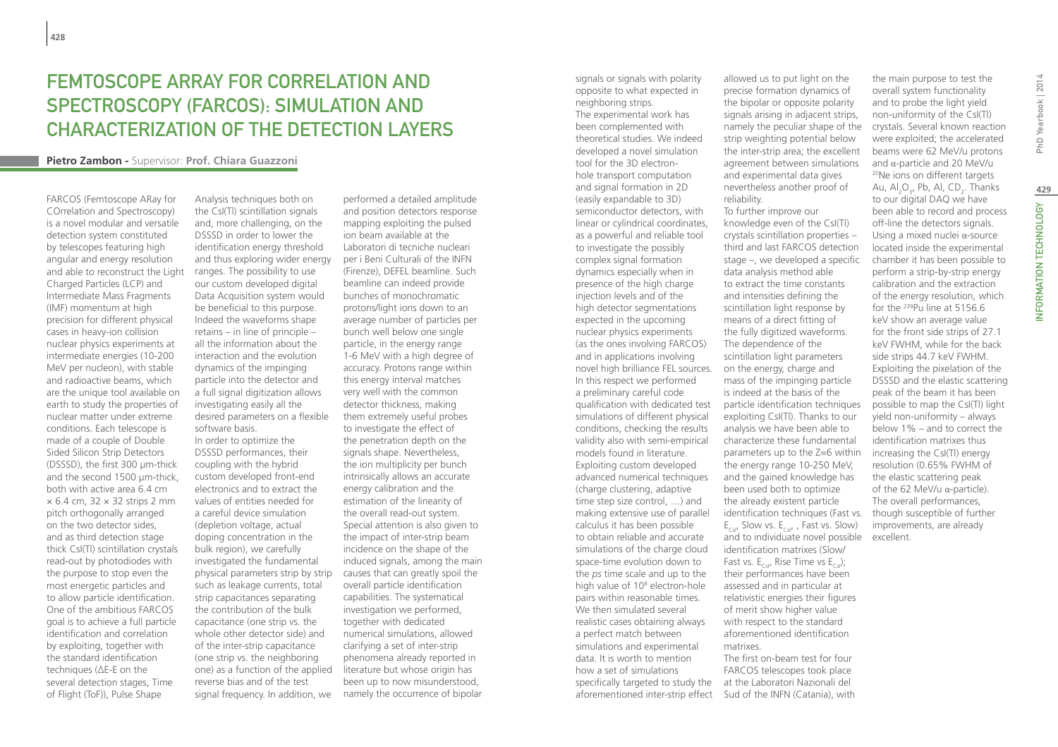## FEMTOSCOPE ARRAY FOR CORRELATION AND SPECTROSCOPY (FARCOS): SIMULATION AND CHARACTERIZATION OF THE DETECTION LAYERS

#### **Pietro Zambon -** Supervisor: **Prof. Chiara Guazzoni**

FARCOS (Femtoscope ARay for COrrelation and Spectroscopy) is a novel modular and versatile detection system constituted by telescopes featuring high angular and energy resolution and able to reconstruct the Light Charged Particles (LCP) and Intermediate Mass Fragments (IMF) momentum at high precision for different physical cases in heavy-ion collision nuclear physics experiments at intermediate energies (10-200 MeV per nucleon), with stable and radioactive beams, which are the unique tool available on earth to study the properties of nuclear matter under extreme conditions. Each telescope is made of a couple of Double Sided Silicon Strip Detectors (DSSSD), the first 300 µm-thick and the second 1500 um-thick. both with active area 6.4 cm  $\times$  6.4 cm, 32  $\times$  32 strips 2 mm pitch orthogonally arranged on the two detector sides, and as third detection stage thick CsI(Tl) scintillation crystals read-out by photodiodes with the purpose to stop even the most energetic particles and to allow particle identification. One of the ambitious FARCOS goal is to achieve a full particle identification and correlation by exploiting, together with the standard identification techniques (ΔE-E on the several detection stages, Time of Flight (ToF)), Pulse Shape

Analysis techniques both on the CsI(Tl) scintillation signals and, more challenging, on the DSSSD in order to lower the identification energy threshold and thus exploring wider energy ranges. The possibility to use our custom developed digital Data Acquisition system would be beneficial to this purpose. Indeed the waveforms shape retains – in line of principle – all the information about the interaction and the evolution dynamics of the impinging particle into the detector and a full signal digitization allows investigating easily all the desired parameters on a flexible software basis. In order to optimize the DSSSD performances, their coupling with the hybrid custom developed front-end electronics and to extract the values of entities needed for a careful device simulation (depletion voltage, actual doping concentration in the bulk region), we carefully investigated the fundamental physical parameters strip by strip such as leakage currents, total strip capacitances separating the contribution of the bulk capacitance (one strip vs. the whole other detector side) and of the inter-strip capacitance (one strip vs. the neighboring one) as a function of the applied reverse bias and of the test signal frequency. In addition, we

performed a detailed amplitude and position detectors response mapping exploiting the pulsed ion beam available at the Laboratori di tecniche nucleari per i Beni Culturali of the INFN (Firenze), DEFEL beamline. Such beamline can indeed provide bunches of monochromatic protons/light ions down to an average number of particles per bunch well below one single particle, in the energy range 1-6 MeV with a high degree of accuracy. Protons range within this energy interval matches very well with the common detector thickness, making them extremely useful probes to investigate the effect of the penetration depth on the signals shape. Nevertheless, the ion multiplicity per bunch intrinsically allows an accurate energy calibration and the estimation of the linearity of the overall read-out system. Special attention is also given to the impact of inter-strip beam incidence on the shape of the induced signals, among the main causes that can greatly spoil the overall particle identification capabilities. The systematical investigation we performed, together with dedicated numerical simulations, allowed clarifying a set of inter-strip phenomena already reported in literature but whose origin has been up to now misunderstood, namely the occurrence of bipolar

signals or signals with polarity opposite to what expected in neighboring strips. The experimental work has been complemented with theoretical studies. We indeed developed a novel simulation tool for the 3D electronhole transport computation and signal formation in 2D (easily expandable to 3D) semiconductor detectors, with linear or cylindrical coordinates, as a powerful and reliable tool to investigate the possibly complex signal formation dynamics especially when in presence of the high charge injection levels and of the high detector segmentations expected in the upcoming nuclear physics experiments (as the ones involving FARCOS) and in applications involving novel high brilliance FEL sources. In this respect we performed a preliminary careful code qualification with dedicated test simulations of different physical conditions, checking the results validity also with semi-empirical models found in literature. Exploiting custom developed advanced numerical techniques (charge clustering, adaptive time step size control, …) and making extensive use of parallel calculus it has been possible to obtain reliable and accurate simulations of the charge cloud space-time evolution down to the *ps* time scale and up to the high value of 10<sup>8</sup> electron-hole pairs within reasonable times. We then simulated several realistic cases obtaining always a perfect match between simulations and experimental data. It is worth to mention how a set of simulations specifically targeted to study the at the Laboratori Nazionali del aforementioned inter-strip effect Sud of the INFN (Catania), with

allowed us to put light on the precise formation dynamics of the bipolar or opposite polarity signals arising in adjacent strips, namely the peculiar shape of the strip weighting potential below the inter-strip area; the excellent agreement between simulations and experimental data gives nevertheless another proof of reliability. To further improve our knowledge even of the CsI(Tl) crystals scintillation properties – third and last FARCOS detection stage –, we developed a specific data analysis method able to extract the time constants and intensities defining the scintillation light response by means of a direct fitting of the fully digitized waveforms. The dependence of the scintillation light parameters on the energy, charge and mass of the impinging particle is indeed at the basis of the particle identification techniques exploiting CsI(Tl). Thanks to our analysis we have been able to characterize these fundamental parameters up to the Z=6 within the energy range 10-250 MeV, and the gained knowledge has been used both to optimize the already existent particle identification techniques (Fast vs.  $E_{CsI}$ , Slow vs.  $E_{CsI}$ , Fast vs. Slow) and to individuate novel possible identification matrixes (Slow/ Fast vs.  $E_{\text{col}}$ , Rise Time vs  $E_{\text{col}}$ ; their performances have been assessed and in particular at relativistic energies their figures of merit show higher value with respect to the standard aforementioned identification matrixes. The first on-beam test for four FARCOS telescopes took place

the main purpose to test the overall system functionality and to probe the light yield non-uniformity of the CsI(Tl) crystals. Several known reaction were exploited; the accelerated beams were 62 MeV/u protons<br>and  $\alpha$ -particle and 20 MeV/u <sup>20</sup> Ne ions on different targets Au, Al $_2$ O<sub>3</sub>, Pb, Al, CD<sub>2</sub>. Thanks to our digital DAQ we have been able to record and process off-line the detectors signals. Using a mixed nuclei α-source located inside the experimental chamber it has been possible to perform a strip-by-strip energy calibration and the extraction of the energy resolution, which for the 239Pu line at 5156.6 keV show an average value for the front side strips of 27.1 keV FWHM, while for the back side strips 44.7 keV FWHM. Exploiting the pixelation of the DSSSD and the elastic scattering peak of the beam it has been possible to map the CsI(Tl) light yield non-uniformity – always below 1% – and to correct the identification matrixes thus increasing the CsI(Tl) energy resolution (0.65% FWHM of the elastic scattering peak of the 62 MeV/u α-particle). The overall performances, though susceptible of further improvements, are already excellent.